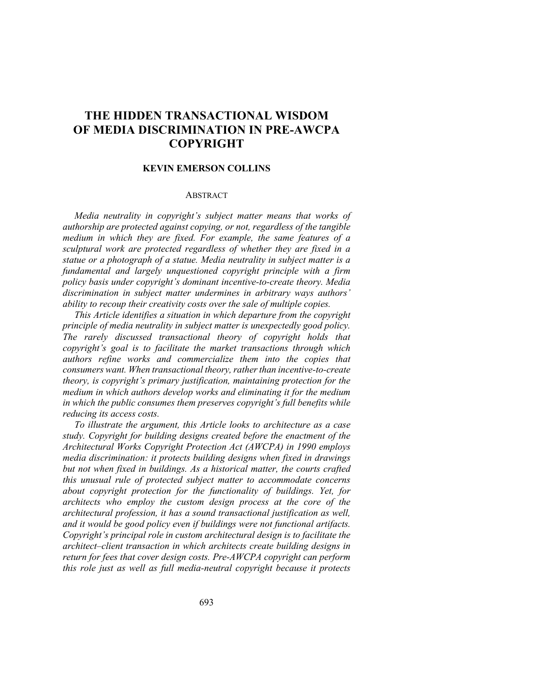# **THE HIDDEN TRANSACTIONAL WISDOM OF MEDIA DISCRIMINATION IN PRE-AWCPA COPYRIGHT**

# **KEVIN EMERSON COLLINS**

## ABSTRACT

*Media neutrality in copyright's subject matter means that works of authorship are protected against copying, or not, regardless of the tangible medium in which they are fixed. For example, the same features of a sculptural work are protected regardless of whether they are fixed in a statue or a photograph of a statue. Media neutrality in subject matter is a fundamental and largely unquestioned copyright principle with a firm policy basis under copyright's dominant incentive-to-create theory. Media discrimination in subject matter undermines in arbitrary ways authors' ability to recoup their creativity costs over the sale of multiple copies.*

*This Article identifies a situation in which departure from the copyright principle of media neutrality in subject matter is unexpectedly good policy. The rarely discussed transactional theory of copyright holds that copyright's goal is to facilitate the market transactions through which authors refine works and commercialize them into the copies that consumers want. When transactional theory, rather than incentive-to-create theory, is copyright's primary justification, maintaining protection for the medium in which authors develop works and eliminating it for the medium in which the public consumes them preserves copyright's full benefits while reducing its access costs.*

*To illustrate the argument, this Article looks to architecture as a case study. Copyright for building designs created before the enactment of the Architectural Works Copyright Protection Act (AWCPA) in 1990 employs media discrimination: it protects building designs when fixed in drawings but not when fixed in buildings. As a historical matter, the courts crafted this unusual rule of protected subject matter to accommodate concerns about copyright protection for the functionality of buildings. Yet, for architects who employ the custom design process at the core of the architectural profession, it has a sound transactional justification as well, and it would be good policy even if buildings were not functional artifacts. Copyright's principal role in custom architectural design is to facilitate the architect–client transaction in which architects create building designs in return for fees that cover design costs. Pre-AWCPA copyright can perform this role just as well as full media-neutral copyright because it protects*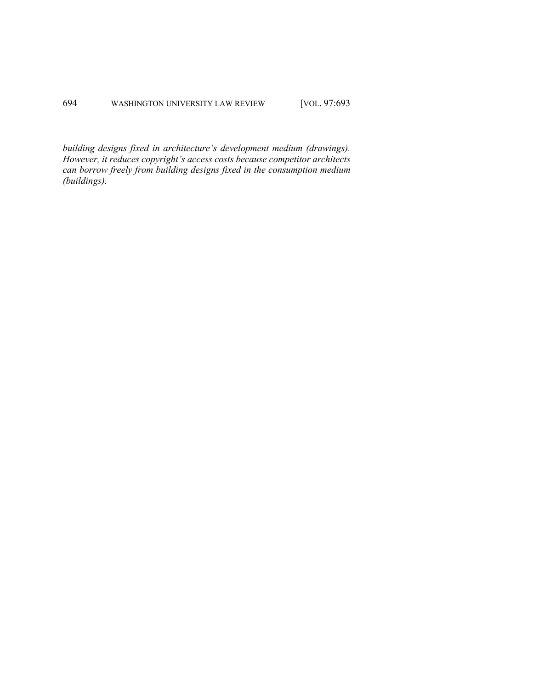*building designs fixed in architecture's development medium (drawings). However, it reduces copyright's access costs because competitor architects can borrow freely from building designs fixed in the consumption medium (buildings).*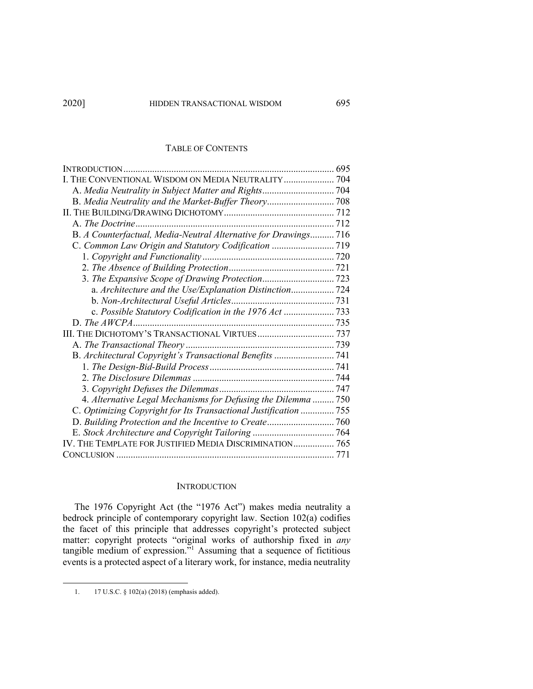# TABLE OF CONTENTS

| INTRODUCTION                                                     |  |
|------------------------------------------------------------------|--|
| I. THE CONVENTIONAL WISDOM ON MEDIA NEUTRALITY  704              |  |
|                                                                  |  |
|                                                                  |  |
|                                                                  |  |
|                                                                  |  |
| B. A Counterfactual, Media-Neutral Alternative for Drawings 716  |  |
| C. Common Law Origin and Statutory Codification  719             |  |
|                                                                  |  |
|                                                                  |  |
|                                                                  |  |
|                                                                  |  |
|                                                                  |  |
|                                                                  |  |
|                                                                  |  |
| III. THE DICHOTOMY'S TRANSACTIONAL VIRTUES 737                   |  |
|                                                                  |  |
| B. Architectural Copyright's Transactional Benefits  741         |  |
|                                                                  |  |
|                                                                  |  |
|                                                                  |  |
| 4. Alternative Legal Mechanisms for Defusing the Dilemma  750    |  |
| C. Optimizing Copyright for Its Transactional Justification  755 |  |
|                                                                  |  |
|                                                                  |  |
| IV. THE TEMPLATE FOR JUSTIFIED MEDIA DISCRIMINATION 765          |  |
|                                                                  |  |

## **INTRODUCTION**

The 1976 Copyright Act (the "1976 Act") makes media neutrality a bedrock principle of contemporary copyright law. Section 102(a) codifies the facet of this principle that addresses copyright's protected subject matter: copyright protects "original works of authorship fixed in *any* tangible medium of expression."<sup>1</sup> Assuming that a sequence of fictitious events is a protected aspect of a literary work, for instance, media neutrality

<sup>1.</sup> 17 U.S.C. § 102(a) (2018) (emphasis added).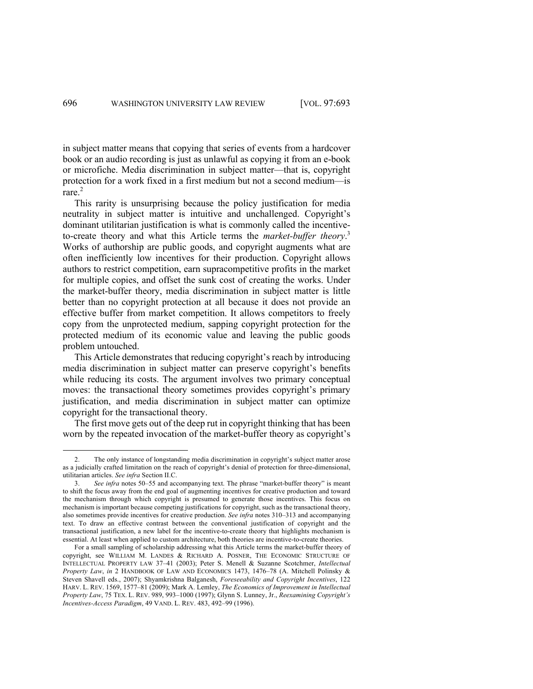in subject matter means that copying that series of events from a hardcover book or an audio recording is just as unlawful as copying it from an e-book or microfiche. Media discrimination in subject matter—that is, copyright protection for a work fixed in a first medium but not a second medium—is rare.<sup>2</sup>

This rarity is unsurprising because the policy justification for media neutrality in subject matter is intuitive and unchallenged. Copyright's dominant utilitarian justification is what is commonly called the incentiveto-create theory and what this Article terms the *market-buffer theory*. 3 Works of authorship are public goods, and copyright augments what are often inefficiently low incentives for their production. Copyright allows authors to restrict competition, earn supracompetitive profits in the market for multiple copies, and offset the sunk cost of creating the works. Under the market-buffer theory, media discrimination in subject matter is little better than no copyright protection at all because it does not provide an effective buffer from market competition. It allows competitors to freely copy from the unprotected medium, sapping copyright protection for the protected medium of its economic value and leaving the public goods problem untouched.

This Article demonstrates that reducing copyright's reach by introducing media discrimination in subject matter can preserve copyright's benefits while reducing its costs. The argument involves two primary conceptual moves: the transactional theory sometimes provides copyright's primary justification, and media discrimination in subject matter can optimize copyright for the transactional theory.

The first move gets out of the deep rut in copyright thinking that has been worn by the repeated invocation of the market-buffer theory as copyright's

<sup>2.</sup> The only instance of longstanding media discrimination in copyright's subject matter arose as a judicially crafted limitation on the reach of copyright's denial of protection for three-dimensional, utilitarian articles. *See infra* Section II.C.

<sup>3.</sup> *See infra* notes 50–55 and accompanying text. The phrase "market-buffer theory" is meant to shift the focus away from the end goal of augmenting incentives for creative production and toward the mechanism through which copyright is presumed to generate those incentives. This focus on mechanism is important because competing justifications for copyright, such as the transactional theory, also sometimes provide incentives for creative production. *See infra* notes 310–313 and accompanying text. To draw an effective contrast between the conventional justification of copyright and the transactional justification, a new label for the incentive-to-create theory that highlights mechanism is essential. At least when applied to custom architecture, both theories are incentive-to-create theories.

For a small sampling of scholarship addressing what this Article terms the market-buffer theory of copyright, see WILLIAM M. LANDES & RICHARD A. POSNER, THE ECONOMIC STRUCTURE OF INTELLECTUAL PROPERTY LAW 37–41 (2003); Peter S. Menell & Suzanne Scotchmer, *Intellectual Property Law*, *in* 2 HANDBOOK OF LAW AND ECONOMICS 1473, 1476–78 (A. Mitchell Polinsky & Steven Shavell eds., 2007); Shyamkrishna Balganesh, *Foreseeability and Copyright Incentives*, 122 HARV. L. REV. 1569, 1577–81 (2009); Mark A. Lemley, *The Economics of Improvement in Intellectual Property Law*, 75 TEX. L. REV. 989, 993–1000 (1997); Glynn S. Lunney, Jr., *Reexamining Copyright's Incentives-Access Paradigm*, 49 VAND. L. REV. 483, 492–99 (1996).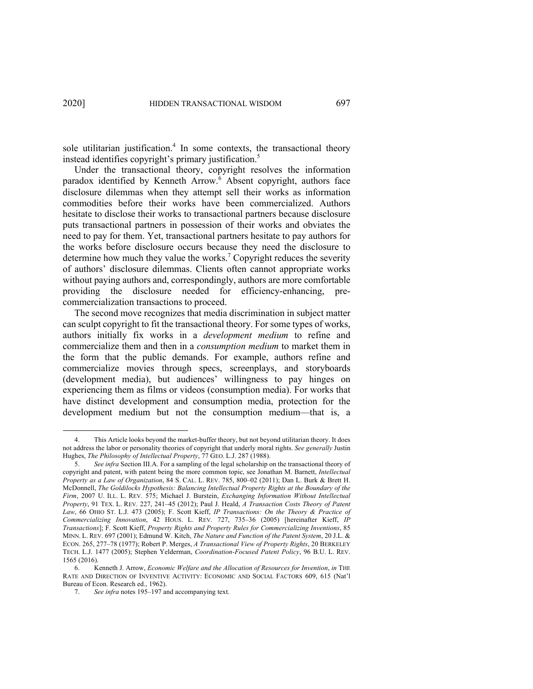sole utilitarian justification.<sup>4</sup> In some contexts, the transactional theory instead identifies copyright's primary justification.<sup>5</sup>

Under the transactional theory, copyright resolves the information paradox identified by Kenneth Arrow.<sup>6</sup> Absent copyright, authors face disclosure dilemmas when they attempt sell their works as information commodities before their works have been commercialized. Authors hesitate to disclose their works to transactional partners because disclosure puts transactional partners in possession of their works and obviates the need to pay for them. Yet, transactional partners hesitate to pay authors for the works before disclosure occurs because they need the disclosure to determine how much they value the works.<sup>7</sup> Copyright reduces the severity of authors' disclosure dilemmas. Clients often cannot appropriate works without paying authors and, correspondingly, authors are more comfortable providing the disclosure needed for efficiency-enhancing, precommercialization transactions to proceed.

The second move recognizes that media discrimination in subject matter can sculpt copyright to fit the transactional theory. For some types of works, authors initially fix works in a *development medium* to refine and commercialize them and then in a *consumption medium* to market them in the form that the public demands. For example, authors refine and commercialize movies through specs, screenplays, and storyboards (development media), but audiences' willingness to pay hinges on experiencing them as films or videos (consumption media). For works that have distinct development and consumption media, protection for the development medium but not the consumption medium—that is, a

This Article looks beyond the market-buffer theory, but not beyond utilitarian theory. It does not address the labor or personality theories of copyright that underly moral rights. *See generally* Justin Hughes, *The Philosophy of Intellectual Property*, 77 GEO. L.J. 287 (1988).

<sup>5.</sup> *See infra* Section III.A. For a sampling of the legal scholarship on the transactional theory of copyright and patent, with patent being the more common topic, see Jonathan M. Barnett, *Intellectual Property as a Law of Organization*, 84 S. CAL. L. REV. 785, 800–02 (2011); Dan L. Burk & Brett H. McDonnell, *The Goldilocks Hypothesis: Balancing Intellectual Property Rights at the Boundary of the Firm*, 2007 U. ILL. L. REV. 575; Michael J. Burstein, *Exchanging Information Without Intellectual Property*, 91 TEX. L. REV. 227, 241–45 (2012); Paul J. Heald, *A Transaction Costs Theory of Patent Law*, 66 OHIO ST. L.J. 473 (2005); F. Scott Kieff, *IP Transactions: On the Theory & Practice of Commercializing Innovation*, 42 HOUS. L. REV. 727, 735–36 (2005) [hereinafter Kieff, *IP Transactions*]; F. Scott Kieff, *Property Rights and Property Rules for Commercializing Inventions*, 85 MINN. L. REV. 697 (2001); Edmund W. Kitch, *The Nature and Function of the Patent System*, 20 J.L. & ECON. 265, 277–78 (1977); Robert P. Merges, *A Transactional View of Property Rights*, 20 BERKELEY TECH. L.J. 1477 (2005); Stephen Yelderman, *Coordination-Focused Patent Policy*, 96 B.U. L. REV. 1565 (2016).

<sup>6.</sup> Kenneth J. Arrow, *Economic Welfare and the Allocation of Resources for Invention*, *in* THE RATE AND DIRECTION OF INVENTIVE ACTIVITY: ECONOMIC AND SOCIAL FACTORS 609, 615 (Nat'l Bureau of Econ. Research ed., 1962).

<sup>7.</sup> *See infra* notes 195–197 and accompanying text.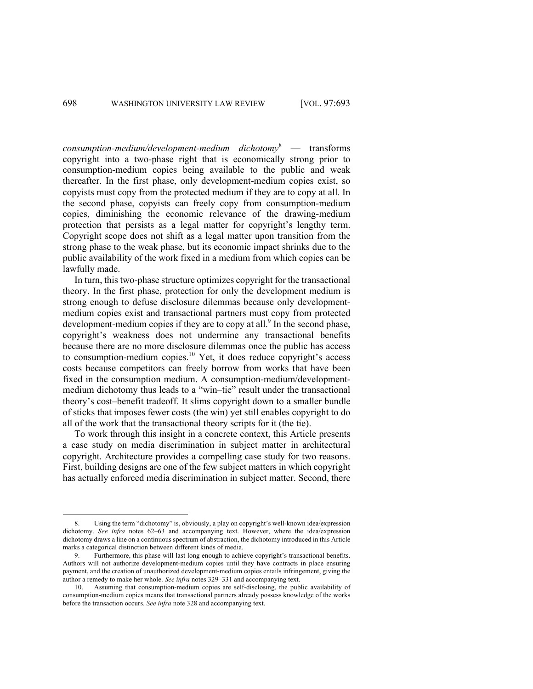*consumption-medium/development-medium dichotomy*<sup>8</sup> — transforms copyright into a two-phase right that is economically strong prior to consumption-medium copies being available to the public and weak thereafter. In the first phase, only development-medium copies exist, so copyists must copy from the protected medium if they are to copy at all. In the second phase, copyists can freely copy from consumption-medium copies, diminishing the economic relevance of the drawing-medium protection that persists as a legal matter for copyright's lengthy term. Copyright scope does not shift as a legal matter upon transition from the strong phase to the weak phase, but its economic impact shrinks due to the public availability of the work fixed in a medium from which copies can be lawfully made.

In turn, this two-phase structure optimizes copyright for the transactional theory. In the first phase, protection for only the development medium is strong enough to defuse disclosure dilemmas because only developmentmedium copies exist and transactional partners must copy from protected development-medium copies if they are to copy at all.<sup>9</sup> In the second phase, copyright's weakness does not undermine any transactional benefits because there are no more disclosure dilemmas once the public has access to consumption-medium copies. <sup>10</sup> Yet, it does reduce copyright's access costs because competitors can freely borrow from works that have been fixed in the consumption medium. A consumption-medium/developmentmedium dichotomy thus leads to a "win–tie" result under the transactional theory's cost–benefit tradeoff. It slims copyright down to a smaller bundle of sticks that imposes fewer costs (the win) yet still enables copyright to do all of the work that the transactional theory scripts for it (the tie).

To work through this insight in a concrete context, this Article presents a case study on media discrimination in subject matter in architectural copyright. Architecture provides a compelling case study for two reasons. First, building designs are one of the few subject matters in which copyright has actually enforced media discrimination in subject matter. Second, there

<sup>8.</sup> Using the term "dichotomy" is, obviously, a play on copyright's well-known idea/expression dichotomy. *See infra* notes 62–63 and accompanying text. However, where the idea/expression dichotomy draws a line on a continuous spectrum of abstraction, the dichotomy introduced in this Article marks a categorical distinction between different kinds of media.

<sup>9.</sup> Furthermore, this phase will last long enough to achieve copyright's transactional benefits. Authors will not authorize development-medium copies until they have contracts in place ensuring payment, and the creation of unauthorized development-medium copies entails infringement, giving the author a remedy to make her whole. *See infra* notes 329–331 and accompanying text.

<sup>10.</sup> Assuming that consumption-medium copies are self-disclosing, the public availability of consumption-medium copies means that transactional partners already possess knowledge of the works before the transaction occurs. *See infra* note 328 and accompanying text.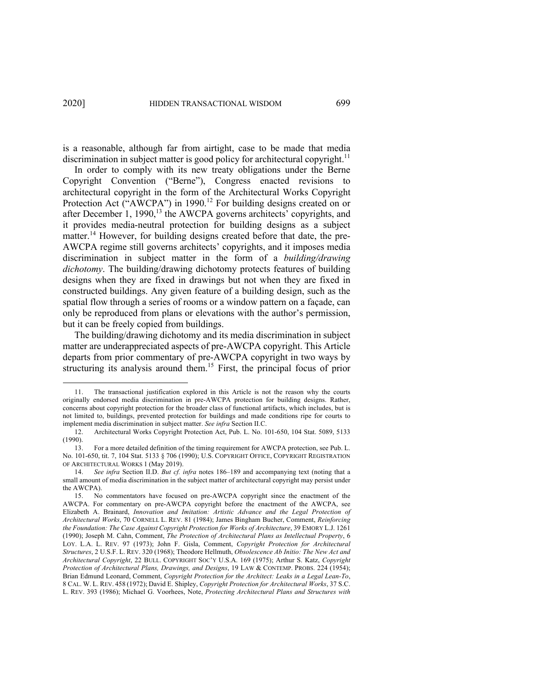is a reasonable, although far from airtight, case to be made that media discrimination in subject matter is good policy for architectural copyright.<sup>11</sup>

In order to comply with its new treaty obligations under the Berne Copyright Convention ("Berne"), Congress enacted revisions to architectural copyright in the form of the Architectural Works Copyright Protection Act ("AWCPA") in 1990.<sup>12</sup> For building designs created on or after December 1, 1990, $^{13}$  the AWCPA governs architects' copyrights, and it provides media-neutral protection for building designs as a subject matter.<sup>14</sup> However, for building designs created before that date, the pre-AWCPA regime still governs architects' copyrights, and it imposes media discrimination in subject matter in the form of a *building/drawing dichotomy*. The building/drawing dichotomy protects features of building designs when they are fixed in drawings but not when they are fixed in constructed buildings. Any given feature of a building design, such as the spatial flow through a series of rooms or a window pattern on a façade, can only be reproduced from plans or elevations with the author's permission, but it can be freely copied from buildings.

The building/drawing dichotomy and its media discrimination in subject matter are underappreciated aspects of pre-AWCPA copyright. This Article departs from prior commentary of pre-AWCPA copyright in two ways by structuring its analysis around them.15 First, the principal focus of prior

<sup>11.</sup> The transactional justification explored in this Article is not the reason why the courts originally endorsed media discrimination in pre-AWCPA protection for building designs. Rather, concerns about copyright protection for the broader class of functional artifacts, which includes, but is not limited to, buildings, prevented protection for buildings and made conditions ripe for courts to implement media discrimination in subject matter. *See infra* Section II.C.

<sup>12.</sup> Architectural Works Copyright Protection Act, Pub. L. No. 101-650, 104 Stat. 5089, 5133 (1990).

<sup>13.</sup> For a more detailed definition of the timing requirement for AWCPA protection, see Pub. L. No. 101-650, tit. 7, 104 Stat. 5133 § 706 (1990); U.S. COPYRIGHT OFFICE, COPYRIGHT REGISTRATION OF ARCHITECTURAL WORKS 1 (May 2019).

<sup>14.</sup> *See infra* Section II.D. *But cf. infra* notes 186–189 and accompanying text (noting that a small amount of media discrimination in the subject matter of architectural copyright may persist under the AWCPA).

<sup>15.</sup> No commentators have focused on pre-AWCPA copyright since the enactment of the AWCPA. For commentary on pre-AWCPA copyright before the enactment of the AWCPA, see Elizabeth A. Brainard, *Innovation and Imitation: Artistic Advance and the Legal Protection of Architectural Works*, 70 CORNELL L. REV. 81 (1984); James Bingham Bucher, Comment, *Reinforcing the Foundation: The Case Against Copyright Protection for Works of Architecture*, 39 EMORY L.J. 1261 (1990); Joseph M. Cahn, Comment, *The Protection of Architectural Plans as Intellectual Property*, 6 LOY. L.A. L. REV. 97 (1973); John F. Gisla, Comment, *Copyright Protection for Architectural Structures*, 2 U.S.F. L. REV. 320 (1968); Theodore Hellmuth, *Obsolescence Ab Initio: The New Act and Architectural Copyright*, 22 BULL. COPYRIGHT SOC'Y U.S.A. 169 (1975); Arthur S. Katz, *Copyright Protection of Architectural Plans, Drawings, and Designs*, 19 LAW & CONTEMP. PROBS. 224 (1954); Brian Edmund Leonard, Comment, *Copyright Protection for the Architect: Leaks in a Legal Lean-To*, 8 CAL. W. L. REV. 458 (1972); David E. Shipley, *Copyright Protection for Architectural Works*, 37 S.C. L. REV. 393 (1986); Michael G. Voorhees, Note, *Protecting Architectural Plans and Structures with*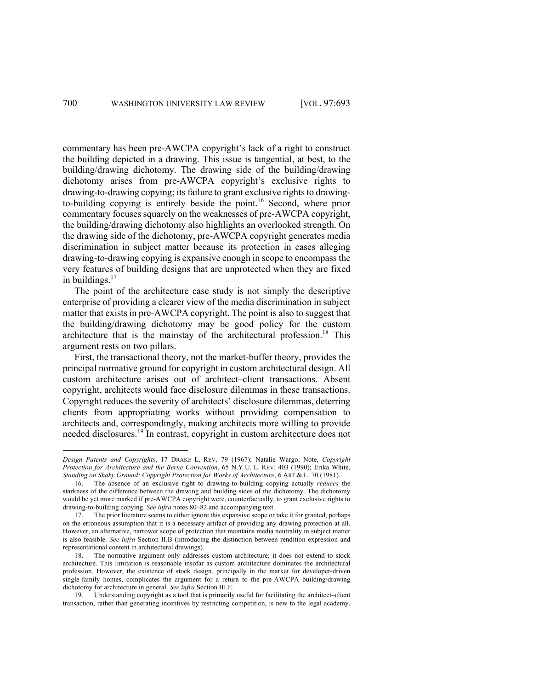commentary has been pre-AWCPA copyright's lack of a right to construct the building depicted in a drawing. This issue is tangential, at best, to the building/drawing dichotomy. The drawing side of the building/drawing dichotomy arises from pre-AWCPA copyright's exclusive rights to drawing-to-drawing copying; its failure to grant exclusive rights to drawingto-building copying is entirely beside the point. <sup>16</sup> Second, where prior commentary focuses squarely on the weaknesses of pre-AWCPA copyright, the building/drawing dichotomy also highlights an overlooked strength. On the drawing side of the dichotomy, pre-AWCPA copyright generates media discrimination in subject matter because its protection in cases alleging drawing-to-drawing copying is expansive enough in scope to encompass the very features of building designs that are unprotected when they are fixed in buildings. $17$ 

The point of the architecture case study is not simply the descriptive enterprise of providing a clearer view of the media discrimination in subject matter that exists in pre-AWCPA copyright. The point is also to suggest that the building/drawing dichotomy may be good policy for the custom architecture that is the mainstay of the architectural profession.<sup>18</sup> This argument rests on two pillars.

First, the transactional theory, not the market-buffer theory, provides the principal normative ground for copyright in custom architectural design. All custom architecture arises out of architect–client transactions. Absent copyright, architects would face disclosure dilemmas in these transactions. Copyright reduces the severity of architects' disclosure dilemmas, deterring clients from appropriating works without providing compensation to architects and, correspondingly, making architects more willing to provide needed disclosures.<sup>19</sup> In contrast, copyright in custom architecture does not

*Design Patents and Copyrights*, 17 DRAKE L. REV. 79 (1967); Natalie Wargo, Note, *Copyright Protection for Architecture and the Berne Convention*, 65 N.Y.U. L. REV. 403 (1990); Erika White, *Standing on Shaky Ground: Copyright Protection for Works of Architecture*, 6 ART & L. 70 (1981).

<sup>16.</sup> The absence of an exclusive right to drawing-to-building copying actually *reduces* the starkness of the difference between the drawing and building sides of the dichotomy. The dichotomy would be yet more marked if pre-AWCPA copyright were, counterfactually, to grant exclusive rights to drawing-to-building copying. *See infra* notes 80–82 and accompanying text.

<sup>17.</sup> The prior literature seems to either ignore this expansive scope or take it for granted, perhaps on the erroneous assumption that it is a necessary artifact of providing any drawing protection at all. However, an alternative, narrower scope of protection that maintains media neutrality in subject matter is also feasible. *See infra* Section II.B (introducing the distinction between rendition expression and representational content in architectural drawings).

<sup>18.</sup> The normative argument only addresses custom architecture; it does not extend to stock architecture. This limitation is reasonable insofar as custom architecture dominates the architectural profession. However, the existence of stock design, principally in the market for developer-driven single-family homes, complicates the argument for a return to the pre-AWCPA building/drawing dichotomy for architecture in general. *See infra* Section III.E.

<sup>19.</sup> Understanding copyright as a tool that is primarily useful for facilitating the architect–client transaction, rather than generating incentives by restricting competition, is new to the legal academy.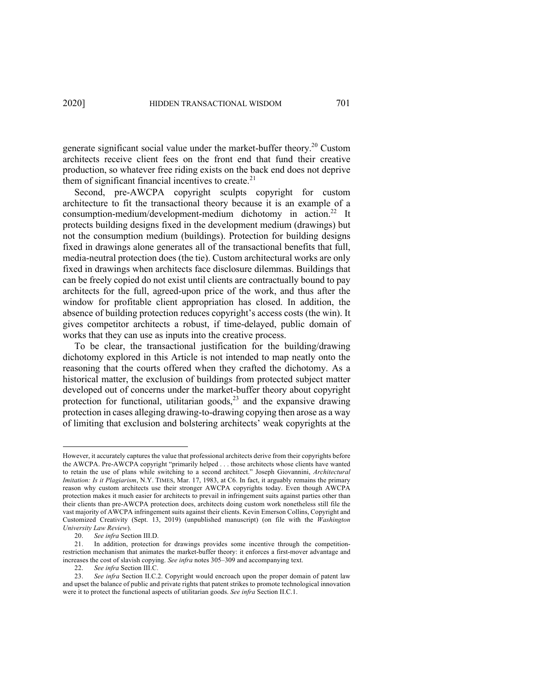generate significant social value under the market-buffer theory.<sup>20</sup> Custom architects receive client fees on the front end that fund their creative production, so whatever free riding exists on the back end does not deprive them of significant financial incentives to create.<sup>21</sup>

Second, pre-AWCPA copyright sculpts copyright for custom architecture to fit the transactional theory because it is an example of a consumption-medium/development-medium dichotomy in action.<sup>22</sup> It protects building designs fixed in the development medium (drawings) but not the consumption medium (buildings). Protection for building designs fixed in drawings alone generates all of the transactional benefits that full, media-neutral protection does (the tie). Custom architectural works are only fixed in drawings when architects face disclosure dilemmas. Buildings that can be freely copied do not exist until clients are contractually bound to pay architects for the full, agreed-upon price of the work, and thus after the window for profitable client appropriation has closed. In addition, the absence of building protection reduces copyright's access costs (the win). It gives competitor architects a robust, if time-delayed, public domain of works that they can use as inputs into the creative process.

To be clear, the transactional justification for the building/drawing dichotomy explored in this Article is not intended to map neatly onto the reasoning that the courts offered when they crafted the dichotomy. As a historical matter, the exclusion of buildings from protected subject matter developed out of concerns under the market-buffer theory about copyright protection for functional, utilitarian goods,<sup>23</sup> and the expansive drawing protection in cases alleging drawing-to-drawing copying then arose as a way of limiting that exclusion and bolstering architects' weak copyrights at the

However, it accurately captures the value that professional architects derive from their copyrights before the AWCPA. Pre-AWCPA copyright "primarily helped . . . those architects whose clients have wanted to retain the use of plans while switching to a second architect." Joseph Giovannini, *Architectural Imitation: Is it Plagiarism*, N.Y. TIMES, Mar. 17, 1983, at C6. In fact, it arguably remains the primary reason why custom architects use their stronger AWCPA copyrights today. Even though AWCPA protection makes it much easier for architects to prevail in infringement suits against parties other than their clients than pre-AWCPA protection does, architects doing custom work nonetheless still file the vast majority of AWCPA infringement suits against their clients. Kevin Emerson Collins, Copyright and Customized Creativity (Sept. 13, 2019) (unpublished manuscript) (on file with the *Washington University Law Review*).

<sup>20.</sup> *See infra* Section III.D.

In addition, protection for drawings provides some incentive through the competitionrestriction mechanism that animates the market-buffer theory: it enforces a first-mover advantage and increases the cost of slavish copying. *See infra* notes 305–309 and accompanying text.

<sup>22.</sup> *See infra* Section III.C.

<sup>23.</sup> *See infra* Section II.C.2. Copyright would encroach upon the proper domain of patent law and upset the balance of public and private rights that patent strikes to promote technological innovation were it to protect the functional aspects of utilitarian goods. *See infra* Section II.C.1.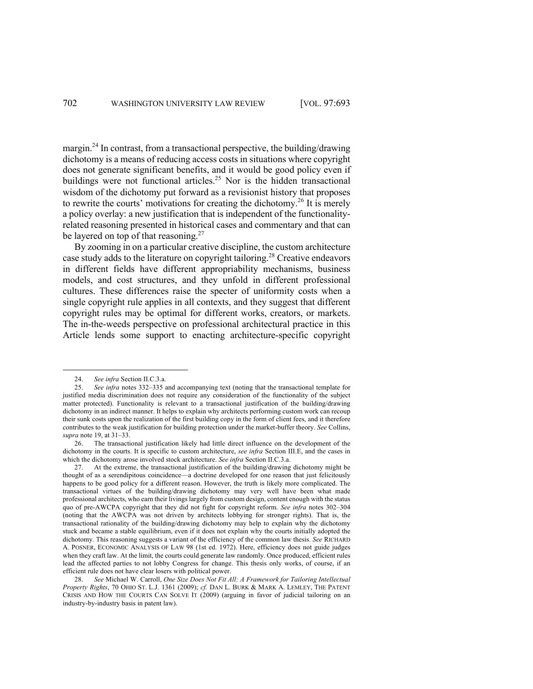margin.<sup>24</sup> In contrast, from a transactional perspective, the building/drawing dichotomy is a means of reducing access costs in situations where copyright does not generate significant benefits, and it would be good policy even if buildings were not functional articles. <sup>25</sup> Nor is the hidden transactional wisdom of the dichotomy put forward as a revisionist history that proposes to rewrite the courts' motivations for creating the dichotomy.<sup>26</sup> It is merely a policy overlay: a new justification that is independent of the functionalityrelated reasoning presented in historical cases and commentary and that can be layered on top of that reasoning.<sup>27</sup>

By zooming in on a particular creative discipline, the custom architecture case study adds to the literature on copyright tailoring. <sup>28</sup> Creative endeavors in different fields have different appropriability mechanisms, business models, and cost structures, and they unfold in different professional cultures. These differences raise the specter of uniformity costs when a single copyright rule applies in all contexts, and they suggest that different copyright rules may be optimal for different works, creators, or markets. The in-the-weeds perspective on professional architectural practice in this Article lends some support to enacting architecture-specific copyright

<sup>24.</sup> *See infra Section II.C.3.a.*<br>25. *See infra notes* 332–335 a

See infra notes 332-335 and accompanying text (noting that the transactional template for justified media discrimination does not require any consideration of the functionality of the subject matter protected). Functionality is relevant to a transactional justification of the building/drawing dichotomy in an indirect manner. It helps to explain why architects performing custom work can recoup their sunk costs upon the realization of the first building copy in the form of client fees, and it therefore contributes to the weak justification for building protection under the market-buffer theory. *See* Collins, *supra* note 19, at 31–33.

<sup>26.</sup> The transactional justification likely had little direct influence on the development of the dichotomy in the courts. It is specific to custom architecture, *see infra* Section III.E, and the cases in which the dichotomy arose involved stock architecture. *See infra* Section II.C.3.a.

<sup>27.</sup> At the extreme, the transactional justification of the building/drawing dichotomy might be thought of as a serendipitous coincidence—a doctrine developed for one reason that just felicitously happens to be good policy for a different reason. However, the truth is likely more complicated. The transactional virtues of the building/drawing dichotomy may very well have been what made professional architects, who earn their livings largely from custom design, content enough with the status quo of pre-AWCPA copyright that they did not fight for copyright reform. *See infra* notes 302–304 (noting that the AWCPA was not driven by architects lobbying for stronger rights). That is, the transactional rationality of the building/drawing dichotomy may help to explain why the dichotomy stuck and became a stable equilibrium, even if it does not explain why the courts initially adopted the dichotomy. This reasoning suggests a variant of the efficiency of the common law thesis. *See* RICHARD A. POSNER, ECONOMIC ANALYSIS OF LAW 98 (1st ed. 1972). Here, efficiency does not guide judges when they craft law. At the limit, the courts could generate law randomly. Once produced, efficient rules lead the affected parties to not lobby Congress for change. This thesis only works, of course, if an efficient rule does not have clear losers with political power.

<sup>28.</sup> *See* Michael W. Carroll, *One Size Does Not Fit All: A Framework for Tailoring Intellectual Property Rights*, 70 OHIO ST. L.J. 1361 (2009); *cf.* DAN L. BURK & MARK A. LEMLEY, THE PATENT CRISIS AND HOW THE COURTS CAN SOLVE IT (2009) (arguing in favor of judicial tailoring on an industry-by-industry basis in patent law).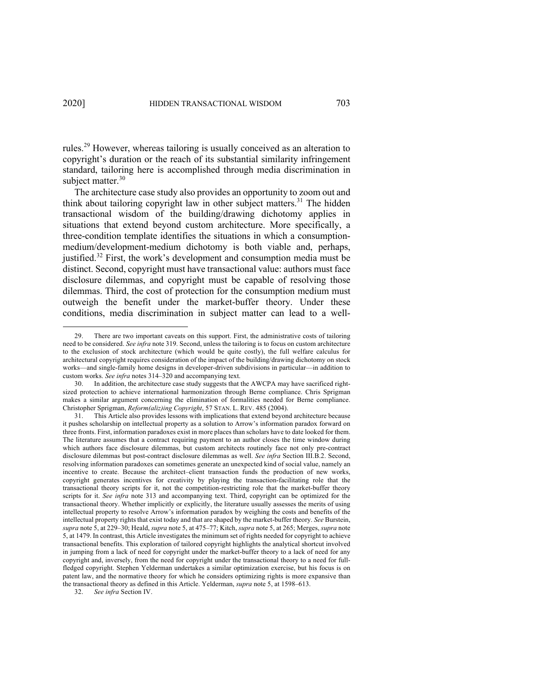rules.<sup>29</sup> However, whereas tailoring is usually conceived as an alteration to copyright's duration or the reach of its substantial similarity infringement standard, tailoring here is accomplished through media discrimination in subject matter.<sup>30</sup>

The architecture case study also provides an opportunity to zoom out and think about tailoring copyright law in other subject matters.<sup>31</sup> The hidden transactional wisdom of the building/drawing dichotomy applies in situations that extend beyond custom architecture. More specifically, a three-condition template identifies the situations in which a consumptionmedium/development-medium dichotomy is both viable and, perhaps, justified. <sup>32</sup> First, the work's development and consumption media must be distinct. Second, copyright must have transactional value: authors must face disclosure dilemmas, and copyright must be capable of resolving those dilemmas. Third, the cost of protection for the consumption medium must outweigh the benefit under the market-buffer theory. Under these conditions, media discrimination in subject matter can lead to a well-

<sup>29.</sup> There are two important caveats on this support. First, the administrative costs of tailoring need to be considered. *See infra* note 319. Second, unless the tailoring is to focus on custom architecture to the exclusion of stock architecture (which would be quite costly), the full welfare calculus for architectural copyright requires consideration of the impact of the building/drawing dichotomy on stock works—and single-family home designs in developer-driven subdivisions in particular—in addition to custom works. *See infra* notes 314–320 and accompanying text.

<sup>30.</sup> In addition, the architecture case study suggests that the AWCPA may have sacrificed rightsized protection to achieve international harmonization through Berne compliance. Chris Sprigman makes a similar argument concerning the elimination of formalities needed for Berne compliance. Christopher Sprigman, *Reform(aliz)ing Copyright*, 57 STAN. L. REV. 485 (2004).

<sup>31.</sup> This Article also provides lessons with implications that extend beyond architecture because it pushes scholarship on intellectual property as a solution to Arrow's information paradox forward on three fronts. First, information paradoxes exist in more places than scholars have to date looked for them. The literature assumes that a contract requiring payment to an author closes the time window during which authors face disclosure dilemmas, but custom architects routinely face not only pre-contract disclosure dilemmas but post-contract disclosure dilemmas as well. *See infra* Section III.B.2. Second, resolving information paradoxes can sometimes generate an unexpected kind of social value, namely an incentive to create. Because the architect–client transaction funds the production of new works, copyright generates incentives for creativity by playing the transaction-facilitating role that the transactional theory scripts for it, not the competition-restricting role that the market-buffer theory scripts for it. *See infra* note 313 and accompanying text. Third, copyright can be optimized for the transactional theory. Whether implicitly or explicitly, the literature usually assesses the merits of using intellectual property to resolve Arrow's information paradox by weighing the costs and benefits of the intellectual property rights that exist today and that are shaped by the market-buffer theory. *See* Burstein, *supra* note 5, at 229–30; Heald, *supra* note 5, at 475–77; Kitch, *supra* note 5, at 265; Merges, *supra* note 5, at 1479. In contrast, this Article investigates the minimum set of rights needed for copyright to achieve transactional benefits. This exploration of tailored copyright highlights the analytical shortcut involved in jumping from a lack of need for copyright under the market-buffer theory to a lack of need for any copyright and, inversely, from the need for copyright under the transactional theory to a need for fullfledged copyright. Stephen Yelderman undertakes a similar optimization exercise, but his focus is on patent law, and the normative theory for which he considers optimizing rights is more expansive than the transactional theory as defined in this Article. Yelderman, *supra* note 5, at 1598–613.

<sup>32.</sup> *See infra* Section IV.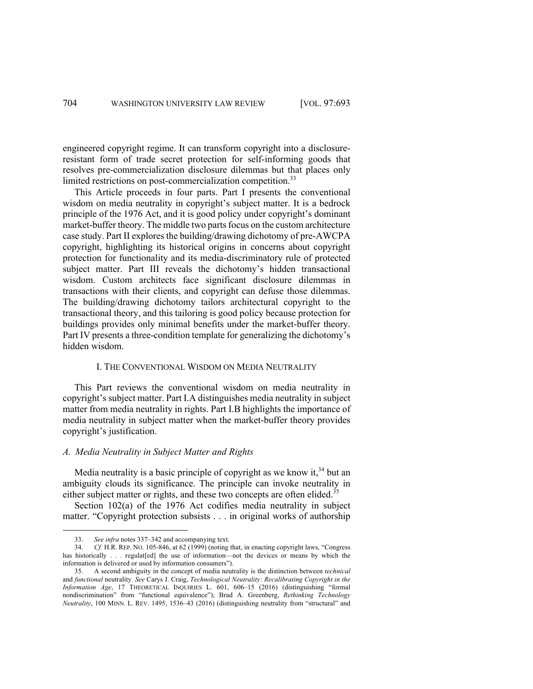engineered copyright regime. It can transform copyright into a disclosureresistant form of trade secret protection for self-informing goods that resolves pre-commercialization disclosure dilemmas but that places only limited restrictions on post-commercialization competition.<sup>33</sup>

This Article proceeds in four parts. Part I presents the conventional wisdom on media neutrality in copyright's subject matter. It is a bedrock principle of the 1976 Act, and it is good policy under copyright's dominant market-buffer theory. The middle two parts focus on the custom architecture case study. Part II explores the building/drawing dichotomy of pre-AWCPA copyright, highlighting its historical origins in concerns about copyright protection for functionality and its media-discriminatory rule of protected subject matter. Part III reveals the dichotomy's hidden transactional wisdom. Custom architects face significant disclosure dilemmas in transactions with their clients, and copyright can defuse those dilemmas. The building/drawing dichotomy tailors architectural copyright to the transactional theory, and this tailoring is good policy because protection for buildings provides only minimal benefits under the market-buffer theory. Part IV presents a three-condition template for generalizing the dichotomy's hidden wisdom.

#### I. THE CONVENTIONAL WISDOM ON MEDIA NEUTRALITY

This Part reviews the conventional wisdom on media neutrality in copyright's subject matter. Part I.A distinguishes media neutrality in subject matter from media neutrality in rights. Part I.B highlights the importance of media neutrality in subject matter when the market-buffer theory provides copyright's justification.

## *A. Media Neutrality in Subject Matter and Rights*

Media neutrality is a basic principle of copyright as we know it,  $34$  but an ambiguity clouds its significance. The principle can invoke neutrality in either subject matter or rights, and these two concepts are often elided.<sup>35</sup>

Section 102(a) of the 1976 Act codifies media neutrality in subject matter. "Copyright protection subsists . . . in original works of authorship

<sup>33.</sup> *See infra* notes 337–342 and accompanying text.<br>34. *Cf.* H.R. REP. No. 105-846, at 62 (1999) (noting

<sup>34.</sup> *Cf.* H.R. REP. NO. 105-846, at 62 (1999) (noting that, in enacting copyright laws, "Congress has historically . . . regulat[ed] the use of information—not the devices or means by which the information is delivered or used by information consumers").

<sup>35.</sup> A second ambiguity in the concept of media neutrality is the distinction between *technical*  and *functional* neutrality. *See* Carys J. Craig, *Technological Neutrality: Recalibrating Copyright in the Information Age*, 17 THEORETICAL INQUIRIES L. 601, 606–15 (2016) (distinguishing "formal nondiscrimination" from "functional equivalence"); Brad A. Greenberg, *Rethinking Technology Neutrality*, 100 MINN. L. REV. 1495, 1536–43 (2016) (distinguishing neutrality from "structural" and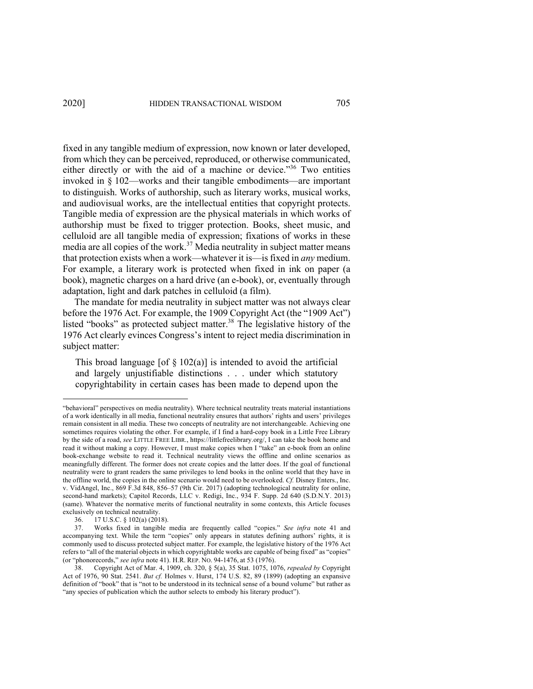fixed in any tangible medium of expression, now known or later developed, from which they can be perceived, reproduced, or otherwise communicated, either directly or with the aid of a machine or device."<sup>36</sup> Two entities invoked in § 102—works and their tangible embodiments—are important to distinguish. Works of authorship, such as literary works, musical works, and audiovisual works, are the intellectual entities that copyright protects. Tangible media of expression are the physical materials in which works of authorship must be fixed to trigger protection. Books, sheet music, and celluloid are all tangible media of expression; fixations of works in these media are all copies of the work.<sup>37</sup> Media neutrality in subject matter means that protection exists when a work—whatever it is—is fixed in *any* medium. For example, a literary work is protected when fixed in ink on paper (a book), magnetic charges on a hard drive (an e-book), or, eventually through adaptation, light and dark patches in celluloid (a film).

The mandate for media neutrality in subject matter was not always clear before the 1976 Act. For example, the 1909 Copyright Act (the "1909 Act") listed "books" as protected subject matter. <sup>38</sup> The legislative history of the 1976 Act clearly evinces Congress's intent to reject media discrimination in subject matter:

This broad language [of  $\S 102(a)$ ] is intended to avoid the artificial and largely unjustifiable distinctions . . . under which statutory copyrightability in certain cases has been made to depend upon the

<sup>&</sup>quot;behavioral" perspectives on media neutrality). Where technical neutrality treats material instantiations of a work identically in all media, functional neutrality ensures that authors' rights and users' privileges remain consistent in all media. These two concepts of neutrality are not interchangeable. Achieving one sometimes requires violating the other. For example, if I find a hard-copy book in a Little Free Library by the side of a road, *see* LITTLE FREE LIBR., https://littlefreelibrary.org/, I can take the book home and read it without making a copy. However, I must make copies when I "take" an e-book from an online book-exchange website to read it. Technical neutrality views the offline and online scenarios as meaningfully different. The former does not create copies and the latter does. If the goal of functional neutrality were to grant readers the same privileges to lend books in the online world that they have in the offline world, the copies in the online scenario would need to be overlooked. *Cf.* Disney Enters., Inc. v. VidAngel, Inc., 869 F.3d 848, 856–57 (9th Cir. 2017) (adopting technological neutrality for online, second-hand markets); Capitol Records, LLC v. Redigi, Inc., 934 F. Supp. 2d 640 (S.D.N.Y. 2013) (same). Whatever the normative merits of functional neutrality in some contexts, this Article focuses exclusively on technical neutrality.

<sup>36.</sup> 17 U.S.C. § 102(a) (2018).

<sup>37.</sup> Works fixed in tangible media are frequently called "copies." *See infra* note 41 and accompanying text. While the term "copies" only appears in statutes defining authors' rights, it is commonly used to discuss protected subject matter. For example, the legislative history of the 1976 Act refers to "all of the material objects in which copyrightable works are capable of being fixed" as "copies" (or "phonorecords," *see infra* note 41). H.R. REP. NO. 94-1476, at 53 (1976).

<sup>38.</sup> Copyright Act of Mar. 4, 1909, ch. 320, § 5(a), 35 Stat. 1075, 1076, *repealed by* Copyright Act of 1976, 90 Stat. 2541. *But cf.* Holmes v. Hurst, 174 U.S. 82, 89 (1899) (adopting an expansive definition of "book" that is "not to be understood in its technical sense of a bound volume" but rather as "any species of publication which the author selects to embody his literary product").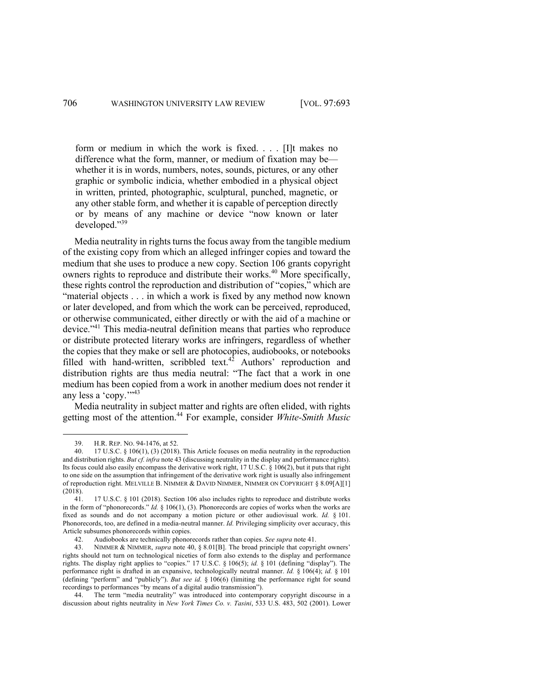form or medium in which the work is fixed. . . . [I]t makes no difference what the form, manner, or medium of fixation may be whether it is in words, numbers, notes, sounds, pictures, or any other graphic or symbolic indicia, whether embodied in a physical object in written, printed, photographic, sculptural, punched, magnetic, or any other stable form, and whether it is capable of perception directly or by means of any machine or device "now known or later developed."39

Media neutrality in rights turns the focus away from the tangible medium of the existing copy from which an alleged infringer copies and toward the medium that she uses to produce a new copy. Section 106 grants copyright owners rights to reproduce and distribute their works. <sup>40</sup> More specifically, these rights control the reproduction and distribution of "copies," which are "material objects . . . in which a work is fixed by any method now known or later developed, and from which the work can be perceived, reproduced, or otherwise communicated, either directly or with the aid of a machine or device."41 This media-neutral definition means that parties who reproduce or distribute protected literary works are infringers, regardless of whether the copies that they make or sell are photocopies, audiobooks, or notebooks filled with hand-written, scribbled text.<sup>42</sup> Authors' reproduction and distribution rights are thus media neutral: "The fact that a work in one medium has been copied from a work in another medium does not render it any less a 'copy."<sup>43</sup>

Media neutrality in subject matter and rights are often elided, with rights getting most of the attention. <sup>44</sup> For example, consider *White-Smith Music* 

<sup>39.</sup> H.R. REP. NO. 94-1476, at 52.

<sup>40.</sup> 17 U.S.C. § 106(1), (3) (2018). This Article focuses on media neutrality in the reproduction and distribution rights. *But cf. infra* note 43 (discussing neutrality in the display and performance rights). Its focus could also easily encompass the derivative work right, 17 U.S.C. § 106(2), but it puts that right to one side on the assumption that infringement of the derivative work right is usually also infringement of reproduction right. MELVILLE B. NIMMER & DAVID NIMMER, NIMMER ON COPYRIGHT § 8.09[A][1] (2018).

<sup>41.</sup> 17 U.S.C. § 101 (2018). Section 106 also includes rights to reproduce and distribute works in the form of "phonorecords." *Id.* § 106(1), (3). Phonorecords are copies of works when the works are fixed as sounds and do not accompany a motion picture or other audiovisual work. *Id.* § 101. Phonorecords, too, are defined in a media-neutral manner. *Id.* Privileging simplicity over accuracy, this Article subsumes phonorecords within copies.

<sup>42.</sup> Audiobooks are technically phonorecords rather than copies. *See supra* note 41.

NIMMER & NIMMER, *supra* note 40, § 8.01[B]. The broad principle that copyright owners' rights should not turn on technological niceties of form also extends to the display and performance rights. The display right applies to "copies." 17 U.S.C. § 106(5); *id.* § 101 (defining "display"). The performance right is drafted in an expansive, technologically neutral manner. *Id.* § 106(4); *id.* § 101 (defining "perform" and "publicly"). *But see id.* § 106(6) (limiting the performance right for sound recordings to performances "by means of a digital audio transmission").

<sup>44.</sup> The term "media neutrality" was introduced into contemporary copyright discourse in a discussion about rights neutrality in *New York Times Co. v. Tasini*, 533 U.S. 483, 502 (2001). Lower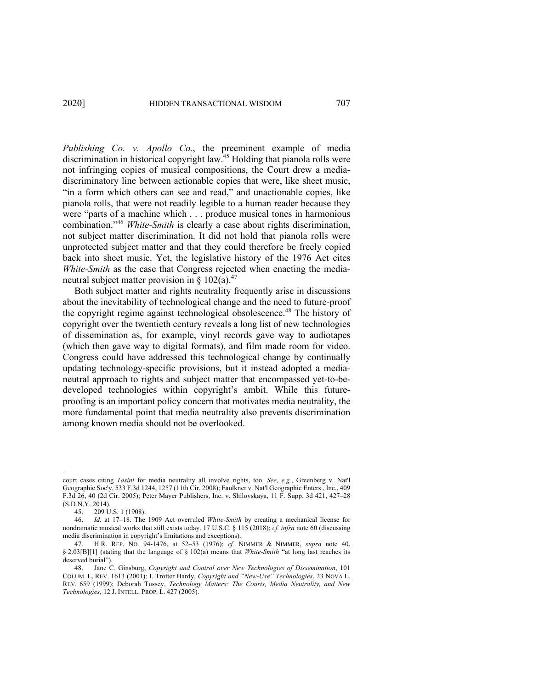*Publishing Co. v. Apollo Co.*, the preeminent example of media discrimination in historical copyright law.<sup>45</sup> Holding that pianola rolls were not infringing copies of musical compositions, the Court drew a mediadiscriminatory line between actionable copies that were, like sheet music, "in a form which others can see and read," and unactionable copies, like pianola rolls, that were not readily legible to a human reader because they were "parts of a machine which . . . produce musical tones in harmonious combination."46 *White-Smith* is clearly a case about rights discrimination, not subject matter discrimination. It did not hold that pianola rolls were unprotected subject matter and that they could therefore be freely copied back into sheet music. Yet, the legislative history of the 1976 Act cites *White-Smith* as the case that Congress rejected when enacting the medianeutral subject matter provision in  $\S$  102(a).<sup>47</sup>

Both subject matter and rights neutrality frequently arise in discussions about the inevitability of technological change and the need to future-proof the copyright regime against technological obsolescence.<sup>48</sup> The history of copyright over the twentieth century reveals a long list of new technologies of dissemination as, for example, vinyl records gave way to audiotapes (which then gave way to digital formats), and film made room for video. Congress could have addressed this technological change by continually updating technology-specific provisions, but it instead adopted a medianeutral approach to rights and subject matter that encompassed yet-to-bedeveloped technologies within copyright's ambit. While this futureproofing is an important policy concern that motivates media neutrality, the more fundamental point that media neutrality also prevents discrimination among known media should not be overlooked.

court cases citing *Tasini* for media neutrality all involve rights, too. *See, e.g.*, Greenberg v. Nat'l Geographic Soc'y, 533 F.3d 1244, 1257 (11th Cir. 2008); Faulkner v. Nat'l Geographic Enters., Inc., 409 F.3d 26, 40 (2d Cir. 2005); Peter Mayer Publishers, Inc. v. Shilovskaya, 11 F. Supp. 3d 421, 427–28 (S.D.N.Y. 2014).

<sup>45. 209</sup> U.S. 1 (1908).<br>46. *Id.* at 17–18. The

<sup>46.</sup> *Id.* at 17–18. The 1909 Act overruled *White-Smith* by creating a mechanical license for nondramatic musical works that still exists today. 17 U.S.C. § 115 (2018); *cf. infra* note 60 (discussing media discrimination in copyright's limitations and exceptions).

<sup>47.</sup> H.R. REP. NO. 94-1476, at 52–53 (1976); *cf.* NIMMER & NIMMER, *supra* note 40, § 2.03[B][1] (stating that the language of § 102(a) means that *White-Smith* "at long last reaches its deserved burial").

<sup>48.</sup> Jane C. Ginsburg, *Copyright and Control over New Technologies of Dissemination*, 101 COLUM. L. REV. 1613 (2001); I. Trotter Hardy, *Copyright and "New-Use" Technologies*, 23 NOVA L. REV. 659 (1999); Deborah Tussey, *Technology Matters: The Courts, Media Neutrality, and New Technologies*, 12 J. INTELL. PROP. L. 427 (2005).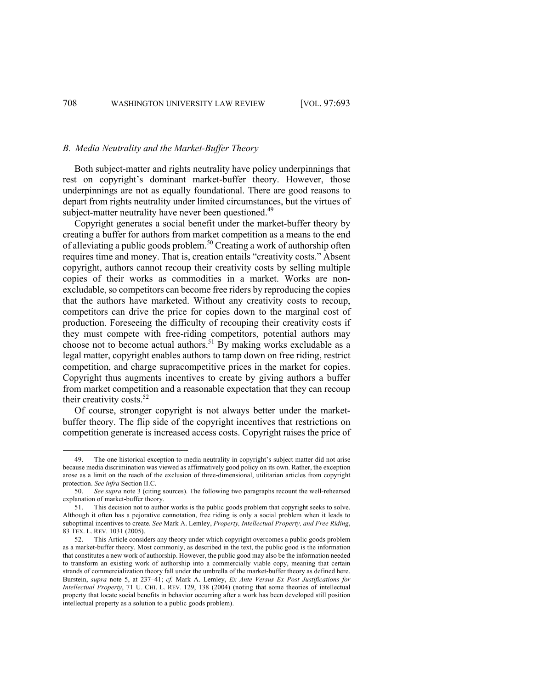#### *B. Media Neutrality and the Market-Buffer Theory*

Both subject-matter and rights neutrality have policy underpinnings that rest on copyright's dominant market-buffer theory. However, those underpinnings are not as equally foundational. There are good reasons to depart from rights neutrality under limited circumstances, but the virtues of subject-matter neutrality have never been questioned.<sup>49</sup>

Copyright generates a social benefit under the market-buffer theory by creating a buffer for authors from market competition as a means to the end of alleviating a public goods problem.<sup>50</sup> Creating a work of authorship often requires time and money. That is, creation entails "creativity costs." Absent copyright, authors cannot recoup their creativity costs by selling multiple copies of their works as commodities in a market. Works are nonexcludable, so competitors can become free riders by reproducing the copies that the authors have marketed. Without any creativity costs to recoup, competitors can drive the price for copies down to the marginal cost of production. Foreseeing the difficulty of recouping their creativity costs if they must compete with free-riding competitors, potential authors may choose not to become actual authors.<sup>51</sup> By making works excludable as a legal matter, copyright enables authors to tamp down on free riding, restrict competition, and charge supracompetitive prices in the market for copies. Copyright thus augments incentives to create by giving authors a buffer from market competition and a reasonable expectation that they can recoup their creativity costs.<sup>52</sup>

Of course, stronger copyright is not always better under the marketbuffer theory. The flip side of the copyright incentives that restrictions on competition generate is increased access costs. Copyright raises the price of

<sup>49.</sup> The one historical exception to media neutrality in copyright's subject matter did not arise because media discrimination was viewed as affirmatively good policy on its own. Rather, the exception arose as a limit on the reach of the exclusion of three-dimensional, utilitarian articles from copyright protection. *See infra* Section II.C.

<sup>50.</sup> *See supra* note 3 (citing sources). The following two paragraphs recount the well-rehearsed explanation of market-buffer theory.

<sup>51.</sup> This decision not to author works is the public goods problem that copyright seeks to solve. Although it often has a pejorative connotation, free riding is only a social problem when it leads to suboptimal incentives to create. *See* Mark A. Lemley, *Property, Intellectual Property, and Free Riding*, 83 TEX. L. REV. 1031 (2005).

<sup>52.</sup> This Article considers any theory under which copyright overcomes a public goods problem as a market-buffer theory. Most commonly, as described in the text, the public good is the information that constitutes a new work of authorship. However, the public good may also be the information needed to transform an existing work of authorship into a commercially viable copy, meaning that certain strands of commercialization theory fall under the umbrella of the market-buffer theory as defined here. Burstein, *supra* note 5, at 237–41; *cf.* Mark A. Lemley, *Ex Ante Versus Ex Post Justifications for Intellectual Property*, 71 U. CHI. L. REV. 129, 138 (2004) (noting that some theories of intellectual property that locate social benefits in behavior occurring after a work has been developed still position intellectual property as a solution to a public goods problem).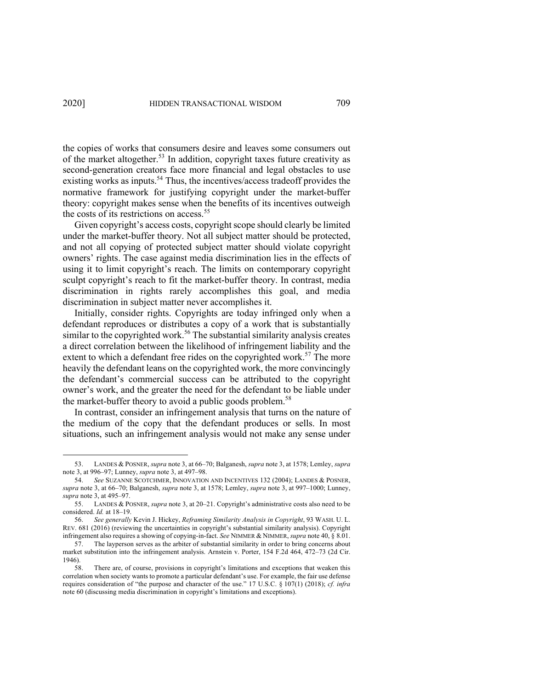the copies of works that consumers desire and leaves some consumers out of the market altogether.<sup>53</sup> In addition, copyright taxes future creativity as second-generation creators face more financial and legal obstacles to use existing works as inputs.<sup>54</sup> Thus, the incentives/access tradeoff provides the normative framework for justifying copyright under the market-buffer theory: copyright makes sense when the benefits of its incentives outweigh the costs of its restrictions on access.<sup>55</sup>

Given copyright's access costs, copyright scope should clearly be limited under the market-buffer theory. Not all subject matter should be protected, and not all copying of protected subject matter should violate copyright owners' rights. The case against media discrimination lies in the effects of using it to limit copyright's reach. The limits on contemporary copyright sculpt copyright's reach to fit the market-buffer theory. In contrast, media discrimination in rights rarely accomplishes this goal, and media discrimination in subject matter never accomplishes it.

Initially, consider rights. Copyrights are today infringed only when a defendant reproduces or distributes a copy of a work that is substantially similar to the copyrighted work.<sup>56</sup> The substantial similarity analysis creates a direct correlation between the likelihood of infringement liability and the extent to which a defendant free rides on the copyrighted work.<sup>57</sup> The more heavily the defendant leans on the copyrighted work, the more convincingly the defendant's commercial success can be attributed to the copyright owner's work, and the greater the need for the defendant to be liable under the market-buffer theory to avoid a public goods problem.<sup>58</sup>

In contrast, consider an infringement analysis that turns on the nature of the medium of the copy that the defendant produces or sells. In most situations, such an infringement analysis would not make any sense under

<sup>53.</sup> LANDES & POSNER, *supra* note 3, at 66–70; Balganesh, *supra* note 3, at 1578; Lemley, *supra*  note 3, at 996–97; Lunney, *supra* note 3, at 497–98.

<sup>54.</sup> *See* SUZANNE SCOTCHMER, INNOVATION AND INCENTIVES 132 (2004); LANDES & POSNER, *supra* note 3, at 66–70; Balganesh, *supra* note 3, at 1578; Lemley, *supra* note 3, at 997–1000; Lunney, *supra* note 3, at 495–97.

<sup>55.</sup> LANDES & POSNER, *supra* note 3, at 20–21. Copyright's administrative costs also need to be considered. *Id.* at 18–19.

<sup>56.</sup> *See generally* Kevin J. Hickey, *Reframing Similarity Analysis in Copyright*, 93 WASH. U. L. REV. 681 (2016) (reviewing the uncertainties in copyright's substantial similarity analysis). Copyright infringement also requires a showing of copying-in-fact. *See* NIMMER & NIMMER, *supra* note 40, § 8.01.

<sup>57.</sup> The layperson serves as the arbiter of substantial similarity in order to bring concerns about market substitution into the infringement analysis. Arnstein v. Porter, 154 F.2d 464, 472–73 (2d Cir. 1946).

<sup>58.</sup> There are, of course, provisions in copyright's limitations and exceptions that weaken this correlation when society wants to promote a particular defendant's use. For example, the fair use defense requires consideration of "the purpose and character of the use." 17 U.S.C. § 107(1) (2018); *cf. infra*  note 60 (discussing media discrimination in copyright's limitations and exceptions).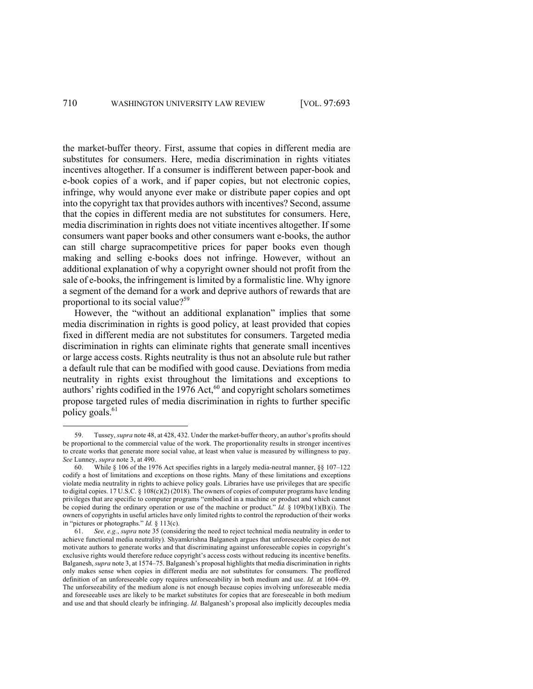the market-buffer theory. First, assume that copies in different media are substitutes for consumers. Here, media discrimination in rights vitiates incentives altogether. If a consumer is indifferent between paper-book and e-book copies of a work, and if paper copies, but not electronic copies, infringe, why would anyone ever make or distribute paper copies and opt into the copyright tax that provides authors with incentives? Second, assume that the copies in different media are not substitutes for consumers. Here, media discrimination in rights does not vitiate incentives altogether. If some consumers want paper books and other consumers want e-books, the author can still charge supracompetitive prices for paper books even though making and selling e-books does not infringe. However, without an additional explanation of why a copyright owner should not profit from the sale of e-books, the infringement is limited by a formalistic line. Why ignore a segment of the demand for a work and deprive authors of rewards that are proportional to its social value?<sup>59</sup>

However, the "without an additional explanation" implies that some media discrimination in rights is good policy, at least provided that copies fixed in different media are not substitutes for consumers. Targeted media discrimination in rights can eliminate rights that generate small incentives or large access costs. Rights neutrality is thus not an absolute rule but rather a default rule that can be modified with good cause. Deviations from media neutrality in rights exist throughout the limitations and exceptions to authors' rights codified in the 1976 Act,<sup>60</sup> and copyright scholars sometimes propose targeted rules of media discrimination in rights to further specific policy goals.<sup>61</sup>

<sup>59.</sup> Tussey, *supra* note 48, at 428, 432. Under the market-buffer theory, an author's profits should be proportional to the commercial value of the work. The proportionality results in stronger incentives to create works that generate more social value, at least when value is measured by willingness to pay. *See* Lunney, *supra* note 3, at 490.

<sup>60.</sup> While § 106 of the 1976 Act specifies rights in a largely media-neutral manner, §§ 107–122 codify a host of limitations and exceptions on those rights. Many of these limitations and exceptions violate media neutrality in rights to achieve policy goals. Libraries have use privileges that are specific to digital copies. 17 U.S.C. § 108(c)(2) (2018). The owners of copies of computer programs have lending privileges that are specific to computer programs "embodied in a machine or product and which cannot be copied during the ordinary operation or use of the machine or product." *Id.* § 109(b)(1)(B)(i). The owners of copyrights in useful articles have only limited rights to control the reproduction of their works in "pictures or photographs." *Id.* § 113(c).

<sup>61.</sup> *See, e.g.*, *supra* note 35 (considering the need to reject technical media neutrality in order to achieve functional media neutrality). Shyamkrishna Balganesh argues that unforeseeable copies do not motivate authors to generate works and that discriminating against unforeseeable copies in copyright's exclusive rights would therefore reduce copyright's access costs without reducing its incentive benefits. Balganesh, *supra* note 3, at 1574–75. Balganesh's proposal highlights that media discrimination in rights only makes sense when copies in different media are not substitutes for consumers. The proffered definition of an unforeseeable copy requires unforseeability in both medium and use. *Id.* at 1604–09. The unforseeability of the medium alone is not enough because copies involving unforeseeable media and foreseeable uses are likely to be market substitutes for copies that are foreseeable in both medium and use and that should clearly be infringing. *Id.* Balganesh's proposal also implicitly decouples media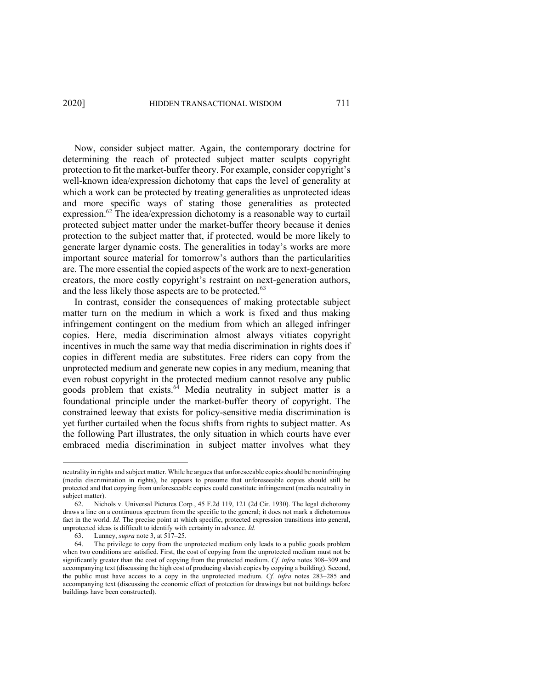Now, consider subject matter. Again, the contemporary doctrine for determining the reach of protected subject matter sculpts copyright protection to fit the market-buffer theory. For example, consider copyright's well-known idea/expression dichotomy that caps the level of generality at which a work can be protected by treating generalities as unprotected ideas and more specific ways of stating those generalities as protected expression.<sup>62</sup> The idea/expression dichotomy is a reasonable way to curtail protected subject matter under the market-buffer theory because it denies protection to the subject matter that, if protected, would be more likely to generate larger dynamic costs. The generalities in today's works are more important source material for tomorrow's authors than the particularities are. The more essential the copied aspects of the work are to next-generation creators, the more costly copyright's restraint on next-generation authors, and the less likely those aspects are to be protected.<sup>63</sup>

In contrast, consider the consequences of making protectable subject matter turn on the medium in which a work is fixed and thus making infringement contingent on the medium from which an alleged infringer copies. Here, media discrimination almost always vitiates copyright incentives in much the same way that media discrimination in rights does if copies in different media are substitutes. Free riders can copy from the unprotected medium and generate new copies in any medium, meaning that even robust copyright in the protected medium cannot resolve any public goods problem that exists. $64$  Media neutrality in subject matter is a foundational principle under the market-buffer theory of copyright. The constrained leeway that exists for policy-sensitive media discrimination is yet further curtailed when the focus shifts from rights to subject matter. As the following Part illustrates, the only situation in which courts have ever embraced media discrimination in subject matter involves what they

neutrality in rights and subject matter. While he argues that unforeseeable copies should be noninfringing (media discrimination in rights), he appears to presume that unforeseeable copies should still be protected and that copying from unforeseeable copies could constitute infringement (media neutrality in subject matter).

<sup>62.</sup> Nichols v. Universal Pictures Corp*.*, 45 F.2d 119, 121 (2d Cir. 1930). The legal dichotomy draws a line on a continuous spectrum from the specific to the general; it does not mark a dichotomous fact in the world. *Id.* The precise point at which specific, protected expression transitions into general, unprotected ideas is difficult to identify with certainty in advance. *Id.*

<sup>63.</sup> Lunney, *supra* note 3, at 517–25.

The privilege to copy from the unprotected medium only leads to a public goods problem when two conditions are satisfied. First, the cost of copying from the unprotected medium must not be significantly greater than the cost of copying from the protected medium. *Cf. infra* notes 308–309 and accompanying text (discussing the high cost of producing slavish copies by copying a building). Second, the public must have access to a copy in the unprotected medium. *Cf. infra* notes 283–285 and accompanying text (discussing the economic effect of protection for drawings but not buildings before buildings have been constructed).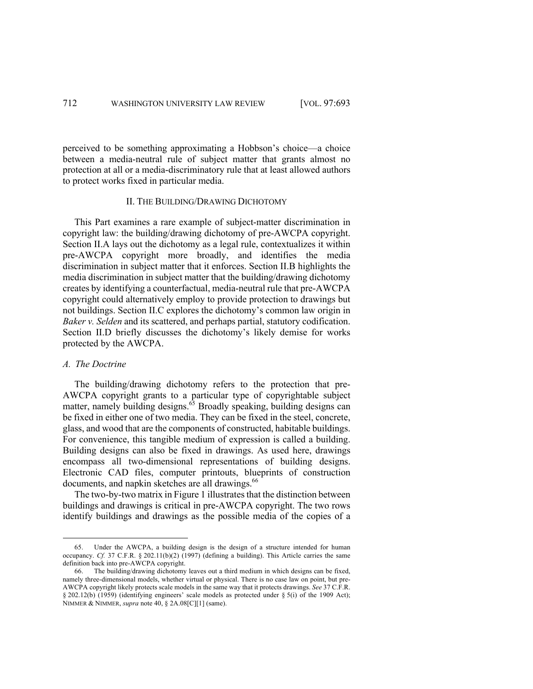perceived to be something approximating a Hobbson's choice—a choice between a media-neutral rule of subject matter that grants almost no protection at all or a media-discriminatory rule that at least allowed authors to protect works fixed in particular media.

## II. THE BUILDING/DRAWING DICHOTOMY

This Part examines a rare example of subject-matter discrimination in copyright law: the building/drawing dichotomy of pre-AWCPA copyright. Section II.A lays out the dichotomy as a legal rule, contextualizes it within pre-AWCPA copyright more broadly, and identifies the media discrimination in subject matter that it enforces. Section II.B highlights the media discrimination in subject matter that the building/drawing dichotomy creates by identifying a counterfactual, media-neutral rule that pre-AWCPA copyright could alternatively employ to provide protection to drawings but not buildings. Section II.C explores the dichotomy's common law origin in *Baker v. Selden* and its scattered, and perhaps partial, statutory codification. Section II.D briefly discusses the dichotomy's likely demise for works protected by the AWCPA.

### *A. The Doctrine*

The building/drawing dichotomy refers to the protection that pre-AWCPA copyright grants to a particular type of copyrightable subject matter, namely building designs.<sup>65</sup> Broadly speaking, building designs can be fixed in either one of two media. They can be fixed in the steel, concrete, glass, and wood that are the components of constructed, habitable buildings. For convenience, this tangible medium of expression is called a building. Building designs can also be fixed in drawings. As used here, drawings encompass all two-dimensional representations of building designs. Electronic CAD files, computer printouts, blueprints of construction documents, and napkin sketches are all drawings.<sup>66</sup>

The two-by-two matrix in Figure 1 illustrates that the distinction between buildings and drawings is critical in pre-AWCPA copyright. The two rows identify buildings and drawings as the possible media of the copies of a

<sup>65.</sup> Under the AWCPA, a building design is the design of a structure intended for human occupancy. *Cf.* 37 C.F.R. § 202.11(b)(2) (1997) (defining a building). This Article carries the same definition back into pre-AWCPA copyright.

<sup>66.</sup> The building/drawing dichotomy leaves out a third medium in which designs can be fixed, namely three-dimensional models, whether virtual or physical. There is no case law on point, but pre-AWCPA copyright likely protects scale models in the same way that it protects drawings. *See* 37 C.F.R. § 202.12(b) (1959) (identifying engineers' scale models as protected under § 5(i) of the 1909 Act); NIMMER & NIMMER, *supra* note 40, § 2A.08[C][1] (same).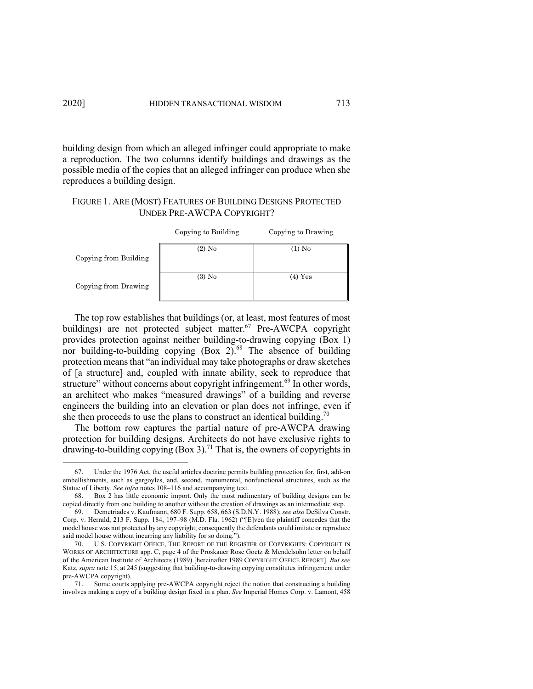building design from which an alleged infringer could appropriate to make a reproduction. The two columns identify buildings and drawings as the possible media of the copies that an alleged infringer can produce when she reproduces a building design.

# FIGURE 1. ARE (MOST) FEATURES OF BUILDING DESIGNS PROTECTED UNDER PRE-AWCPA COPYRIGHT?

|                       | Copying to Building | Copying to Drawing |
|-----------------------|---------------------|--------------------|
| Copying from Building | $(2)$ No            | $(1)$ No           |
| Copying from Drawing  | $(3)$ No            | $(4)$ Yes          |

The top row establishes that buildings (or, at least, most features of most buildings) are not protected subject matter.<sup>67</sup> Pre-AWCPA copyright provides protection against neither building-to-drawing copying (Box 1) nor building-to-building copying (Box 2).<sup>68</sup> The absence of building protection means that "an individual may take photographs or draw sketches of [a structure] and, coupled with innate ability, seek to reproduce that structure" without concerns about copyright infringement.<sup>69</sup> In other words, an architect who makes "measured drawings" of a building and reverse engineers the building into an elevation or plan does not infringe, even if she then proceeds to use the plans to construct an identical building.<sup>70</sup>

The bottom row captures the partial nature of pre-AWCPA drawing protection for building designs. Architects do not have exclusive rights to drawing-to-building copying  $(Box 3)$ .<sup>71</sup> That is, the owners of copyrights in

Under the 1976 Act, the useful articles doctrine permits building protection for, first, add-on embellishments, such as gargoyles, and, second, monumental, nonfunctional structures, such as the Statue of Liberty. *See infra* notes 108–116 and accompanying text.

<sup>68.</sup> Box 2 has little economic import. Only the most rudimentary of building designs can be copied directly from one building to another without the creation of drawings as an intermediate step.

<sup>69.</sup> Demetriades v. Kaufmann, 680 F. Supp. 658, 663 (S.D.N.Y. 1988); *see also* DeSilva Constr. Corp. v. Herrald, 213 F. Supp. 184, 197–98 (M.D. Fla. 1962) ("[E]ven the plaintiff concedes that the model house was not protected by any copyright; consequently the defendants could imitate or reproduce said model house without incurring any liability for so doing.").

<sup>70.</sup> U.S. COPYRIGHT OFFICE, THE REPORT OF THE REGISTER OF COPYRIGHTS: COPYRIGHT IN WORKS OF ARCHITECTURE app. C, page 4 of the Proskauer Rose Goetz & Mendelsohn letter on behalf of the American Institute of Architects (1989) [hereinafter 1989 COPYRIGHT OFFICE REPORT]. *But see*  Katz, *supra* note 15, at 245 (suggesting that building-to-drawing copying constitutes infringement under pre-AWCPA copyright).

<sup>71.</sup> Some courts applying pre-AWCPA copyright reject the notion that constructing a building involves making a copy of a building design fixed in a plan. *See* Imperial Homes Corp. v. Lamont, 458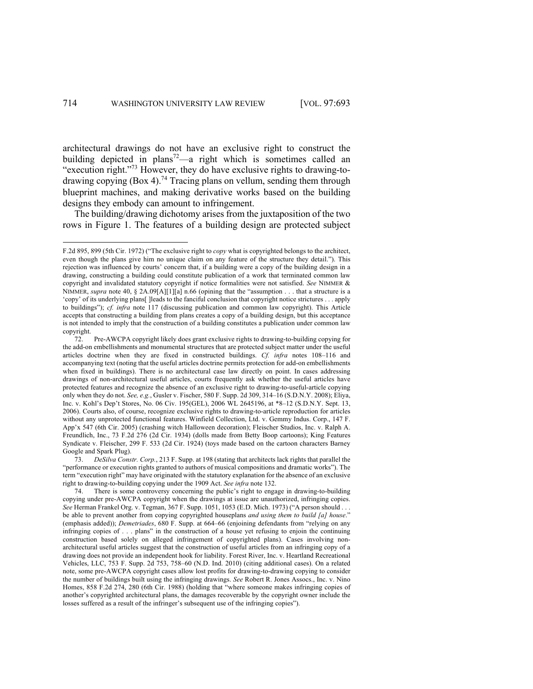architectural drawings do not have an exclusive right to construct the building depicted in plans<sup>72</sup>—a right which is sometimes called an "execution right."<sup>73</sup> However, they do have exclusive rights to drawing-todrawing copying (Box 4).<sup>74</sup> Tracing plans on vellum, sending them through blueprint machines, and making derivative works based on the building designs they embody can amount to infringement.

The building/drawing dichotomy arises from the juxtaposition of the two rows in Figure 1. The features of a building design are protected subject

F.2d 895, 899 (5th Cir. 1972) ("The exclusive right to *copy* what is copyrighted belongs to the architect, even though the plans give him no unique claim on any feature of the structure they detail."). This rejection was influenced by courts' concern that, if a building were a copy of the building design in a drawing, constructing a building could constitute publication of a work that terminated common law copyright and invalidated statutory copyright if notice formalities were not satisfied. *See* NIMMER & NIMMER, *supra* note 40, § 2A.09[A][1][a] n.66 (opining that the "assumption . . . that a structure is a 'copy' of its underlying plans[ ]leads to the fanciful conclusion that copyright notice strictures . . . apply to buildings"); *cf. infra* note 117 (discussing publication and common law copyright). This Article accepts that constructing a building from plans creates a copy of a building design, but this acceptance is not intended to imply that the construction of a building constitutes a publication under common law copyright.

<sup>72.</sup> Pre-AWCPA copyright likely does grant exclusive rights to drawing-to-building copying for the add-on embellishments and monumental structures that are protected subject matter under the useful articles doctrine when they are fixed in constructed buildings. *Cf. infra* notes 108–116 and accompanying text (noting that the useful articles doctrine permits protection for add-on embellishments when fixed in buildings). There is no architectural case law directly on point. In cases addressing drawings of non-architectural useful articles, courts frequently ask whether the useful articles have protected features and recognize the absence of an exclusive right to drawing-to-useful-article copying only when they do not. *See, e.g.*, Gusler v. Fischer, 580 F. Supp. 2d 309, 314–16 (S.D.N.Y. 2008); Eliya, Inc. v. Kohl's Dep't Stores, No. 06 Civ. 195(GEL), 2006 WL 2645196, at \*8–12 (S.D.N.Y. Sept. 13, 2006). Courts also, of course, recognize exclusive rights to drawing-to-article reproduction for articles without any unprotected functional features. Winfield Collection, Ltd. v. Gemmy Indus. Corp., 147 F. App'x 547 (6th Cir. 2005) (crashing witch Halloween decoration); Fleischer Studios, Inc. v. Ralph A. Freundlich, Inc., 73 F.2d 276 (2d Cir. 1934) (dolls made from Betty Boop cartoons); King Features Syndicate v. Fleischer, 299 F. 533 (2d Cir. 1924) (toys made based on the cartoon characters Barney Google and Spark Plug).

<sup>73.</sup> *DeSilva Constr. Corp.*, 213 F. Supp. at 198 (stating that architects lack rights that parallel the "performance or execution rights granted to authors of musical compositions and dramatic works"). The term "execution right" may have originated with the statutory explanation for the absence of an exclusive right to drawing-to-building copying under the 1909 Act. *See infra* note 132.

There is some controversy concerning the public's right to engage in drawing-to-building copying under pre-AWCPA copyright when the drawings at issue are unauthorized, infringing copies. *See* Herman Frankel Org. v. Tegman, 367 F. Supp. 1051, 1053 (E.D. Mich. 1973) ("A person should . . . be able to prevent another from copying copyrighted houseplans *and using them to build [a] house*." (emphasis added)); *Demetriades*, 680 F. Supp. at 664–66 (enjoining defendants from "relying on any infringing copies of . . . plans" in the construction of a house yet refusing to enjoin the continuing construction based solely on alleged infringement of copyrighted plans). Cases involving nonarchitectural useful articles suggest that the construction of useful articles from an infringing copy of a drawing does not provide an independent hook for liability. Forest River, Inc. v. Heartland Recreational Vehicles, LLC, 753 F. Supp. 2d 753, 758–60 (N.D. Ind. 2010) (citing additional cases). On a related note, some pre-AWCPA copyright cases allow lost profits for drawing-to-drawing copying to consider the number of buildings built using the infringing drawings. *See* Robert R. Jones Assocs., Inc. v. Nino Homes, 858 F.2d 274, 280 (6th Cir. 1988) (holding that "where someone makes infringing copies of another's copyrighted architectural plans, the damages recoverable by the copyright owner include the losses suffered as a result of the infringer's subsequent use of the infringing copies").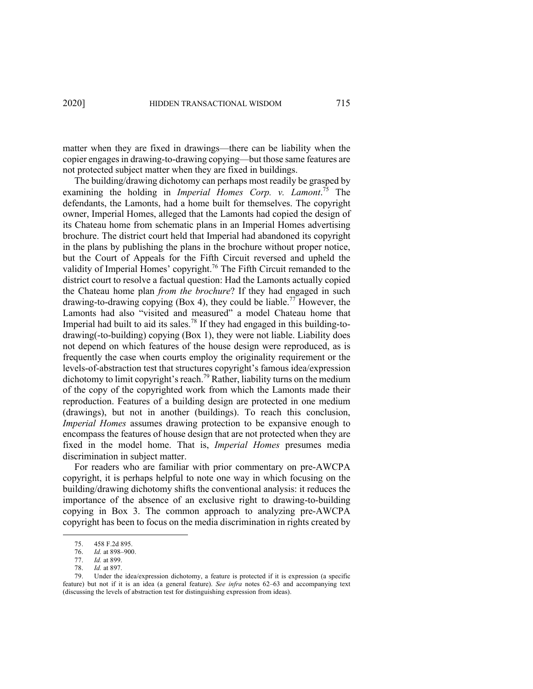matter when they are fixed in drawings—there can be liability when the copier engages in drawing-to-drawing copying—but those same features are not protected subject matter when they are fixed in buildings.

The building/drawing dichotomy can perhaps most readily be grasped by examining the holding in *Imperial Homes Corp. v. Lamont*. <sup>75</sup> The defendants, the Lamonts, had a home built for themselves. The copyright owner, Imperial Homes, alleged that the Lamonts had copied the design of its Chateau home from schematic plans in an Imperial Homes advertising brochure. The district court held that Imperial had abandoned its copyright in the plans by publishing the plans in the brochure without proper notice, but the Court of Appeals for the Fifth Circuit reversed and upheld the validity of Imperial Homes' copyright.<sup>76</sup> The Fifth Circuit remanded to the district court to resolve a factual question: Had the Lamonts actually copied the Chateau home plan *from the brochure*? If they had engaged in such drawing-to-drawing copying (Box 4), they could be liable.<sup>77</sup> However, the Lamonts had also "visited and measured" a model Chateau home that Imperial had built to aid its sales.<sup>78</sup> If they had engaged in this building-todrawing(-to-building) copying (Box 1), they were not liable. Liability does not depend on which features of the house design were reproduced, as is frequently the case when courts employ the originality requirement or the levels-of-abstraction test that structures copyright's famous idea/expression dichotomy to limit copyright's reach.<sup>79</sup> Rather, liability turns on the medium of the copy of the copyrighted work from which the Lamonts made their reproduction. Features of a building design are protected in one medium (drawings), but not in another (buildings). To reach this conclusion, *Imperial Homes* assumes drawing protection to be expansive enough to encompass the features of house design that are not protected when they are fixed in the model home. That is, *Imperial Homes* presumes media discrimination in subject matter.

For readers who are familiar with prior commentary on pre-AWCPA copyright, it is perhaps helpful to note one way in which focusing on the building/drawing dichotomy shifts the conventional analysis: it reduces the importance of the absence of an exclusive right to drawing-to-building copying in Box 3. The common approach to analyzing pre-AWCPA copyright has been to focus on the media discrimination in rights created by

<sup>75.</sup> 458 F.2d 895.

<sup>76.</sup> *Id.* at 898–900.

<sup>77.</sup> *Id.* at 899.

<sup>78.</sup> *Id.* at 897.

<sup>79.</sup> Under the idea/expression dichotomy, a feature is protected if it is expression (a specific feature) but not if it is an idea (a general feature). *See infra* notes 62–63 and accompanying text (discussing the levels of abstraction test for distinguishing expression from ideas).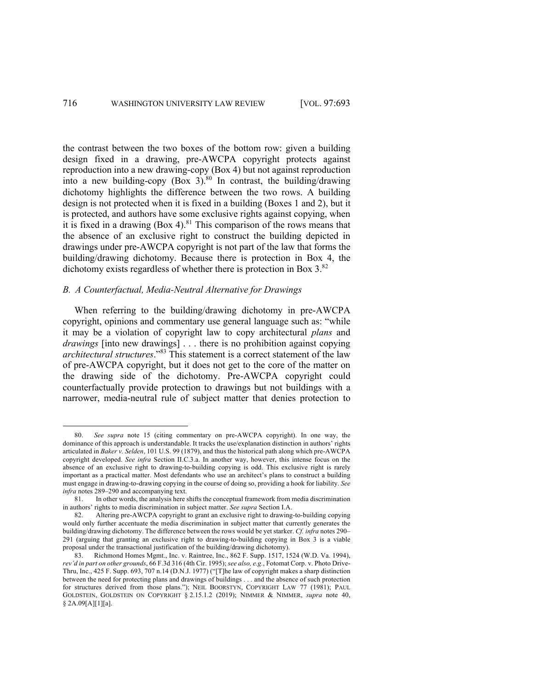the contrast between the two boxes of the bottom row: given a building design fixed in a drawing, pre-AWCPA copyright protects against reproduction into a new drawing-copy (Box 4) but not against reproduction into a new building-copy  $(Box 3)$ .<sup>80</sup> In contrast, the building/drawing dichotomy highlights the difference between the two rows. A building design is not protected when it is fixed in a building (Boxes 1 and 2), but it is protected, and authors have some exclusive rights against copying, when it is fixed in a drawing  $(Box 4)$ .<sup>81</sup> This comparison of the rows means that the absence of an exclusive right to construct the building depicted in drawings under pre-AWCPA copyright is not part of the law that forms the building/drawing dichotomy. Because there is protection in Box 4, the dichotomy exists regardless of whether there is protection in Box  $3^{82}$ .

## *B. A Counterfactual, Media-Neutral Alternative for Drawings*

When referring to the building/drawing dichotomy in pre-AWCPA copyright, opinions and commentary use general language such as: "while it may be a violation of copyright law to copy architectural *plans* and *drawings* [into new drawings] . . . there is no prohibition against copying *architectural structures*."<sup>83</sup> This statement is a correct statement of the law of pre-AWCPA copyright, but it does not get to the core of the matter on the drawing side of the dichotomy. Pre-AWCPA copyright could counterfactually provide protection to drawings but not buildings with a narrower, media-neutral rule of subject matter that denies protection to

<sup>80.</sup> *See supra* note 15 (citing commentary on pre-AWCPA copyright). In one way, the dominance of this approach is understandable. It tracks the use/explanation distinction in authors' rights articulated in *Baker v. Selden*, 101 U.S. 99 (1879), and thus the historical path along which pre-AWCPA copyright developed. *See infra* Section II.C.3.a. In another way, however, this intense focus on the absence of an exclusive right to drawing-to-building copying is odd. This exclusive right is rarely important as a practical matter. Most defendants who use an architect's plans to construct a building must engage in drawing-to-drawing copying in the course of doing so, providing a hook for liability. *See infra* notes 289–290 and accompanying text.

<sup>81.</sup> In other words, the analysis here shifts the conceptual framework from media discrimination in authors' rights to media discrimination in subject matter. *See supra* Section I.A.

<sup>82.</sup> Altering pre-AWCPA copyright to grant an exclusive right to drawing-to-building copying would only further accentuate the media discrimination in subject matter that currently generates the building/drawing dichotomy. The difference between the rows would be yet starker. *Cf. infra* notes 290– 291 (arguing that granting an exclusive right to drawing-to-building copying in Box 3 is a viable proposal under the transactional justification of the building/drawing dichotomy).

<sup>83.</sup> Richmond Homes Mgmt., Inc. v. Raintree, Inc., 862 F. Supp. 1517, 1524 (W.D. Va. 1994), *rev'd in part on other grounds*, 66 F.3d 316 (4th Cir. 1995); *see also, e.g.*, Fotomat Corp. v. Photo Drive-Thru, Inc., 425 F. Supp. 693, 707 n.14 (D.N.J. 1977) ("[T]he law of copyright makes a sharp distinction between the need for protecting plans and drawings of buildings . . . and the absence of such protection for structures derived from those plans."); NEIL BOORSTYN, COPYRIGHT LAW 77 (1981); PAUL GOLDSTEIN, GOLDSTEIN ON COPYRIGHT § 2.15.1.2 (2019); NIMMER & NIMMER, *supra* note 40, § 2A.09[A][1][a].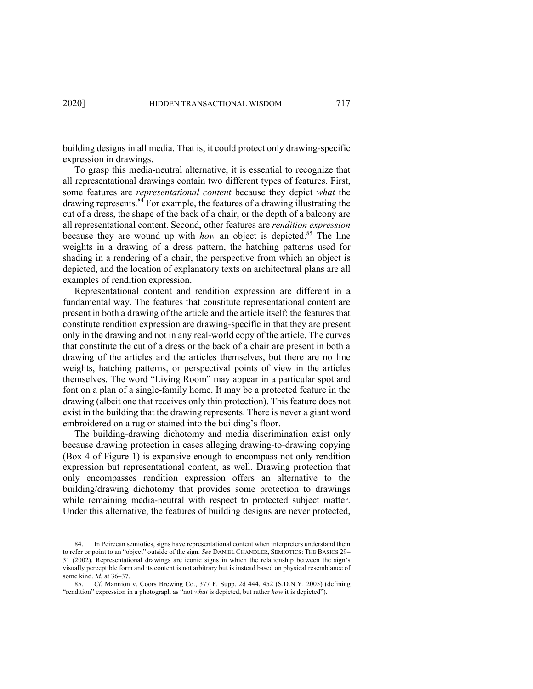building designs in all media. That is, it could protect only drawing-specific expression in drawings.

To grasp this media-neutral alternative, it is essential to recognize that all representational drawings contain two different types of features. First, some features are *representational content* because they depict *what* the drawing represents.84 For example, the features of a drawing illustrating the cut of a dress, the shape of the back of a chair, or the depth of a balcony are all representational content. Second, other features are *rendition expression* because they are wound up with *how* an object is depicted.85 The line weights in a drawing of a dress pattern, the hatching patterns used for shading in a rendering of a chair, the perspective from which an object is depicted, and the location of explanatory texts on architectural plans are all examples of rendition expression.

Representational content and rendition expression are different in a fundamental way. The features that constitute representational content are present in both a drawing of the article and the article itself; the features that constitute rendition expression are drawing-specific in that they are present only in the drawing and not in any real-world copy of the article. The curves that constitute the cut of a dress or the back of a chair are present in both a drawing of the articles and the articles themselves, but there are no line weights, hatching patterns, or perspectival points of view in the articles themselves. The word "Living Room" may appear in a particular spot and font on a plan of a single-family home. It may be a protected feature in the drawing (albeit one that receives only thin protection). This feature does not exist in the building that the drawing represents. There is never a giant word embroidered on a rug or stained into the building's floor.

The building-drawing dichotomy and media discrimination exist only because drawing protection in cases alleging drawing-to-drawing copying (Box 4 of Figure 1) is expansive enough to encompass not only rendition expression but representational content, as well. Drawing protection that only encompasses rendition expression offers an alternative to the building/drawing dichotomy that provides some protection to drawings while remaining media-neutral with respect to protected subject matter. Under this alternative, the features of building designs are never protected,

<sup>84.</sup> In Peircean semiotics, signs have representational content when interpreters understand them to refer or point to an "object" outside of the sign. *See* DANIEL CHANDLER, SEMIOTICS: THE BASICS 29– 31 (2002). Representational drawings are iconic signs in which the relationship between the sign's visually perceptible form and its content is not arbitrary but is instead based on physical resemblance of some kind. *Id.* at 36–37.

<sup>85.</sup> *Cf.* Mannion v. Coors Brewing Co., 377 F. Supp. 2d 444, 452 (S.D.N.Y. 2005) (defining "rendition" expression in a photograph as "not *what* is depicted, but rather *how* it is depicted").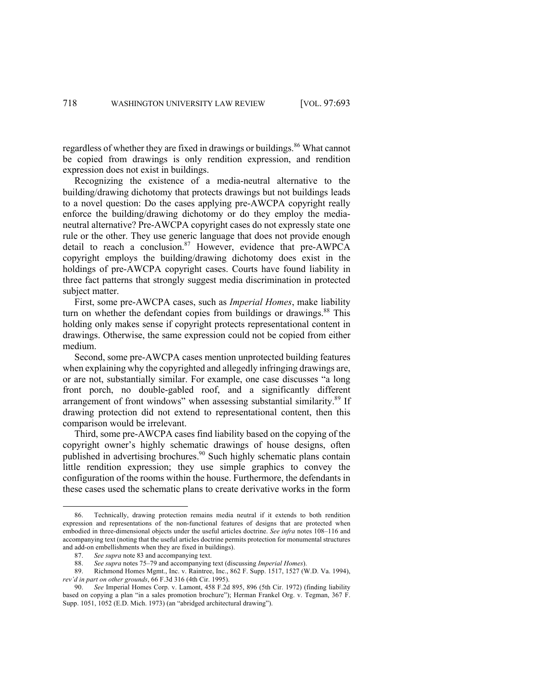regardless of whether they are fixed in drawings or buildings.<sup>86</sup> What cannot be copied from drawings is only rendition expression, and rendition expression does not exist in buildings.

Recognizing the existence of a media-neutral alternative to the building/drawing dichotomy that protects drawings but not buildings leads to a novel question: Do the cases applying pre-AWCPA copyright really enforce the building/drawing dichotomy or do they employ the medianeutral alternative? Pre-AWCPA copyright cases do not expressly state one rule or the other. They use generic language that does not provide enough detail to reach a conclusion.<sup>87</sup> However, evidence that pre-AWPCA copyright employs the building/drawing dichotomy does exist in the holdings of pre-AWCPA copyright cases. Courts have found liability in three fact patterns that strongly suggest media discrimination in protected subject matter.

First, some pre-AWCPA cases, such as *Imperial Homes*, make liability turn on whether the defendant copies from buildings or drawings.<sup>88</sup> This holding only makes sense if copyright protects representational content in drawings. Otherwise, the same expression could not be copied from either medium.

Second, some pre-AWCPA cases mention unprotected building features when explaining why the copyrighted and allegedly infringing drawings are, or are not, substantially similar. For example, one case discusses "a long front porch, no double-gabled roof, and a significantly different arrangement of front windows" when assessing substantial similarity.<sup>89</sup> If drawing protection did not extend to representational content, then this comparison would be irrelevant.

Third, some pre-AWCPA cases find liability based on the copying of the copyright owner's highly schematic drawings of house designs, often published in advertising brochures.<sup>90</sup> Such highly schematic plans contain little rendition expression; they use simple graphics to convey the configuration of the rooms within the house. Furthermore, the defendants in these cases used the schematic plans to create derivative works in the form

<sup>86.</sup> Technically, drawing protection remains media neutral if it extends to both rendition expression and representations of the non-functional features of designs that are protected when embodied in three-dimensional objects under the useful articles doctrine. *See infra* notes 108–116 and accompanying text (noting that the useful articles doctrine permits protection for monumental structures and add-on embellishments when they are fixed in buildings).

<sup>87.</sup> *See supra* note 83 and accompanying text.

<sup>88.</sup> *See supra* notes 75–79 and accompanying text (discussing *Imperial Homes*).

<sup>89.</sup> Richmond Homes Mgmt., Inc. v. Raintree, Inc., 862 F. Supp. 1517, 1527 (W.D. Va. 1994), *rev'd in part on other grounds*, 66 F.3d 316 (4th Cir. 1995).

<sup>90.</sup> *See* Imperial Homes Corp. v. Lamont, 458 F.2d 895, 896 (5th Cir. 1972) (finding liability based on copying a plan "in a sales promotion brochure"); Herman Frankel Org. v. Tegman, 367 F. Supp. 1051, 1052 (E.D. Mich. 1973) (an "abridged architectural drawing").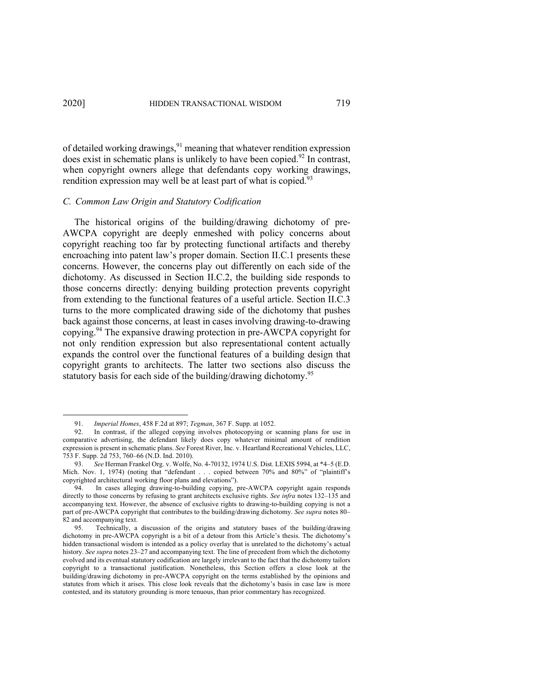of detailed working drawings,  $91$  meaning that whatever rendition expression does exist in schematic plans is unlikely to have been copied. $92$  In contrast, when copyright owners allege that defendants copy working drawings, rendition expression may well be at least part of what is copied.<sup>93</sup>

### *C. Common Law Origin and Statutory Codification*

The historical origins of the building/drawing dichotomy of pre-AWCPA copyright are deeply enmeshed with policy concerns about copyright reaching too far by protecting functional artifacts and thereby encroaching into patent law's proper domain. Section II.C.1 presents these concerns. However, the concerns play out differently on each side of the dichotomy. As discussed in Section II.C.2, the building side responds to those concerns directly: denying building protection prevents copyright from extending to the functional features of a useful article. Section II.C.3 turns to the more complicated drawing side of the dichotomy that pushes back against those concerns, at least in cases involving drawing-to-drawing copying. <sup>94</sup> The expansive drawing protection in pre-AWCPA copyright for not only rendition expression but also representational content actually expands the control over the functional features of a building design that copyright grants to architects. The latter two sections also discuss the statutory basis for each side of the building/drawing dichotomy.<sup>95</sup>

<sup>91.</sup> *Imperial Homes*, 458 F.2d at 897; *Tegman*, 367 F. Supp. at 1052.

<sup>92.</sup> In contrast, if the alleged copying involves photocopying or scanning plans for use in comparative advertising, the defendant likely does copy whatever minimal amount of rendition expression is present in schematic plans. *See* Forest River, Inc. v. Heartland Recreational Vehicles, LLC, 753 F. Supp. 2d 753, 760–66 (N.D. Ind. 2010).

<sup>93.</sup> *See* Herman Frankel Org. v. Wolfe, No. 4-70132, 1974 U.S. Dist. LEXIS 5994, at \*4–5 (E.D. Mich. Nov. 1, 1974) (noting that "defendant . . . copied between 70% and 80%" of "plaintiff's copyrighted architectural working floor plans and elevations").

<sup>94.</sup> In cases alleging drawing-to-building copying, pre-AWCPA copyright again responds directly to those concerns by refusing to grant architects exclusive rights. *See infra* notes 132–135 and accompanying text. However, the absence of exclusive rights to drawing-to-building copying is not a part of pre-AWCPA copyright that contributes to the building/drawing dichotomy. *See supra* notes 80– 82 and accompanying text.

<sup>95.</sup> Technically, a discussion of the origins and statutory bases of the building/drawing dichotomy in pre-AWCPA copyright is a bit of a detour from this Article's thesis. The dichotomy's hidden transactional wisdom is intended as a policy overlay that is unrelated to the dichotomy's actual history. *See supra* notes 23–27 and accompanying text. The line of precedent from which the dichotomy evolved and its eventual statutory codification are largely irrelevant to the fact that the dichotomy tailors copyright to a transactional justification. Nonetheless, this Section offers a close look at the building/drawing dichotomy in pre-AWCPA copyright on the terms established by the opinions and statutes from which it arises. This close look reveals that the dichotomy's basis in case law is more contested, and its statutory grounding is more tenuous, than prior commentary has recognized.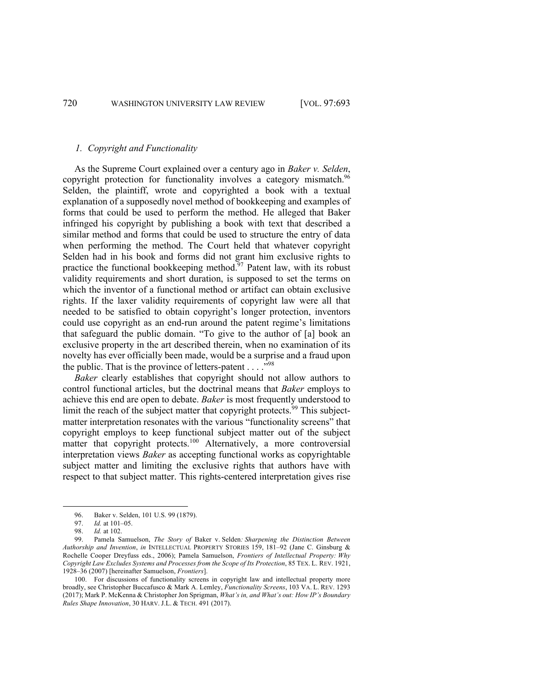# *1. Copyright and Functionality*

As the Supreme Court explained over a century ago in *Baker v. Selden*, copyright protection for functionality involves a category mismatch.<sup>96</sup> Selden, the plaintiff, wrote and copyrighted a book with a textual explanation of a supposedly novel method of bookkeeping and examples of forms that could be used to perform the method. He alleged that Baker infringed his copyright by publishing a book with text that described a similar method and forms that could be used to structure the entry of data when performing the method. The Court held that whatever copyright Selden had in his book and forms did not grant him exclusive rights to practice the functional bookkeeping method. $97$  Patent law, with its robust validity requirements and short duration, is supposed to set the terms on which the inventor of a functional method or artifact can obtain exclusive rights. If the laxer validity requirements of copyright law were all that needed to be satisfied to obtain copyright's longer protection, inventors could use copyright as an end-run around the patent regime's limitations that safeguard the public domain. "To give to the author of [a] book an exclusive property in the art described therein, when no examination of its novelty has ever officially been made, would be a surprise and a fraud upon the public. That is the province of letters-patent  $\dots$ ."<sup>98</sup>

*Baker* clearly establishes that copyright should not allow authors to control functional articles, but the doctrinal means that *Baker* employs to achieve this end are open to debate. *Baker* is most frequently understood to limit the reach of the subject matter that copyright protects.<sup>99</sup> This subjectmatter interpretation resonates with the various "functionality screens" that copyright employs to keep functional subject matter out of the subject matter that copyright protects.<sup>100</sup> Alternatively, a more controversial interpretation views *Baker* as accepting functional works as copyrightable subject matter and limiting the exclusive rights that authors have with respect to that subject matter. This rights-centered interpretation gives rise

<sup>96.</sup> Baker v. Selden, 101 U.S. 99 (1879).

<sup>97.</sup> *Id.* at 101–05.

<sup>98.</sup> *Id.* at 102.

<sup>99.</sup> Pamela Samuelson, *The Story of* Baker v. Selden*: Sharpening the Distinction Between Authorship and Invention*, *in* INTELLECTUAL PROPERTY STORIES 159, 181–92 (Jane C. Ginsburg & Rochelle Cooper Dreyfuss eds., 2006); Pamela Samuelson, *Frontiers of Intellectual Property: Why Copyright Law Excludes Systems and Processes from the Scope of Its Protection*, 85 TEX. L. REV. 1921, 1928–36 (2007) [hereinafter Samuelson, *Frontiers*].

<sup>100.</sup> For discussions of functionality screens in copyright law and intellectual property more broadly, see Christopher Buccafusco & Mark A. Lemley, *Functionality Screens*, 103 VA. L. REV. 1293 (2017); Mark P. McKenna & Christopher Jon Sprigman, *What's in, and What's out: How IP's Boundary Rules Shape Innovation*, 30 HARV. J.L. & TECH. 491 (2017).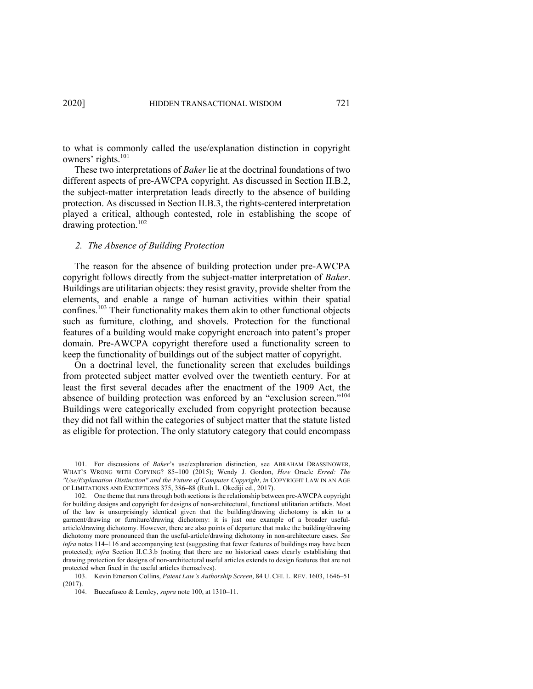to what is commonly called the use/explanation distinction in copyright owners' rights.<sup>101</sup>

These two interpretations of *Baker* lie at the doctrinal foundations of two different aspects of pre-AWCPA copyright. As discussed in Section II.B.2, the subject-matter interpretation leads directly to the absence of building protection. As discussed in Section II.B.3, the rights-centered interpretation played a critical, although contested, role in establishing the scope of drawing protection.<sup>102</sup>

#### *2. The Absence of Building Protection*

The reason for the absence of building protection under pre-AWCPA copyright follows directly from the subject-matter interpretation of *Baker*. Buildings are utilitarian objects: they resist gravity, provide shelter from the elements, and enable a range of human activities within their spatial confines.<sup>103</sup> Their functionality makes them akin to other functional objects such as furniture, clothing, and shovels. Protection for the functional features of a building would make copyright encroach into patent's proper domain. Pre-AWCPA copyright therefore used a functionality screen to keep the functionality of buildings out of the subject matter of copyright.

On a doctrinal level, the functionality screen that excludes buildings from protected subject matter evolved over the twentieth century. For at least the first several decades after the enactment of the 1909 Act, the absence of building protection was enforced by an "exclusion screen."104 Buildings were categorically excluded from copyright protection because they did not fall within the categories of subject matter that the statute listed as eligible for protection. The only statutory category that could encompass

<sup>101.</sup> For discussions of *Baker*'s use/explanation distinction, see ABRAHAM DRASSINOWER, WHAT'S WRONG WITH COPYING? 85–100 (2015); Wendy J. Gordon, *How* Oracle *Erred: The "Use/Explanation Distinction" and the Future of Computer Copyright*, *in* COPYRIGHT LAW IN AN AGE OF LIMITATIONS AND EXCEPTIONS 375, 386–88 (Ruth L. Okediji ed., 2017).

<sup>102.</sup> One theme that runs through both sections is the relationship between pre-AWCPA copyright for building designs and copyright for designs of non-architectural, functional utilitarian artifacts. Most of the law is unsurprisingly identical given that the building/drawing dichotomy is akin to a garment/drawing or furniture/drawing dichotomy: it is just one example of a broader usefularticle/drawing dichotomy. However, there are also points of departure that make the building/drawing dichotomy more pronounced than the useful-article/drawing dichotomy in non-architecture cases. *See infra* notes 114–116 and accompanying text (suggesting that fewer features of buildings may have been protected); *infra* Section II.C.3.b (noting that there are no historical cases clearly establishing that drawing protection for designs of non-architectural useful articles extends to design features that are not protected when fixed in the useful articles themselves).

<sup>103.</sup> Kevin Emerson Collins, *Patent Law's Authorship Screen*, 84 U. CHI. L. REV. 1603, 1646–51 (2017).

<sup>104.</sup> Buccafusco & Lemley, *supra* note 100, at 1310–11.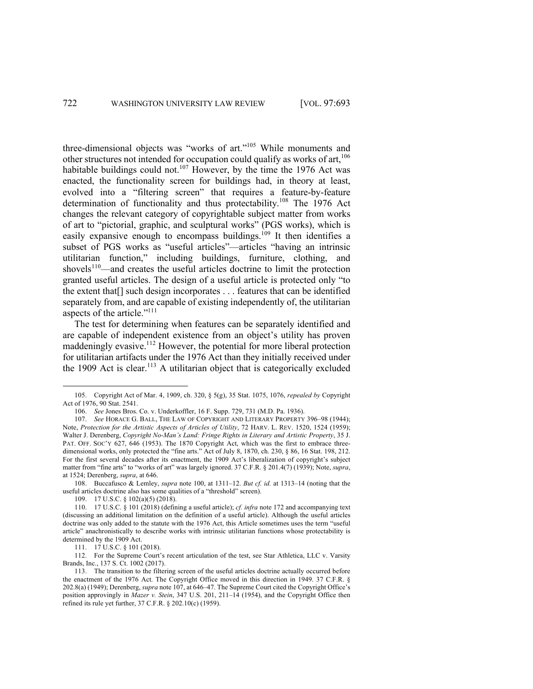three-dimensional objects was "works of art."<sup>105</sup> While monuments and other structures not intended for occupation could qualify as works of art,  $106$ habitable buildings could not.<sup>107</sup> However, by the time the 1976 Act was enacted, the functionality screen for buildings had, in theory at least, evolved into a "filtering screen" that requires a feature-by-feature determination of functionality and thus protectability.<sup>108</sup> The 1976 Act changes the relevant category of copyrightable subject matter from works of art to "pictorial, graphic, and sculptural works" (PGS works), which is easily expansive enough to encompass buildings.<sup>109</sup> It then identifies a subset of PGS works as "useful articles"—articles "having an intrinsic utilitarian function," including buildings, furniture, clothing, and shovels $110$ —and creates the useful articles doctrine to limit the protection granted useful articles. The design of a useful article is protected only "to the extent that[] such design incorporates . . . features that can be identified separately from, and are capable of existing independently of, the utilitarian aspects of the article."<sup>111</sup>

The test for determining when features can be separately identified and are capable of independent existence from an object's utility has proven maddeningly evasive.<sup>112</sup> However, the potential for more liberal protection for utilitarian artifacts under the 1976 Act than they initially received under the 1909 Act is clear.<sup>113</sup> A utilitarian object that is categorically excluded

109. 17 U.S.C. § 102(a)(5) (2018).

<sup>105.</sup> Copyright Act of Mar. 4, 1909, ch. 320, § 5(g), 35 Stat. 1075, 1076, *repealed by* Copyright Act of 1976, 90 Stat. 2541.

<sup>106.</sup> *See* Jones Bros. Co. v. Underkoffler, 16 F. Supp. 729, 731 (M.D. Pa. 1936).

<sup>107.</sup> *See* HORACE G. BALL, THE LAW OF COPYRIGHT AND LITERARY PROPERTY 396–98 (1944); Note, *Protection for the Artistic Aspects of Articles of Utility*, 72 HARV. L. REV. 1520, 1524 (1959); Walter J. Derenberg, *Copyright No-Man's Land: Fringe Rights in Literary and Artistic Property*, 35 J. PAT. OFF. SOC'Y 627, 646 (1953). The 1870 Copyright Act, which was the first to embrace threedimensional works, only protected the "fine arts." Act of July 8, 1870, ch. 230, § 86, 16 Stat. 198, 212. For the first several decades after its enactment, the 1909 Act's liberalization of copyright's subject matter from "fine arts" to "works of art" was largely ignored. 37 C.F.R. § 201.4(7) (1939); Note, *supra*, at 1524; Derenberg, *supra*, at 646.

<sup>108.</sup> Buccafusco & Lemley, *supra* note 100, at 1311–12. *But cf. id.* at 1313–14 (noting that the useful articles doctrine also has some qualities of a "threshold" screen).

<sup>110.</sup> 17 U.S.C. § 101 (2018) (defining a useful article); *cf. infra* note 172 and accompanying text (discussing an additional limitation on the definition of a useful article). Although the useful articles doctrine was only added to the statute with the 1976 Act, this Article sometimes uses the term "useful article" anachronistically to describe works with intrinsic utilitarian functions whose protectability is determined by the 1909 Act.

<sup>111.</sup> 17 U.S.C. § 101 (2018).

<sup>112.</sup> For the Supreme Court's recent articulation of the test, see Star Athletica, LLC v. Varsity Brands, Inc., 137 S. Ct. 1002 (2017).

<sup>113.</sup> The transition to the filtering screen of the useful articles doctrine actually occurred before the enactment of the 1976 Act. The Copyright Office moved in this direction in 1949. 37 C.F.R. § 202.8(a) (1949); Derenberg, *supra* note 107, at 646–47. The Supreme Court cited the Copyright Office's position approvingly in *Mazer v. Stein*, 347 U.S. 201, 211–14 (1954), and the Copyright Office then refined its rule yet further, 37 C.F.R. § 202.10(c) (1959).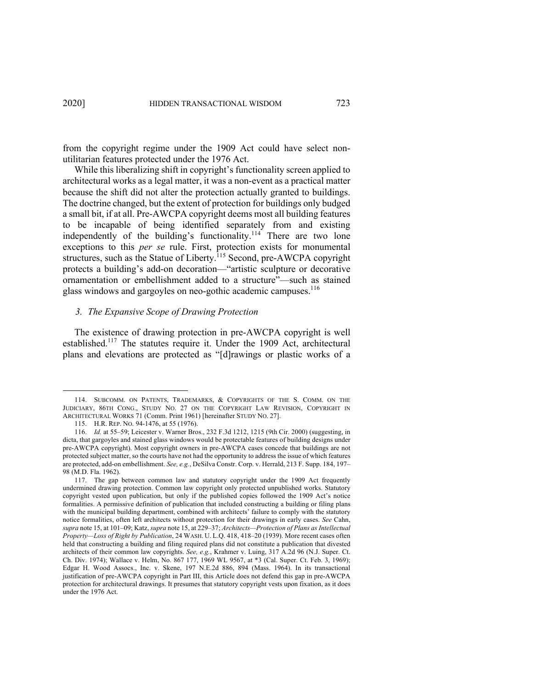from the copyright regime under the 1909 Act could have select nonutilitarian features protected under the 1976 Act.

While this liberalizing shift in copyright's functionality screen applied to architectural works as a legal matter, it was a non-event as a practical matter because the shift did not alter the protection actually granted to buildings. The doctrine changed, but the extent of protection for buildings only budged a small bit, if at all. Pre-AWCPA copyright deems most all building features to be incapable of being identified separately from and existing independently of the building's functionality.<sup>114</sup> There are two lone exceptions to this *per se* rule. First, protection exists for monumental structures, such as the Statue of Liberty.<sup>115</sup> Second, pre-AWCPA copyright protects a building's add-on decoration—"artistic sculpture or decorative ornamentation or embellishment added to a structure"—such as stained glass windows and gargoyles on neo-gothic academic campuses.<sup>116</sup>

#### *3. The Expansive Scope of Drawing Protection*

The existence of drawing protection in pre-AWCPA copyright is well established.<sup>117</sup> The statutes require it. Under the 1909 Act, architectural plans and elevations are protected as "[d]rawings or plastic works of a

<sup>114.</sup> SUBCOMM. ON PATENTS, TRADEMARKS, & COPYRIGHTS OF THE S. COMM. ON THE JUDICIARY, 86TH CONG., STUDY NO. 27 ON THE COPYRIGHT LAW REVISION, COPYRIGHT IN ARCHITECTURAL WORKS 71 (Comm. Print 1961) [hereinafter STUDY NO. 27].

<sup>115.</sup> H.R. REP. NO. 94-1476, at 55 (1976).

<sup>116.</sup> *Id.* at 55–59; Leicester v. Warner Bros., 232 F.3d 1212, 1215 (9th Cir. 2000) (suggesting, in dicta, that gargoyles and stained glass windows would be protectable features of building designs under pre-AWCPA copyright). Most copyright owners in pre-AWCPA cases concede that buildings are not protected subject matter, so the courts have not had the opportunity to address the issue of which features are protected, add-on embellishment. *See, e.g.*, DeSilva Constr. Corp. v. Herrald, 213 F. Supp. 184, 197– 98 (M.D. Fla. 1962).

<sup>117.</sup> The gap between common law and statutory copyright under the 1909 Act frequently undermined drawing protection. Common law copyright only protected unpublished works. Statutory copyright vested upon publication, but only if the published copies followed the 1909 Act's notice formalities. A permissive definition of publication that included constructing a building or filing plans with the municipal building department, combined with architects' failure to comply with the statutory notice formalities, often left architects without protection for their drawings in early cases. *See* Cahn, *supra* note 15, at 101–09; Katz, *supra* note 15, at 229–37; *Architects—Protection of Plans as Intellectual Property—Loss of Right by Publication*, 24 WASH. U. L.Q. 418, 418–20 (1939). More recent cases often held that constructing a building and filing required plans did not constitute a publication that divested architects of their common law copyrights. *See, e.g.*, Krahmer v. Luing, 317 A.2d 96 (N.J. Super. Ct. Ch. Div. 1974); Wallace v. Helm, No. 867 177, 1969 WL 9567, at \*3 (Cal. Super. Ct. Feb. 3, 1969); Edgar H. Wood Assocs., Inc. v. Skene, 197 N.E.2d 886, 894 (Mass. 1964). In its transactional justification of pre-AWCPA copyright in Part III, this Article does not defend this gap in pre-AWCPA protection for architectural drawings. It presumes that statutory copyright vests upon fixation, as it does under the 1976 Act.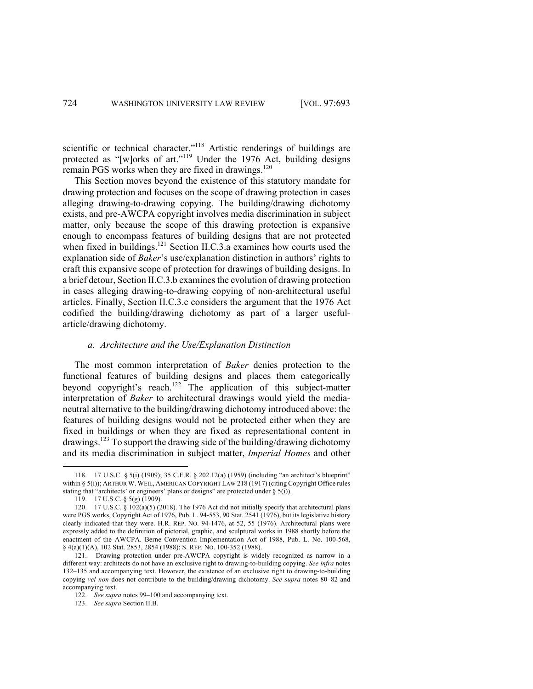scientific or technical character."<sup>118</sup> Artistic renderings of buildings are protected as "[w]orks of art."<sup>119</sup> Under the 1976 Act, building designs remain PGS works when they are fixed in drawings. $^{120}$ 

This Section moves beyond the existence of this statutory mandate for drawing protection and focuses on the scope of drawing protection in cases alleging drawing-to-drawing copying. The building/drawing dichotomy exists, and pre-AWCPA copyright involves media discrimination in subject matter, only because the scope of this drawing protection is expansive enough to encompass features of building designs that are not protected when fixed in buildings.<sup>121</sup> Section II.C.3.a examines how courts used the explanation side of *Baker*'s use/explanation distinction in authors' rights to craft this expansive scope of protection for drawings of building designs. In a brief detour, Section II.C.3.b examines the evolution of drawing protection in cases alleging drawing-to-drawing copying of non-architectural useful articles. Finally, Section II.C.3.c considers the argument that the 1976 Act codified the building/drawing dichotomy as part of a larger usefularticle/drawing dichotomy.

## *a. Architecture and the Use/Explanation Distinction*

The most common interpretation of *Baker* denies protection to the functional features of building designs and places them categorically beyond copyright's reach.<sup>122</sup> The application of this subject-matter interpretation of *Baker* to architectural drawings would yield the medianeutral alternative to the building/drawing dichotomy introduced above: the features of building designs would not be protected either when they are fixed in buildings or when they are fixed as representational content in drawings.123 To support the drawing side of the building/drawing dichotomy and its media discrimination in subject matter, *Imperial Homes* and other

<sup>118.</sup> 17 U.S.C. § 5(i) (1909); 35 C.F.R. § 202.12(a) (1959) (including "an architect's blueprint" within § 5(i)); ARTHUR W. WEIL, AMERICAN COPYRIGHT LAW 218 (1917) (citing Copyright Office rules stating that "architects' or engineers' plans or designs" are protected under  $\S(5)$ .

<sup>119.</sup> 17 U.S.C. § 5(g) (1909).

<sup>120.</sup> 17 U.S.C. § 102(a)(5) (2018). The 1976 Act did not initially specify that architectural plans were PGS works, Copyright Act of 1976, Pub. L. 94-553, 90 Stat. 2541 (1976), but its legislative history clearly indicated that they were. H.R. REP. NO. 94-1476, at 52, 55 (1976). Architectural plans were expressly added to the definition of pictorial, graphic, and sculptural works in 1988 shortly before the enactment of the AWCPA. Berne Convention Implementation Act of 1988, Pub. L. No. 100-568, § 4(a)(1)(A), 102 Stat. 2853, 2854 (1988); S. REP. NO. 100-352 (1988).

<sup>121.</sup> Drawing protection under pre-AWCPA copyright is widely recognized as narrow in a different way: architects do not have an exclusive right to drawing-to-building copying. *See infra* notes 132–135 and accompanying text. However, the existence of an exclusive right to drawing-to-building copying *vel non* does not contribute to the building/drawing dichotomy. *See supra* notes 80–82 and accompanying text.

<sup>122.</sup> *See supra* notes 99–100 and accompanying text.

<sup>123.</sup> *See supra* Section II.B.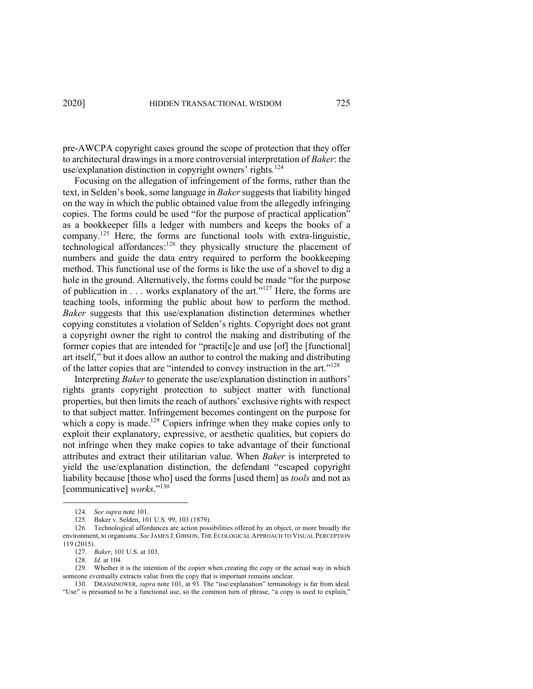pre-AWCPA copyright cases ground the scope of protection that they offer to architectural drawings in a more controversial interpretation of *Baker*: the use/explanation distinction in copyright owners' rights*.* 124

Focusing on the allegation of infringement of the forms, rather than the text, in Selden's book, some language in *Baker* suggests that liability hinged on the way in which the public obtained value from the allegedly infringing copies. The forms could be used "for the purpose of practical application" as a bookkeeper fills a ledger with numbers and keeps the books of a company.<sup>125</sup> Here, the forms are functional tools with extra-linguistic, technological affordances:<sup>126</sup> they physically structure the placement of numbers and guide the data entry required to perform the bookkeeping method. This functional use of the forms is like the use of a shovel to dig a hole in the ground. Alternatively, the forms could be made "for the purpose of publication in  $\dots$  works explanatory of the art."<sup>127</sup> Here, the forms are teaching tools, informing the public about how to perform the method. *Baker* suggests that this use/explanation distinction determines whether copying constitutes a violation of Selden's rights. Copyright does not grant a copyright owner the right to control the making and distributing of the former copies that are intended for "practi[c]e and use [of] the [functional] art itself," but it does allow an author to control the making and distributing of the latter copies that are "intended to convey instruction in the art."128

Interpreting *Baker* to generate the use/explanation distinction in authors' rights grants copyright protection to subject matter with functional properties, but then limits the reach of authors' exclusive rights with respect to that subject matter. Infringement becomes contingent on the purpose for which a copy is made.<sup>129</sup> Copiers infringe when they make copies only to exploit their explanatory, expressive, or aesthetic qualities, but copiers do not infringe when they make copies to take advantage of their functional attributes and extract their utilitarian value. When *Baker* is interpreted to yield the use/explanation distinction, the defendant "escaped copyright liability because [those who] used the forms [used them] as *tools* and not as [communicative] *works*."<sup>130</sup>

<sup>124.</sup> *See supra* note 101.

<sup>125.</sup> Baker v. Selden, 101 U.S. 99, 103 (1879).

<sup>126.</sup> Technological affordances are action possibilities offered by an object, or more broadly the environment, to organisms. *See* JAMES J. GIBSON, THE ECOLOGICAL APPROACH TO VISUAL PERCEPTION 119 (2015).

<sup>127.</sup> *Baker*, 101 U.S. at 103.

<sup>128.</sup> *Id.* at 104.

<sup>129.</sup> Whether it is the intention of the copier when creating the copy or the actual way in which someone eventually extracts value from the copy that is important remains unclear.

<sup>130.</sup> DRASSINOWER, *supra* note 101, at 93. The "use/explanation" terminology is far from ideal. "Use" is presumed to be a functional use, so the common turn of phrase, "a copy is used to explain,"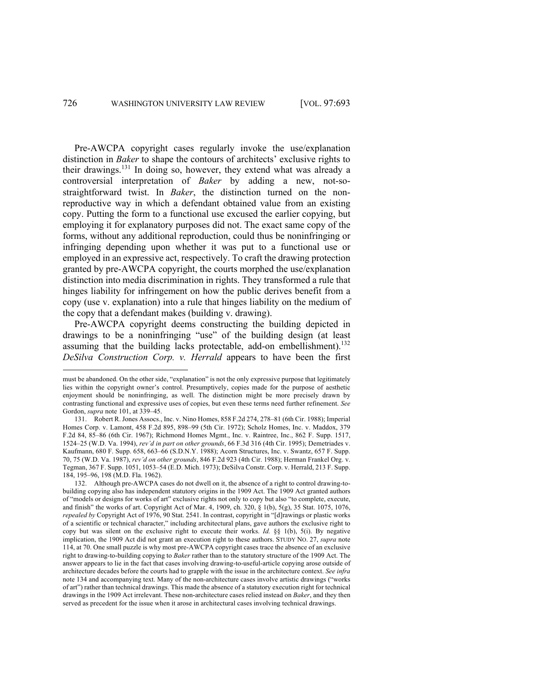Pre-AWCPA copyright cases regularly invoke the use/explanation distinction in *Baker* to shape the contours of architects' exclusive rights to their drawings.<sup>131</sup> In doing so, however, they extend what was already a controversial interpretation of *Baker* by adding a new, not-sostraightforward twist. In *Baker*, the distinction turned on the nonreproductive way in which a defendant obtained value from an existing copy. Putting the form to a functional use excused the earlier copying, but employing it for explanatory purposes did not. The exact same copy of the forms, without any additional reproduction, could thus be noninfringing or infringing depending upon whether it was put to a functional use or employed in an expressive act, respectively. To craft the drawing protection granted by pre-AWCPA copyright, the courts morphed the use/explanation distinction into media discrimination in rights. They transformed a rule that hinges liability for infringement on how the public derives benefit from a copy (use v. explanation) into a rule that hinges liability on the medium of the copy that a defendant makes (building v. drawing).

Pre-AWCPA copyright deems constructing the building depicted in drawings to be a noninfringing "use" of the building design (at least assuming that the building lacks protectable, add-on embellishment).<sup>132</sup> *DeSilva Construction Corp. v. Herrald* appears to have been the first

must be abandoned. On the other side, "explanation" is not the only expressive purpose that legitimately lies within the copyright owner's control. Presumptively, copies made for the purpose of aesthetic enjoyment should be noninfringing, as well. The distinction might be more precisely drawn by contrasting functional and expressive uses of copies, but even these terms need further refinement. *See*  Gordon, *supra* note 101, at 339–45.

<sup>131.</sup> Robert R. Jones Assocs., Inc. v. Nino Homes, 858 F.2d 274, 278–81 (6th Cir. 1988); Imperial Homes Corp. v. Lamont, 458 F.2d 895, 898–99 (5th Cir. 1972); Scholz Homes, Inc. v. Maddox, 379 F.2d 84, 85–86 (6th Cir. 1967); Richmond Homes Mgmt., Inc. v. Raintree, Inc., 862 F. Supp. 1517, 1524–25 (W.D. Va. 1994), *rev'd in part on other grounds*, 66 F.3d 316 (4th Cir. 1995); Demetriades v. Kaufmann, 680 F. Supp. 658, 663–66 (S.D.N.Y. 1988); Acorn Structures, Inc. v. Swantz, 657 F. Supp. 70, 75 (W.D. Va. 1987), *rev'd on other grounds*, 846 F.2d 923 (4th Cir. 1988); Herman Frankel Org. v. Tegman, 367 F. Supp. 1051, 1053–54 (E.D. Mich. 1973); DeSilva Constr. Corp. v. Herrald, 213 F. Supp. 184, 195–96, 198 (M.D. Fla. 1962).

<sup>132.</sup> Although pre-AWCPA cases do not dwell on it, the absence of a right to control drawing-tobuilding copying also has independent statutory origins in the 1909 Act. The 1909 Act granted authors of "models or designs for works of art" exclusive rights not only to copy but also "to complete, execute, and finish" the works of art. Copyright Act of Mar. 4, 1909, ch. 320, § 1(b), 5(g), 35 Stat. 1075, 1076, *repealed by* Copyright Act of 1976, 90 Stat. 2541. In contrast, copyright in "[d]rawings or plastic works of a scientific or technical character," including architectural plans, gave authors the exclusive right to copy but was silent on the exclusive right to execute their works. *Id.* §§ 1(b), 5(i). By negative implication, the 1909 Act did not grant an execution right to these authors. STUDY NO. 27, *supra* note 114, at 70. One small puzzle is why most pre-AWCPA copyright cases trace the absence of an exclusive right to drawing-to-building copying to *Baker* rather than to the statutory structure of the 1909 Act. The answer appears to lie in the fact that cases involving drawing-to-useful-article copying arose outside of architecture decades before the courts had to grapple with the issue in the architecture context. *See infra*  note 134 and accompanying text. Many of the non-architecture cases involve artistic drawings ("works of art") rather than technical drawings. This made the absence of a statutory execution right for technical drawings in the 1909 Act irrelevant. These non-architecture cases relied instead on *Baker*, and they then served as precedent for the issue when it arose in architectural cases involving technical drawings.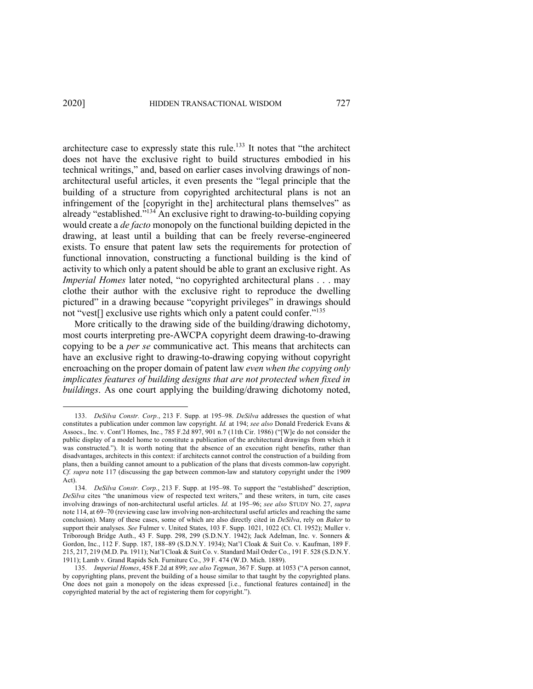architecture case to expressly state this rule.<sup>133</sup> It notes that "the architect does not have the exclusive right to build structures embodied in his technical writings," and, based on earlier cases involving drawings of nonarchitectural useful articles, it even presents the "legal principle that the building of a structure from copyrighted architectural plans is not an infringement of the [copyright in the] architectural plans themselves" as already "established."<sup>134</sup> An exclusive right to drawing-to-building copying would create a *de facto* monopoly on the functional building depicted in the drawing, at least until a building that can be freely reverse-engineered exists. To ensure that patent law sets the requirements for protection of functional innovation, constructing a functional building is the kind of activity to which only a patent should be able to grant an exclusive right. As *Imperial Homes* later noted, "no copyrighted architectural plans . . . may clothe their author with the exclusive right to reproduce the dwelling pictured" in a drawing because "copyright privileges" in drawings should not "vest<sup>[]</sup> exclusive use rights which only a patent could confer."<sup>135</sup>

More critically to the drawing side of the building/drawing dichotomy, most courts interpreting pre-AWCPA copyright deem drawing-to-drawing copying to be a *per se* communicative act. This means that architects can have an exclusive right to drawing-to-drawing copying without copyright encroaching on the proper domain of patent law *even when the copying only implicates features of building designs that are not protected when fixed in buildings*. As one court applying the building/drawing dichotomy noted,

<sup>133.</sup> *DeSilva Constr. Corp.*, 213 F. Supp. at 195–98. *DeSilva* addresses the question of what constitutes a publication under common law copyright. *Id.* at 194; *see also* Donald Frederick Evans & Assocs., Inc. v. Cont'l Homes, Inc., 785 F.2d 897, 901 n.7 (11th Cir. 1986) ("[W]e do not consider the public display of a model home to constitute a publication of the architectural drawings from which it was constructed."). It is worth noting that the absence of an execution right benefits, rather than disadvantages, architects in this context: if architects cannot control the construction of a building from plans, then a building cannot amount to a publication of the plans that divests common-law copyright. *Cf. supra* note 117 (discussing the gap between common-law and statutory copyright under the 1909 Act).

<sup>134.</sup> *DeSilva Constr. Corp.*, 213 F. Supp. at 195–98. To support the "established" description, *DeSilva* cites "the unanimous view of respected text writers," and these writers, in turn, cite cases involving drawings of non-architectural useful articles. *Id.* at 195–96; *see also* STUDY NO. 27, *supra*  note 114, at 69–70 (reviewing case law involving non-architectural useful articles and reaching the same conclusion). Many of these cases, some of which are also directly cited in *DeSilva*, rely on *Baker* to support their analyses. *See* Fulmer v. United States, 103 F. Supp. 1021, 1022 (Ct. Cl. 1952); Muller v. Triborough Bridge Auth., 43 F. Supp. 298, 299 (S.D.N.Y. 1942); Jack Adelman, Inc. v. Sonners & Gordon, Inc., 112 F. Supp. 187, 188–89 (S.D.N.Y. 1934); Nat'l Cloak & Suit Co. v. Kaufman, 189 F. 215, 217, 219 (M.D. Pa. 1911); Nat'l Cloak & Suit Co. v. Standard Mail Order Co., 191 F. 528 (S.D.N.Y. 1911); Lamb v. Grand Rapids Sch. Furniture Co., 39 F. 474 (W.D. Mich. 1889).

<sup>135.</sup> *Imperial Homes*, 458 F.2d at 899; *see also Tegman*, 367 F. Supp. at 1053 ("A person cannot, by copyrighting plans, prevent the building of a house similar to that taught by the copyrighted plans. One does not gain a monopoly on the ideas expressed [i.e., functional features contained] in the copyrighted material by the act of registering them for copyright.").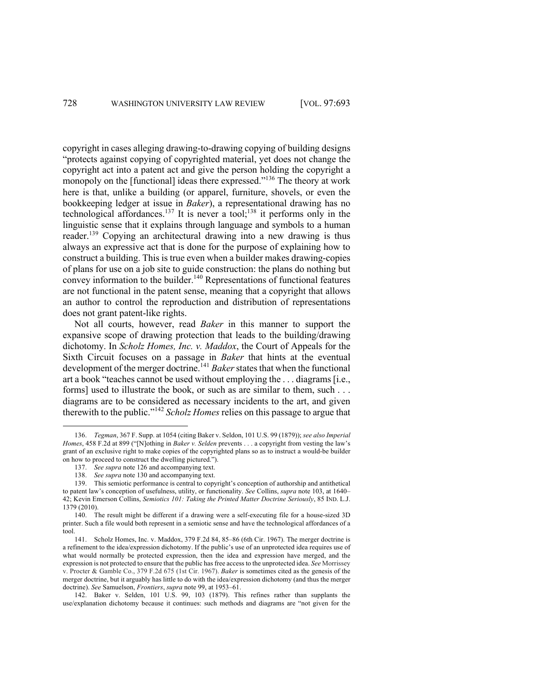copyright in cases alleging drawing-to-drawing copying of building designs "protects against copying of copyrighted material, yet does not change the copyright act into a patent act and give the person holding the copyright a monopoly on the [functional] ideas there expressed."<sup>136</sup> The theory at work here is that, unlike a building (or apparel, furniture, shovels, or even the bookkeeping ledger at issue in *Baker*), a representational drawing has no technological affordances.<sup>137</sup> It is never a tool;<sup>138</sup> it performs only in the linguistic sense that it explains through language and symbols to a human reader.<sup>139</sup> Copying an architectural drawing into a new drawing is thus always an expressive act that is done for the purpose of explaining how to construct a building. This is true even when a builder makes drawing-copies of plans for use on a job site to guide construction: the plans do nothing but convey information to the builder.<sup>140</sup> Representations of functional features are not functional in the patent sense, meaning that a copyright that allows an author to control the reproduction and distribution of representations does not grant patent-like rights.

Not all courts, however, read *Baker* in this manner to support the expansive scope of drawing protection that leads to the building/drawing dichotomy. In *Scholz Homes, Inc. v. Maddox*, the Court of Appeals for the Sixth Circuit focuses on a passage in *Baker* that hints at the eventual development of the merger doctrine. <sup>141</sup> *Baker* states that when the functional art a book "teaches cannot be used without employing the . . . diagrams [i.e., forms] used to illustrate the book, or such as are similar to them, such . . . diagrams are to be considered as necessary incidents to the art, and given therewith to the public."<sup>142</sup> *Scholz Homes* relies on this passage to argue that

<sup>136.</sup> *Tegman*, 367 F. Supp. at 1054 (citing Baker v. Seldon, 101 U.S. 99 (1879)); *see also Imperial Homes*, 458 F.2d at 899 ("[N]othing in *Baker v. Selden* prevents . . . a copyright from vesting the law's grant of an exclusive right to make copies of the copyrighted plans so as to instruct a would-be builder on how to proceed to construct the dwelling pictured.").

<sup>137.</sup> *See supra* note 126 and accompanying text.

<sup>138.</sup> *See supra* note 130 and accompanying text.

<sup>139.</sup> This semiotic performance is central to copyright's conception of authorship and antithetical to patent law's conception of usefulness, utility, or functionality. *See* Collins, *supra* note 103, at 1640– 42; Kevin Emerson Collins, *Semiotics 101: Taking the Printed Matter Doctrine Seriously*, 85 IND. L.J. 1379 (2010).

<sup>140.</sup> The result might be different if a drawing were a self-executing file for a house-sized 3D printer. Such a file would both represent in a semiotic sense and have the technological affordances of a tool.

<sup>141.</sup> Scholz Homes, Inc. v. Maddox, 379 F.2d 84, 85–86 (6th Cir. 1967). The merger doctrine is a refinement to the idea/expression dichotomy. If the public's use of an unprotected idea requires use of what would normally be protected expression, then the idea and expression have merged, and the expression is not protected to ensure that the public has free access to the unprotected idea. *See* Morrissey v. Procter & Gamble Co., 379 F.2d 675 (1st Cir. 1967). *Baker* is sometimes cited as the genesis of the merger doctrine, but it arguably has little to do with the idea/expression dichotomy (and thus the merger doctrine). *See* Samuelson, *Frontiers*, *supra* note 99, at 1953–61.

<sup>142.</sup> Baker v. Selden, 101 U.S. 99, 103 (1879). This refines rather than supplants the use/explanation dichotomy because it continues: such methods and diagrams are "not given for the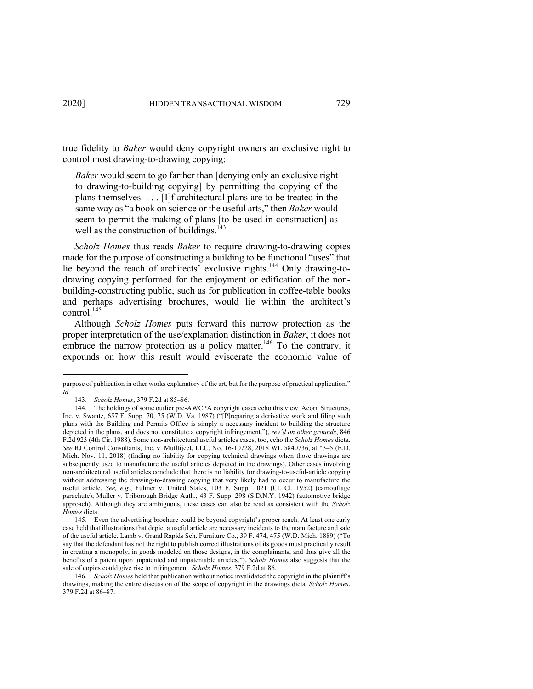true fidelity to *Baker* would deny copyright owners an exclusive right to control most drawing-to-drawing copying:

*Baker* would seem to go farther than [denying only an exclusive right to drawing-to-building copying] by permitting the copying of the plans themselves. . . . [I]f architectural plans are to be treated in the same way as "a book on science or the useful arts," then *Baker* would seem to permit the making of plans [to be used in construction] as well as the construction of buildings. $143$ 

*Scholz Homes* thus reads *Baker* to require drawing-to-drawing copies made for the purpose of constructing a building to be functional "uses" that lie beyond the reach of architects' exclusive rights.<sup>144</sup> Only drawing-todrawing copying performed for the enjoyment or edification of the nonbuilding-constructing public, such as for publication in coffee-table books and perhaps advertising brochures, would lie within the architect's control. 145

Although *Scholz Homes* puts forward this narrow protection as the proper interpretation of the use/explanation distinction in *Baker*, it does not embrace the narrow protection as a policy matter.<sup>146</sup> To the contrary, it expounds on how this result would eviscerate the economic value of

purpose of publication in other works explanatory of the art, but for the purpose of practical application." *Id.*

<sup>143.</sup> *Scholz Homes*, 379 F.2d at 85–86.

<sup>144.</sup> The holdings of some outlier pre-AWCPA copyright cases echo this view. Acorn Structures, Inc. v. Swantz, 657 F. Supp. 70, 75 (W.D. Va. 1987) ("[P]reparing a derivative work and filing such plans with the Building and Permits Office is simply a necessary incident to building the structure depicted in the plans, and does not constitute a copyright infringement."), *rev'd on other grounds*, 846 F.2d 923 (4th Cir. 1988). Some non-architectural useful articles cases, too, echo the *Scholz Homes* dicta. *See* RJ Control Consultants, Inc. v. Mutltiject, LLC, No. 16-10728, 2018 WL 5840736, at \*3–5 (E.D. Mich. Nov. 11, 2018) (finding no liability for copying technical drawings when those drawings are subsequently used to manufacture the useful articles depicted in the drawings). Other cases involving non-architectural useful articles conclude that there is no liability for drawing-to-useful-article copying without addressing the drawing-to-drawing copying that very likely had to occur to manufacture the useful article. *See, e.g.*, Fulmer v. United States, 103 F. Supp. 1021 (Ct. Cl. 1952) (camouflage parachute); Muller v. Triborough Bridge Auth., 43 F. Supp. 298 (S.D.N.Y. 1942) (automotive bridge approach). Although they are ambiguous, these cases can also be read as consistent with the *Scholz Homes* dicta.

<sup>145.</sup> Even the advertising brochure could be beyond copyright's proper reach. At least one early case held that illustrations that depict a useful article are necessary incidents to the manufacture and sale of the useful article. Lamb v. Grand Rapids Sch. Furniture Co., 39 F. 474, 475 (W.D. Mich. 1889) ("To say that the defendant has not the right to publish correct illustrations of its goods must practically result in creating a monopoly, in goods modeled on those designs, in the complainants, and thus give all the benefits of a patent upon unpatented and unpatentable articles."). *Scholz Homes* also suggests that the sale of copies could give rise to infringement. *Scholz Homes*, 379 F.2d at 86.

<sup>146.</sup> *Scholz Homes* held that publication without notice invalidated the copyright in the plaintiff's drawings, making the entire discussion of the scope of copyright in the drawings dicta. *Scholz Homes*, 379 F.2d at 86–87.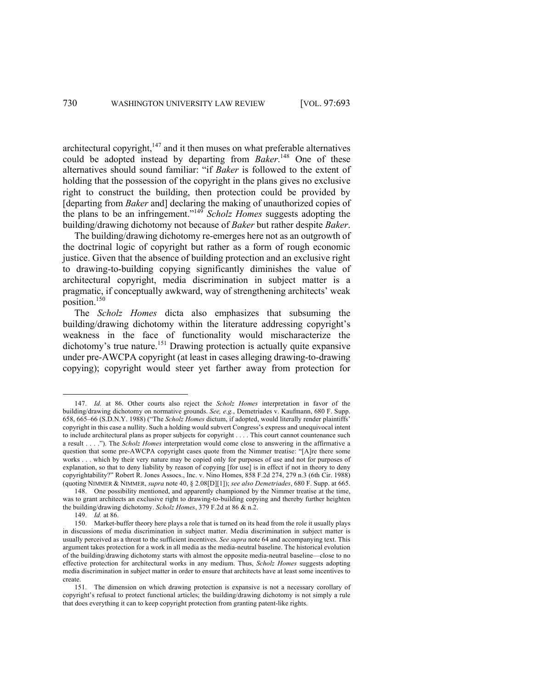architectural copyright,<sup>147</sup> and it then muses on what preferable alternatives could be adopted instead by departing from *Baker*. <sup>148</sup> One of these alternatives should sound familiar: "if *Baker* is followed to the extent of holding that the possession of the copyright in the plans gives no exclusive right to construct the building, then protection could be provided by [departing from *Baker* and] declaring the making of unauthorized copies of the plans to be an infringement."149 *Scholz Homes* suggests adopting the building/drawing dichotomy not because of *Baker* but rather despite *Baker*.

The building/drawing dichotomy re-emerges here not as an outgrowth of the doctrinal logic of copyright but rather as a form of rough economic justice. Given that the absence of building protection and an exclusive right to drawing-to-building copying significantly diminishes the value of architectural copyright, media discrimination in subject matter is a pragmatic, if conceptually awkward, way of strengthening architects' weak position. 150

The *Scholz Homes* dicta also emphasizes that subsuming the building/drawing dichotomy within the literature addressing copyright's weakness in the face of functionality would mischaracterize the dichotomy's true nature.<sup>151</sup> Drawing protection is actually quite expansive under pre-AWCPA copyright (at least in cases alleging drawing-to-drawing copying); copyright would steer yet farther away from protection for

<sup>147.</sup> *Id.* at 86. Other courts also reject the *Scholz Homes* interpretation in favor of the building/drawing dichotomy on normative grounds. *See, e.g.*, Demetriades v. Kaufmann, 680 F. Supp. 658, 665–66 (S.D.N.Y. 1988) ("The *Scholz Homes* dictum, if adopted, would literally render plaintiffs' copyright in this case a nullity. Such a holding would subvert Congress's express and unequivocal intent to include architectural plans as proper subjects for copyright . . . . This court cannot countenance such a result . . . ."). The *Scholz Homes* interpretation would come close to answering in the affirmative a question that some pre-AWCPA copyright cases quote from the Nimmer treatise: "[A]re there some works . . . which by their very nature may be copied only for purposes of use and not for purposes of explanation, so that to deny liability by reason of copying [for use] is in effect if not in theory to deny copyrightability?" Robert R. Jones Assocs., Inc. v. Nino Homes, 858 F.2d 274, 279 n.3 (6th Cir. 1988) (quoting NIMMER & NIMMER, *supra* note 40, § 2.08[D][1]); *see also Demetriades*, 680 F. Supp. at 665.

<sup>148.</sup> One possibility mentioned, and apparently championed by the Nimmer treatise at the time, was to grant architects an exclusive right to drawing-to-building copying and thereby further heighten the building/drawing dichotomy. *Scholz Homes*, 379 F.2d at 86 & n.2.

<sup>149.</sup> *Id.* at 86.

<sup>150.</sup> Market-buffer theory here plays a role that is turned on its head from the role it usually plays in discussions of media discrimination in subject matter. Media discrimination in subject matter is usually perceived as a threat to the sufficient incentives. *See supra* note 64 and accompanying text. This argument takes protection for a work in all media as the media-neutral baseline. The historical evolution of the building/drawing dichotomy starts with almost the opposite media-neutral baseline—close to no effective protection for architectural works in any medium. Thus, *Scholz Homes* suggests adopting media discrimination in subject matter in order to ensure that architects have at least some incentives to create.

<sup>151.</sup> The dimension on which drawing protection is expansive is not a necessary corollary of copyright's refusal to protect functional articles; the building/drawing dichotomy is not simply a rule that does everything it can to keep copyright protection from granting patent-like rights.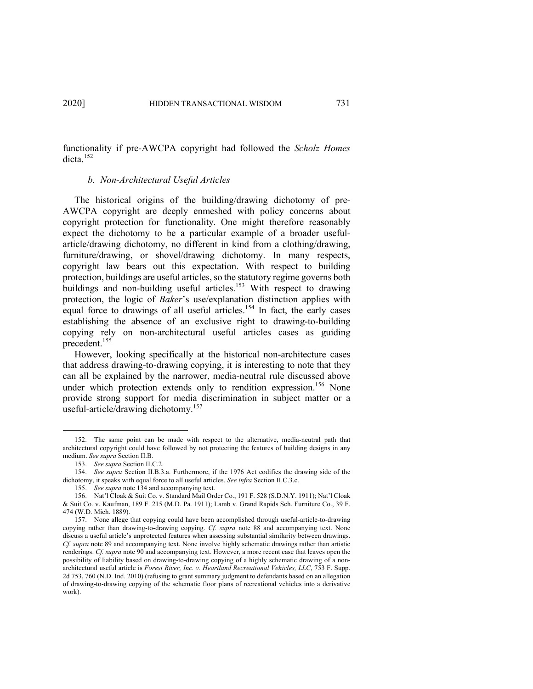functionality if pre-AWCPA copyright had followed the *Scholz Homes* dicta.<sup>152</sup>

### *b. Non-Architectural Useful Articles*

The historical origins of the building/drawing dichotomy of pre-AWCPA copyright are deeply enmeshed with policy concerns about copyright protection for functionality. One might therefore reasonably expect the dichotomy to be a particular example of a broader usefularticle/drawing dichotomy, no different in kind from a clothing/drawing, furniture/drawing, or shovel/drawing dichotomy. In many respects, copyright law bears out this expectation. With respect to building protection, buildings are useful articles, so the statutory regime governs both buildings and non-building useful articles.<sup>153</sup> With respect to drawing protection, the logic of *Baker*'s use/explanation distinction applies with equal force to drawings of all useful articles.<sup>154</sup> In fact, the early cases establishing the absence of an exclusive right to drawing-to-building copying rely on non-architectural useful articles cases as guiding precedent.<sup>155</sup>

However, looking specifically at the historical non-architecture cases that address drawing-to-drawing copying, it is interesting to note that they can all be explained by the narrower, media-neutral rule discussed above under which protection extends only to rendition expression.<sup>156</sup> None provide strong support for media discrimination in subject matter or a useful-article/drawing dichotomy.<sup>157</sup>

<sup>152.</sup> The same point can be made with respect to the alternative, media-neutral path that architectural copyright could have followed by not protecting the features of building designs in any medium. *See supra* Section II.B.

<sup>153.</sup> *See supra* Section II.C.2.

<sup>154.</sup> *See supra* Section II.B.3.a. Furthermore, if the 1976 Act codifies the drawing side of the dichotomy, it speaks with equal force to all useful articles. *See infra* Section II.C.3.c.

<sup>155.</sup> *See supra* note 134 and accompanying text.

<sup>156.</sup> Nat'l Cloak & Suit Co. v. Standard Mail Order Co., 191 F. 528 (S.D.N.Y. 1911); Nat'l Cloak & Suit Co. v. Kaufman, 189 F. 215 (M.D. Pa. 1911); Lamb v. Grand Rapids Sch. Furniture Co., 39 F. 474 (W.D. Mich. 1889).

<sup>157.</sup> None allege that copying could have been accomplished through useful-article-to-drawing copying rather than drawing-to-drawing copying. *Cf. supra* note 88 and accompanying text. None discuss a useful article's unprotected features when assessing substantial similarity between drawings. *Cf. supra* note 89 and accompanying text. None involve highly schematic drawings rather than artistic renderings. *Cf. supra* note 90 and accompanying text. However, a more recent case that leaves open the possibility of liability based on drawing-to-drawing copying of a highly schematic drawing of a nonarchitectural useful article is *Forest River, Inc. v. Heartland Recreational Vehicles, LLC*, 753 F. Supp. 2d 753, 760 (N.D. Ind. 2010) (refusing to grant summary judgment to defendants based on an allegation of drawing-to-drawing copying of the schematic floor plans of recreational vehicles into a derivative work).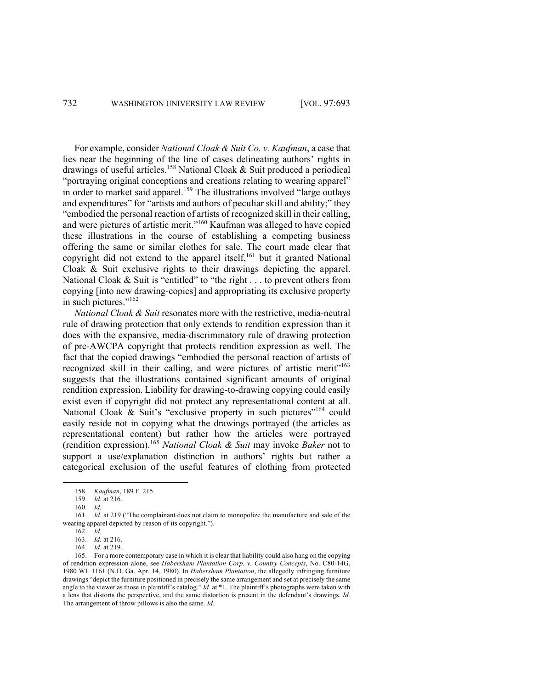For example, consider *National Cloak & Suit Co. v. Kaufman*, a case that lies near the beginning of the line of cases delineating authors' rights in drawings of useful articles.158 National Cloak & Suit produced a periodical "portraying original conceptions and creations relating to wearing apparel" in order to market said apparel.<sup>159</sup> The illustrations involved "large outlays and expenditures" for "artists and authors of peculiar skill and ability;" they "embodied the personal reaction of artists of recognized skill in their calling, and were pictures of artistic merit."<sup>160</sup> Kaufman was alleged to have copied these illustrations in the course of establishing a competing business offering the same or similar clothes for sale. The court made clear that copyright did not extend to the apparel itself, $161$  but it granted National Cloak & Suit exclusive rights to their drawings depicting the apparel. National Cloak & Suit is "entitled" to "the right . . . to prevent others from copying [into new drawing-copies] and appropriating its exclusive property in such pictures."162

*National Cloak & Suit* resonates more with the restrictive, media-neutral rule of drawing protection that only extends to rendition expression than it does with the expansive, media-discriminatory rule of drawing protection of pre-AWCPA copyright that protects rendition expression as well. The fact that the copied drawings "embodied the personal reaction of artists of recognized skill in their calling, and were pictures of artistic merit<sup>1163</sup> suggests that the illustrations contained significant amounts of original rendition expression. Liability for drawing-to-drawing copying could easily exist even if copyright did not protect any representational content at all. National Cloak & Suit's "exclusive property in such pictures"<sup>164</sup> could easily reside not in copying what the drawings portrayed (the articles as representational content) but rather how the articles were portrayed (rendition expression). <sup>165</sup> *National Cloak & Suit* may invoke *Baker* not to support a use/explanation distinction in authors' rights but rather a categorical exclusion of the useful features of clothing from protected

<sup>158.</sup> *Kaufman*, 189 F. 215.

<sup>159.</sup> *Id.* at 216.

<sup>160.</sup> *Id.*

<sup>161.</sup> *Id.* at 219 ("The complainant does not claim to monopolize the manufacture and sale of the wearing apparel depicted by reason of its copyright.").

<sup>162.</sup> *Id.*

<sup>163.</sup> *Id.* at 216.

<sup>164.</sup> *Id.* at 219.

<sup>165.</sup> For a more contemporary case in which it is clear that liability could also hang on the copying of rendition expression alone, see *Habersham Plantation Corp. v. Country Concepts*, No. C80-14G, 1980 WL 1161 (N.D. Ga. Apr. 14, 1980). In *Habersham Plantation*, the allegedly infringing furniture drawings "depict the furniture positioned in precisely the same arrangement and set at precisely the same angle to the viewer as those in plaintiff's catalog." *Id.* at \*1. The plaintiff's photographs were taken with a lens that distorts the perspective, and the same distortion is present in the defendant's drawings. *Id.* The arrangement of throw pillows is also the same. *Id.*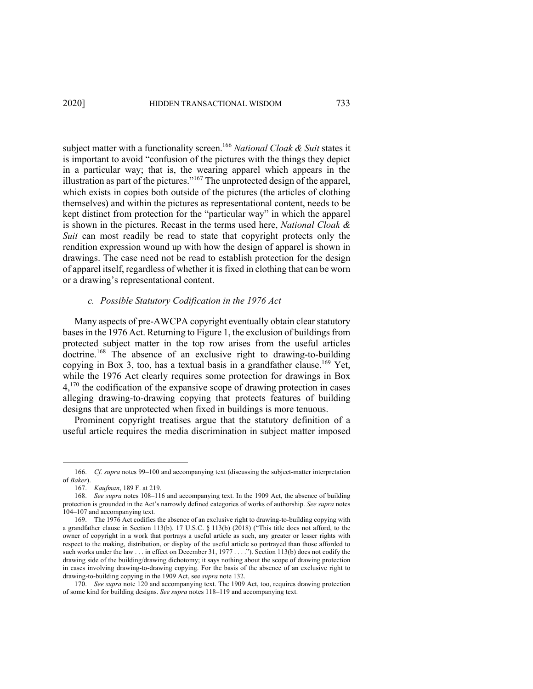subject matter with a functionality screen. <sup>166</sup> *National Cloak & Suit* states it is important to avoid "confusion of the pictures with the things they depict in a particular way; that is, the wearing apparel which appears in the illustration as part of the pictures."<sup>167</sup> The unprotected design of the apparel, which exists in copies both outside of the pictures (the articles of clothing themselves) and within the pictures as representational content, needs to be kept distinct from protection for the "particular way" in which the apparel is shown in the pictures. Recast in the terms used here, *National Cloak & Suit* can most readily be read to state that copyright protects only the rendition expression wound up with how the design of apparel is shown in drawings. The case need not be read to establish protection for the design of apparel itself, regardless of whether it is fixed in clothing that can be worn or a drawing's representational content.

### *c. Possible Statutory Codification in the 1976 Act*

Many aspects of pre-AWCPA copyright eventually obtain clear statutory basesin the 1976 Act. Returning to Figure 1, the exclusion of buildings from protected subject matter in the top row arises from the useful articles doctrine.<sup>168</sup> The absence of an exclusive right to drawing-to-building copying in Box 3, too, has a textual basis in a grandfather clause.<sup>169</sup> Yet, while the 1976 Act clearly requires some protection for drawings in Box 4,<sup>170</sup> the codification of the expansive scope of drawing protection in cases alleging drawing-to-drawing copying that protects features of building designs that are unprotected when fixed in buildings is more tenuous.

Prominent copyright treatises argue that the statutory definition of a useful article requires the media discrimination in subject matter imposed

<sup>166.</sup> *Cf. supra* notes 99–100 and accompanying text (discussing the subject-matter interpretation of *Baker*).

<sup>167.</sup> *Kaufman*, 189 F. at 219.

<sup>168.</sup> *See supra* notes 108–116 and accompanying text. In the 1909 Act, the absence of building protection is grounded in the Act's narrowly defined categories of works of authorship. *See supra* notes 104–107 and accompanying text.

<sup>169.</sup> The 1976 Act codifies the absence of an exclusive right to drawing-to-building copying with a grandfather clause in Section 113(b). 17 U.S.C. § 113(b) (2018) ("This title does not afford, to the owner of copyright in a work that portrays a useful article as such, any greater or lesser rights with respect to the making, distribution, or display of the useful article so portrayed than those afforded to such works under the law . . . in effect on December 31, 1977 . . . ."). Section 113(b) does not codify the drawing side of the building/drawing dichotomy; it says nothing about the scope of drawing protection in cases involving drawing-to-drawing copying. For the basis of the absence of an exclusive right to drawing-to-building copying in the 1909 Act, see *supra* note 132.

<sup>170.</sup> *See supra* note 120 and accompanying text. The 1909 Act, too, requires drawing protection of some kind for building designs. *See supra* notes 118–119 and accompanying text.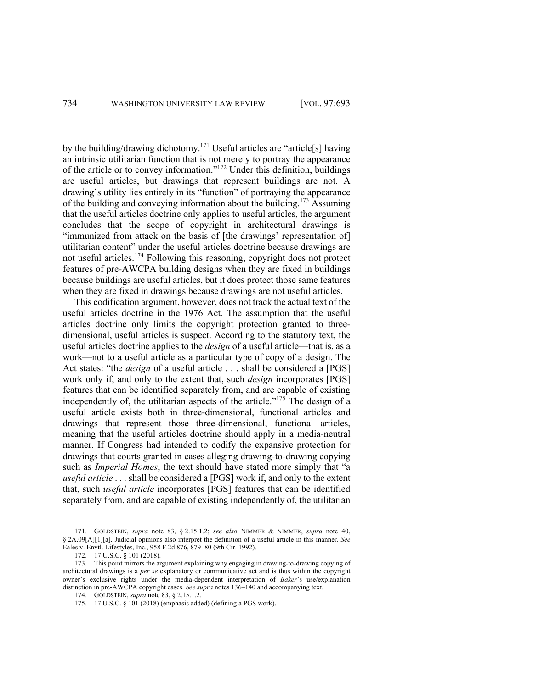by the building/drawing dichotomy.<sup>171</sup> Useful articles are "article[s] having an intrinsic utilitarian function that is not merely to portray the appearance of the article or to convey information."172 Under this definition, buildings are useful articles, but drawings that represent buildings are not. A drawing's utility lies entirely in its "function" of portraying the appearance of the building and conveying information about the building.<sup>173</sup> Assuming that the useful articles doctrine only applies to useful articles, the argument concludes that the scope of copyright in architectural drawings is "immunized from attack on the basis of [the drawings' representation of] utilitarian content" under the useful articles doctrine because drawings are not useful articles. <sup>174</sup> Following this reasoning, copyright does not protect features of pre-AWCPA building designs when they are fixed in buildings because buildings are useful articles, but it does protect those same features when they are fixed in drawings because drawings are not useful articles.

This codification argument, however, does not track the actual text of the useful articles doctrine in the 1976 Act. The assumption that the useful articles doctrine only limits the copyright protection granted to threedimensional, useful articles is suspect. According to the statutory text, the useful articles doctrine applies to the *design* of a useful article—that is, as a work—not to a useful article as a particular type of copy of a design. The Act states: "the *design* of a useful article . . . shall be considered a [PGS] work only if, and only to the extent that, such *design* incorporates [PGS] features that can be identified separately from, and are capable of existing independently of, the utilitarian aspects of the article." $175$  The design of a useful article exists both in three-dimensional, functional articles and drawings that represent those three-dimensional, functional articles, meaning that the useful articles doctrine should apply in a media-neutral manner. If Congress had intended to codify the expansive protection for drawings that courts granted in cases alleging drawing-to-drawing copying such as *Imperial Homes*, the text should have stated more simply that "a *useful article* . . . shall be considered a [PGS] work if, and only to the extent that, such *useful article* incorporates [PGS] features that can be identified separately from, and are capable of existing independently of, the utilitarian

<sup>171.</sup> GOLDSTEIN, *supra* note 83, § 2.15.1.2; *see also* NIMMER & NIMMER, *supra* note 40, § 2A.09[A][1][a]. Judicial opinions also interpret the definition of a useful article in this manner. *See* Eales v. Envtl. Lifestyles, Inc., 958 F.2d 876, 879–80 (9th Cir. 1992).

<sup>172.</sup> 17 U.S.C. § 101 (2018).

<sup>173.</sup> This point mirrors the argument explaining why engaging in drawing-to-drawing copying of architectural drawings is a *per se* explanatory or communicative act and is thus within the copyright owner's exclusive rights under the media-dependent interpretation of *Baker*'s use/explanation distinction in pre-AWCPA copyright cases. *See supra* notes 136–140 and accompanying text.

<sup>174.</sup> GOLDSTEIN, *supra* note 83, § 2.15.1.2.

<sup>175.</sup> 17 U.S.C. § 101 (2018) (emphasis added) (defining a PGS work).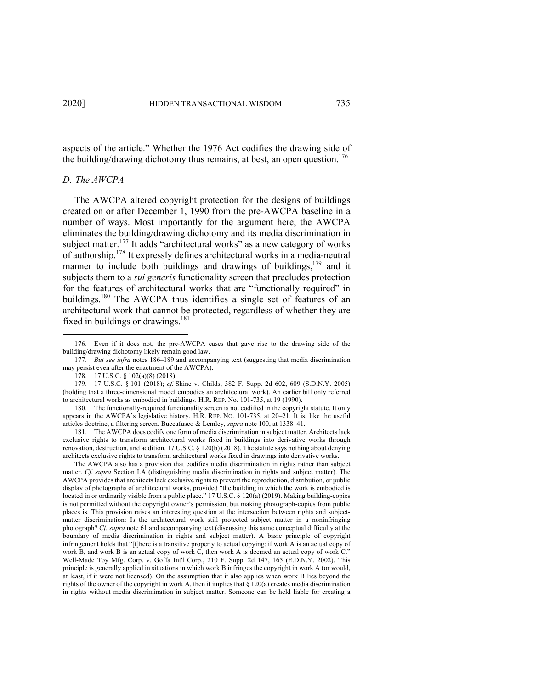aspects of the article." Whether the 1976 Act codifies the drawing side of the building/drawing dichotomy thus remains, at best, an open question.<sup>176</sup>

### *D. The AWCPA*

The AWCPA altered copyright protection for the designs of buildings created on or after December 1, 1990 from the pre-AWCPA baseline in a number of ways. Most importantly for the argument here, the AWCPA eliminates the building/drawing dichotomy and its media discrimination in subject matter.<sup>177</sup> It adds "architectural works" as a new category of works of authorship.<sup>178</sup> It expressly defines architectural works in a media-neutral manner to include both buildings and drawings of buildings,  $179$  and it subjects them to a *sui generis* functionality screen that precludes protection for the features of architectural works that are "functionally required" in buildings.180 The AWCPA thus identifies a single set of features of an architectural work that cannot be protected, regardless of whether they are fixed in buildings or drawings.<sup>181</sup>

<sup>176.</sup> Even if it does not, the pre-AWCPA cases that gave rise to the drawing side of the building/drawing dichotomy likely remain good law.

<sup>177.</sup> *But see infra* notes 186–189 and accompanying text (suggesting that media discrimination may persist even after the enactment of the AWCPA).

<sup>178.</sup> 17 U.S.C. § 102(a)(8) (2018).

<sup>179.</sup> 17 U.S.C. § 101 (2018); *cf.* Shine v. Childs, 382 F. Supp. 2d 602, 609 (S.D.N.Y. 2005) (holding that a three-dimensional model embodies an architectural work). An earlier bill only referred to architectural works as embodied in buildings. H.R. REP. No. 101-735, at 19 (1990).

<sup>180.</sup> The functionally-required functionality screen is not codified in the copyright statute. It only appears in the AWCPA's legislative history. H.R. REP. NO. 101-735, at 20–21. It is, like the useful articles doctrine, a filtering screen. Buccafusco & Lemley, *supra* note 100, at 1338–41.

<sup>181.</sup> The AWCPA does codify one form of media discrimination in subject matter. Architects lack exclusive rights to transform architectural works fixed in buildings into derivative works through renovation, destruction, and addition. 17 U.S.C. § 120(b) (2018). The statute says nothing about denying architects exclusive rights to transform architectural works fixed in drawings into derivative works.

The AWCPA also has a provision that codifies media discrimination in rights rather than subject matter. *Cf. supra* Section I.A (distinguishing media discrimination in rights and subject matter). The AWCPA provides that architects lack exclusive rights to prevent the reproduction, distribution, or public display of photographs of architectural works, provided "the building in which the work is embodied is located in or ordinarily visible from a public place." 17 U.S.C. § 120(a) (2019). Making building-copies is not permitted without the copyright owner's permission, but making photograph-copies from public places is. This provision raises an interesting question at the intersection between rights and subjectmatter discrimination: Is the architectural work still protected subject matter in a noninfringing photograph? *Cf. supra* note 61 and accompanying text (discussing this same conceptual difficulty at the boundary of media discrimination in rights and subject matter). A basic principle of copyright infringement holds that "[t]here is a transitive property to actual copying: if work A is an actual copy of work B, and work B is an actual copy of work C, then work A is deemed an actual copy of work C." Well-Made Toy Mfg. Corp. v. Goffa Int'l Corp., 210 F. Supp. 2d 147, 165 (E.D.N.Y. 2002). This principle is generally applied in situations in which work B infringes the copyright in work A (or would, at least, if it were not licensed). On the assumption that it also applies when work B lies beyond the rights of the owner of the copyright in work A, then it implies that § 120(a) creates media discrimination in rights without media discrimination in subject matter. Someone can be held liable for creating a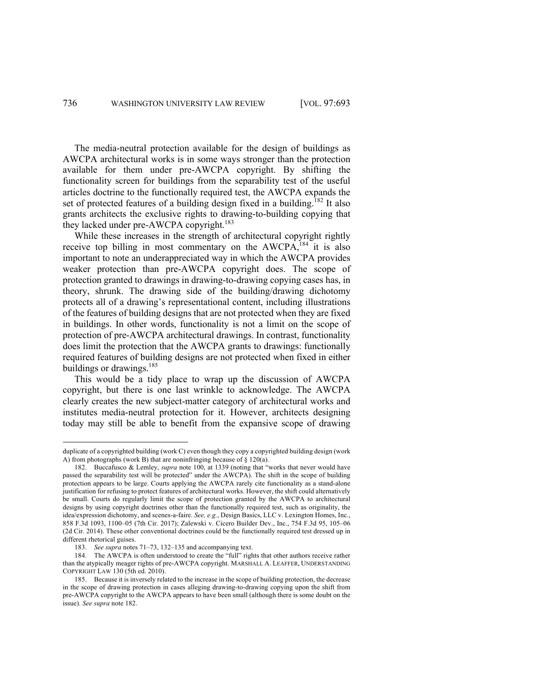The media-neutral protection available for the design of buildings as AWCPA architectural works is in some ways stronger than the protection available for them under pre-AWCPA copyright. By shifting the functionality screen for buildings from the separability test of the useful articles doctrine to the functionally required test, the AWCPA expands the set of protected features of a building design fixed in a building.<sup>182</sup> It also grants architects the exclusive rights to drawing-to-building copying that they lacked under pre-AWCPA copyright.<sup>183</sup>

While these increases in the strength of architectural copyright rightly receive top billing in most commentary on the  $AWCPA$ , <sup>184</sup> it is also important to note an underappreciated way in which the AWCPA provides weaker protection than pre-AWCPA copyright does. The scope of protection granted to drawings in drawing-to-drawing copying cases has, in theory, shrunk. The drawing side of the building/drawing dichotomy protects all of a drawing's representational content, including illustrations of the features of building designs that are not protected when they are fixed in buildings. In other words, functionality is not a limit on the scope of protection of pre-AWCPA architectural drawings. In contrast, functionality does limit the protection that the AWCPA grants to drawings: functionally required features of building designs are not protected when fixed in either buildings or drawings.<sup>185</sup>

This would be a tidy place to wrap up the discussion of AWCPA copyright, but there is one last wrinkle to acknowledge. The AWCPA clearly creates the new subject-matter category of architectural works and institutes media-neutral protection for it. However, architects designing today may still be able to benefit from the expansive scope of drawing

duplicate of a copyrighted building (work C) even though they copy a copyrighted building design (work A) from photographs (work B) that are noninfringing because of § 120(a).

<sup>182.</sup> Buccafusco & Lemley, *supra* note 100, at 1339 (noting that "works that never would have passed the separability test will be protected" under the AWCPA). The shift in the scope of building protection appears to be large. Courts applying the AWCPA rarely cite functionality as a stand-alone justification for refusing to protect features of architectural works. However, the shift could alternatively be small. Courts do regularly limit the scope of protection granted by the AWCPA to architectural designs by using copyright doctrines other than the functionally required test, such as originality, the idea/expression dichotomy, and scenes-a-faire. *See, e.g.*, Design Basics, LLC v. Lexington Homes, Inc., 858 F.3d 1093, 1100–05 (7th Cir. 2017); Zalewski v. Cicero Builder Dev., Inc., 754 F.3d 95, 105–06 (2d Cir. 2014). These other conventional doctrines could be the functionally required test dressed up in different rhetorical guises.

<sup>183.</sup> *See supra* notes 71–73, 132–135 and accompanying text.

<sup>184.</sup> The AWCPA is often understood to create the "full" rights that other authors receive rather than the atypically meager rights of pre-AWCPA copyright. MARSHALL A. LEAFFER, UNDERSTANDING COPYRIGHT LAW 130 (5th ed. 2010).

<sup>185.</sup> Because it is inversely related to the increase in the scope of building protection, the decrease in the scope of drawing protection in cases alleging drawing-to-drawing copying upon the shift from pre-AWCPA copyright to the AWCPA appears to have been small (although there is some doubt on the issue). *See supra* note 182.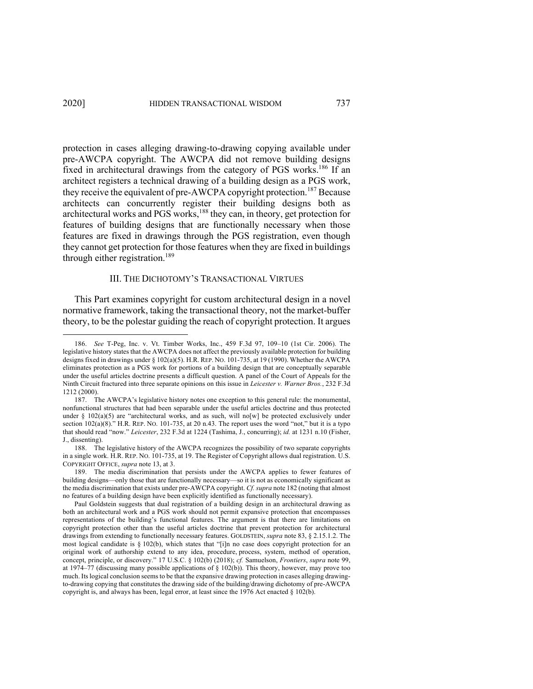protection in cases alleging drawing-to-drawing copying available under pre-AWCPA copyright. The AWCPA did not remove building designs fixed in architectural drawings from the category of PGS works.<sup>186</sup> If an architect registers a technical drawing of a building design as a PGS work, they receive the equivalent of pre-AWCPA copyright protection.<sup>187</sup> Because architects can concurrently register their building designs both as architectural works and PGS works,<sup>188</sup> they can, in theory, get protection for features of building designs that are functionally necessary when those features are fixed in drawings through the PGS registration, even though they cannot get protection for those features when they are fixed in buildings through either registration.<sup>189</sup>

#### III. THE DICHOTOMY'S TRANSACTIONAL VIRTUES

This Part examines copyright for custom architectural design in a novel normative framework, taking the transactional theory, not the market-buffer theory, to be the polestar guiding the reach of copyright protection. It argues

<sup>186.</sup> *See* T-Peg, Inc. v. Vt. Timber Works, Inc., 459 F.3d 97, 109–10 (1st Cir. 2006). The legislative history states that the AWCPA does not affect the previously available protection for building designs fixed in drawings under § 102(a)(5). H.R. REP. NO. 101-735, at 19 (1990). Whether the AWCPA eliminates protection as a PGS work for portions of a building design that are conceptually separable under the useful articles doctrine presents a difficult question. A panel of the Court of Appeals for the Ninth Circuit fractured into three separate opinions on this issue in *Leicester v. Warner Bros.*, 232 F.3d 1212 (2000).

<sup>187.</sup> The AWCPA's legislative history notes one exception to this general rule: the monumental, nonfunctional structures that had been separable under the useful articles doctrine and thus protected under § 102(a)(5) are "architectural works, and as such, will no[w] be protected exclusively under section 102(a)(8)." H.R. REP. NO. 101-735, at 20 n.43. The report uses the word "not," but it is a typo that should read "now." *Leicester*, 232 F.3d at 1224 (Tashima, J., concurring); *id.* at 1231 n.10 (Fisher, J., dissenting).

<sup>188.</sup> The legislative history of the AWCPA recognizes the possibility of two separate copyrights in a single work. H.R. REP. NO. 101-735, at 19. The Register of Copyright allows dual registration. U.S. COPYRIGHT OFFICE, *supra* note 13, at 3.

<sup>189.</sup> The media discrimination that persists under the AWCPA applies to fewer features of building designs—only those that are functionally necessary—so it is not as economically significant as the media discrimination that exists under pre-AWCPA copyright. *Cf. supra* note 182 (noting that almost no features of a building design have been explicitly identified as functionally necessary).

Paul Goldstein suggests that dual registration of a building design in an architectural drawing as both an architectural work and a PGS work should not permit expansive protection that encompasses representations of the building's functional features. The argument is that there are limitations on copyright protection other than the useful articles doctrine that prevent protection for architectural drawings from extending to functionally necessary features. GOLDSTEIN, *supra* note 83, § 2.15.1.2. The most logical candidate is § 102(b), which states that "[i]n no case does copyright protection for an original work of authorship extend to any idea, procedure, process, system, method of operation, concept, principle, or discovery." 17 U.S.C. § 102(b) (2018); *cf.* Samuelson, *Frontiers*, *supra* note 99, at 1974–77 (discussing many possible applications of § 102(b)). This theory, however, may prove too much. Its logical conclusion seems to be that the expansive drawing protection in cases alleging drawingto-drawing copying that constitutes the drawing side of the building/drawing dichotomy of pre-AWCPA copyright is, and always has been, legal error, at least since the 1976 Act enacted § 102(b).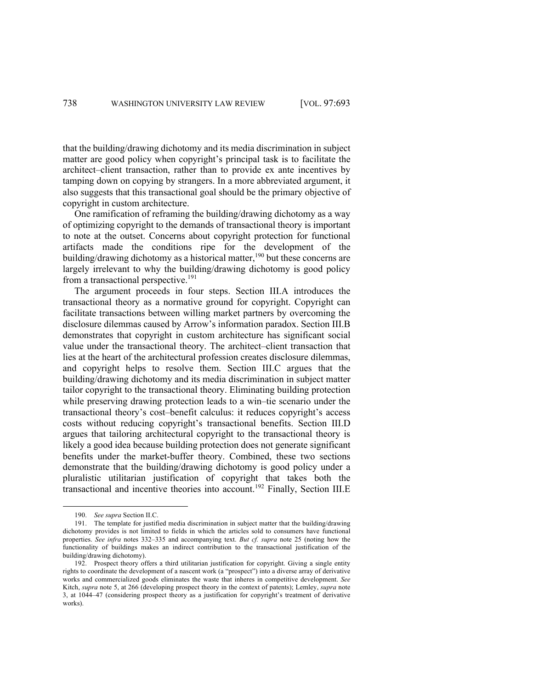that the building/drawing dichotomy and its media discrimination in subject matter are good policy when copyright's principal task is to facilitate the architect–client transaction, rather than to provide ex ante incentives by tamping down on copying by strangers. In a more abbreviated argument, it also suggests that this transactional goal should be the primary objective of copyright in custom architecture.

One ramification of reframing the building/drawing dichotomy as a way of optimizing copyright to the demands of transactional theory is important to note at the outset. Concerns about copyright protection for functional artifacts made the conditions ripe for the development of the building/drawing dichotomy as a historical matter,<sup>190</sup> but these concerns are largely irrelevant to why the building/drawing dichotomy is good policy from a transactional perspective.<sup>191</sup>

The argument proceeds in four steps. Section III.A introduces the transactional theory as a normative ground for copyright. Copyright can facilitate transactions between willing market partners by overcoming the disclosure dilemmas caused by Arrow's information paradox. Section III.B demonstrates that copyright in custom architecture has significant social value under the transactional theory. The architect–client transaction that lies at the heart of the architectural profession creates disclosure dilemmas, and copyright helps to resolve them. Section III.C argues that the building/drawing dichotomy and its media discrimination in subject matter tailor copyright to the transactional theory. Eliminating building protection while preserving drawing protection leads to a win–tie scenario under the transactional theory's cost–benefit calculus: it reduces copyright's access costs without reducing copyright's transactional benefits. Section III.D argues that tailoring architectural copyright to the transactional theory is likely a good idea because building protection does not generate significant benefits under the market-buffer theory. Combined, these two sections demonstrate that the building/drawing dichotomy is good policy under a pluralistic utilitarian justification of copyright that takes both the transactional and incentive theories into account.<sup>192</sup> Finally, Section III.E

<sup>190.</sup> *See supra* Section II.C.

<sup>191.</sup> The template for justified media discrimination in subject matter that the building/drawing dichotomy provides is not limited to fields in which the articles sold to consumers have functional properties. *See infra* notes 332–335 and accompanying text. *But cf. supra* note 25 (noting how the functionality of buildings makes an indirect contribution to the transactional justification of the building/drawing dichotomy).

<sup>192.</sup> Prospect theory offers a third utilitarian justification for copyright. Giving a single entity rights to coordinate the development of a nascent work (a "prospect") into a diverse array of derivative works and commercialized goods eliminates the waste that inheres in competitive development. *See*  Kitch, *supra* note 5, at 266 (developing prospect theory in the context of patents); Lemley, *supra* note 3, at 1044–47 (considering prospect theory as a justification for copyright's treatment of derivative works).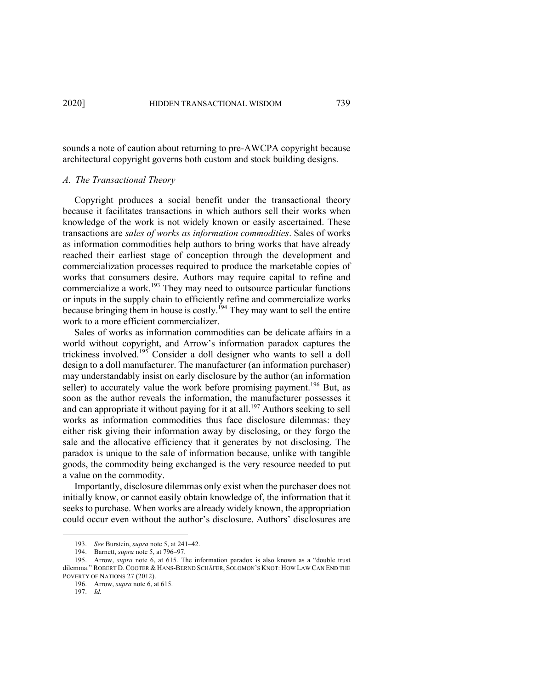sounds a note of caution about returning to pre-AWCPA copyright because architectural copyright governs both custom and stock building designs.

#### *A. The Transactional Theory*

Copyright produces a social benefit under the transactional theory because it facilitates transactions in which authors sell their works when knowledge of the work is not widely known or easily ascertained. These transactions are *sales of works as information commodities*. Sales of works as information commodities help authors to bring works that have already reached their earliest stage of conception through the development and commercialization processes required to produce the marketable copies of works that consumers desire. Authors may require capital to refine and commercialize a work.<sup>193</sup> They may need to outsource particular functions or inputs in the supply chain to efficiently refine and commercialize works because bringing them in house is costly.<sup>194</sup> They may want to sell the entire work to a more efficient commercializer.

Sales of works as information commodities can be delicate affairs in a world without copyright, and Arrow's information paradox captures the trickiness involved.<sup>195</sup> Consider a doll designer who wants to sell a doll design to a doll manufacturer. The manufacturer (an information purchaser) may understandably insist on early disclosure by the author (an information seller) to accurately value the work before promising payment.<sup>196</sup> But, as soon as the author reveals the information, the manufacturer possesses it and can appropriate it without paying for it at all.<sup>197</sup> Authors seeking to sell works as information commodities thus face disclosure dilemmas: they either risk giving their information away by disclosing, or they forgo the sale and the allocative efficiency that it generates by not disclosing. The paradox is unique to the sale of information because, unlike with tangible goods, the commodity being exchanged is the very resource needed to put a value on the commodity.

Importantly, disclosure dilemmas only exist when the purchaser does not initially know, or cannot easily obtain knowledge of, the information that it seeks to purchase. When works are already widely known, the appropriation could occur even without the author's disclosure. Authors' disclosures are

<sup>193.</sup> *See* Burstein, *supra* note 5, at 241–42.

<sup>194.</sup> Barnett, *supra* note 5, at 796–97.

<sup>195.</sup> Arrow, *supra* note 6, at 615. The information paradox is also known as a "double trust dilemma." ROBERT D. COOTER & HANS-BERND SCHÄFER, SOLOMON'S KNOT: HOW LAW CAN END THE POVERTY OF NATIONS 27 (2012).

<sup>196.</sup> Arrow, *supra* note 6, at 615.

<sup>197.</sup> *Id.*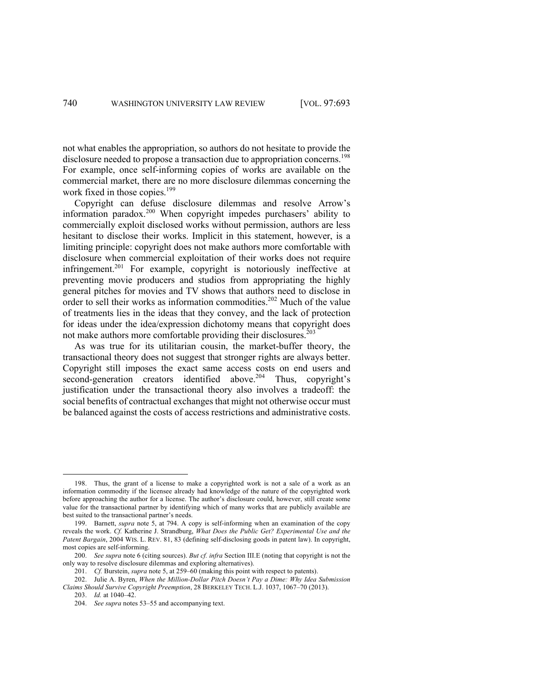not what enables the appropriation, so authors do not hesitate to provide the disclosure needed to propose a transaction due to appropriation concerns.<sup>198</sup> For example, once self-informing copies of works are available on the commercial market, there are no more disclosure dilemmas concerning the work fixed in those copies.<sup>199</sup>

Copyright can defuse disclosure dilemmas and resolve Arrow's information paradox.<sup>200</sup> When copyright impedes purchasers' ability to commercially exploit disclosed works without permission, authors are less hesitant to disclose their works. Implicit in this statement, however, is a limiting principle: copyright does not make authors more comfortable with disclosure when commercial exploitation of their works does not require infringement.201 For example, copyright is notoriously ineffective at preventing movie producers and studios from appropriating the highly general pitches for movies and TV shows that authors need to disclose in order to sell their works as information commodities. <sup>202</sup> Much of the value of treatments lies in the ideas that they convey, and the lack of protection for ideas under the idea/expression dichotomy means that copyright does not make authors more comfortable providing their disclosures. 203

As was true for its utilitarian cousin, the market-buffer theory, the transactional theory does not suggest that stronger rights are always better. Copyright still imposes the exact same access costs on end users and second-generation creators identified above.<sup>204</sup> Thus, copyright's justification under the transactional theory also involves a tradeoff: the social benefits of contractual exchanges that might not otherwise occur must be balanced against the costs of access restrictions and administrative costs.

<sup>198.</sup> Thus, the grant of a license to make a copyrighted work is not a sale of a work as an information commodity if the licensee already had knowledge of the nature of the copyrighted work before approaching the author for a license. The author's disclosure could, however, still create some value for the transactional partner by identifying which of many works that are publicly available are best suited to the transactional partner's needs.

<sup>199.</sup> Barnett, *supra* note 5, at 794. A copy is self-informing when an examination of the copy reveals the work. *Cf.* Katherine J. Strandburg, *What Does the Public Get? Experimental Use and the Patent Bargain*, 2004 WIS. L. REV. 81, 83 (defining self-disclosing goods in patent law). In copyright, most copies are self-informing.

<sup>200.</sup> *See supra* note 6 (citing sources). *But cf. infra* Section III.E (noting that copyright is not the only way to resolve disclosure dilemmas and exploring alternatives).

<sup>201.</sup> *Cf.* Burstein, *supra* note 5, at 259–60 (making this point with respect to patents).

<sup>202.</sup> Julie A. Byren, *When the Million-Dollar Pitch Doesn't Pay a Dime: Why Idea Submission Claims Should Survive Copyright Preemption*, 28 BERKELEY TECH. L.J. 1037, 1067–70 (2013). 203. *Id.* at 1040–42.

<sup>204.</sup> *See supra* notes 53–55 and accompanying text.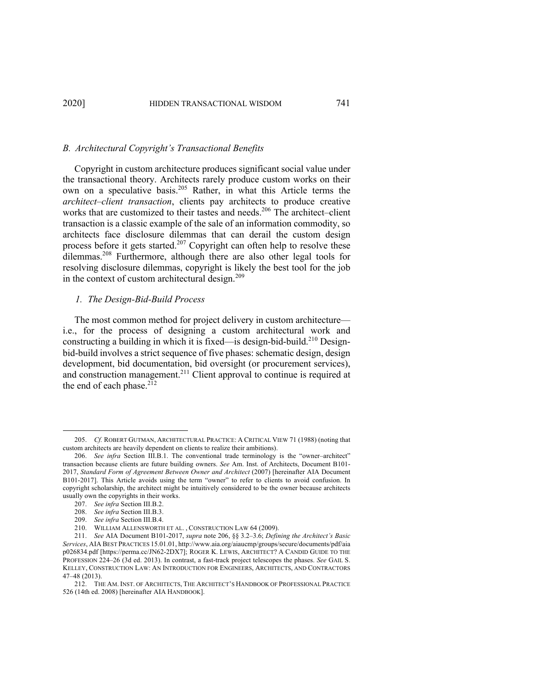# *B. Architectural Copyright's Transactional Benefits*

Copyright in custom architecture produces significant social value under the transactional theory. Architects rarely produce custom works on their own on a speculative basis.<sup>205</sup> Rather, in what this Article terms the *architect–client transaction*, clients pay architects to produce creative works that are customized to their tastes and needs.<sup>206</sup> The architect–client transaction is a classic example of the sale of an information commodity, so architects face disclosure dilemmas that can derail the custom design process before it gets started.<sup>207</sup> Copyright can often help to resolve these dilemmas.<sup>208</sup> Furthermore, although there are also other legal tools for resolving disclosure dilemmas, copyright is likely the best tool for the job in the context of custom architectural design.<sup>209</sup>

# *1. The Design-Bid-Build Process*

The most common method for project delivery in custom architecture i.e., for the process of designing a custom architectural work and constructing a building in which it is fixed—is design-bid-build.<sup>210</sup> Designbid-build involves a strict sequence of five phases: schematic design, design development, bid documentation, bid oversight (or procurement services), and construction management.<sup>211</sup> Client approval to continue is required at the end of each phase. $2^{12}$ 

<sup>205.</sup> *Cf.* ROBERT GUTMAN, ARCHITECTURAL PRACTICE: A CRITICAL VIEW 71 (1988) (noting that custom architects are heavily dependent on clients to realize their ambitions).

<sup>206.</sup> *See infra* Section III.B.1. The conventional trade terminology is the "owner–architect" transaction because clients are future building owners. *See* Am. Inst. of Architects, Document B101- 2017, *Standard Form of Agreement Between Owner and Architect* (2007) [hereinafter AIA Document B101-2017]. This Article avoids using the term "owner" to refer to clients to avoid confusion. In copyright scholarship, the architect might be intuitively considered to be the owner because architects usually own the copyrights in their works.

<sup>207.</sup> *See infra* Section III.B.2.

<sup>208.</sup> *See infra* Section III.B.3.

<sup>209.</sup> *See infra* Section III.B.4.

<sup>210.</sup> WILLIAM ALLENSWORTH ET AL. , CONSTRUCTION LAW 64 (2009).

<sup>211.</sup> *See* AIA Document B101-2017, *supra* note 206, §§ 3.2–3.6; *Defining the Architect's Basic Services*, AIA BEST PRACTICES 15.01.01, http://www.aia.org/aiaucmp/groups/secure/documents/pdf/aia p026834.pdf [https://perma.cc/JN62-2DX7]; ROGER K. LEWIS, ARCHITECT? A CANDID GUIDE TO THE PROFESSION 224–26 (3d ed. 2013). In contrast, a fast-track project telescopes the phases. *See* GAIL S. KELLEY, CONSTRUCTION LAW: AN INTRODUCTION FOR ENGINEERS, ARCHITECTS, AND CONTRACTORS 47–48 (2013).

<sup>212.</sup> THE AM. INST. OF ARCHITECTS, THE ARCHITECT'S HANDBOOK OF PROFESSIONAL PRACTICE 526 (14th ed. 2008) [hereinafter AIA HANDBOOK].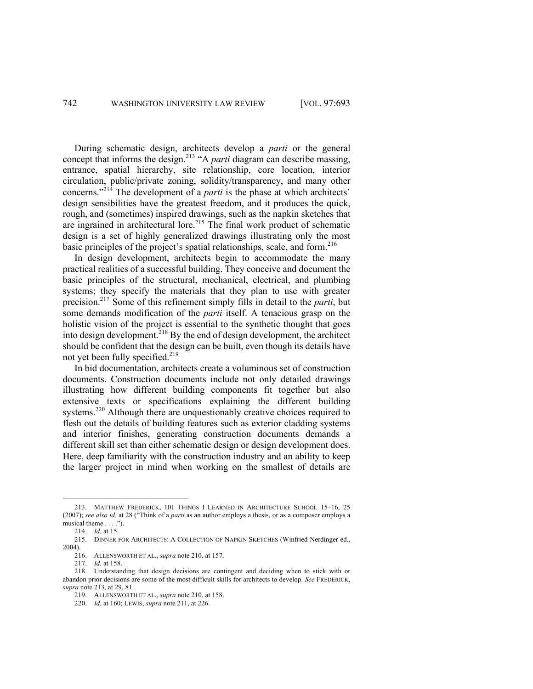During schematic design, architects develop a *parti* or the general concept that informs the design.<sup>213</sup> "A *parti* diagram can describe massing, entrance, spatial hierarchy, site relationship, core location, interior circulation, public/private zoning, solidity/transparency, and many other concerns."<sup>214</sup> The development of a *parti* is the phase at which architects' design sensibilities have the greatest freedom, and it produces the quick, rough, and (sometimes) inspired drawings, such as the napkin sketches that are ingrained in architectural lore.<sup>215</sup> The final work product of schematic design is a set of highly generalized drawings illustrating only the most basic principles of the project's spatial relationships, scale, and form.<sup>216</sup>

In design development, architects begin to accommodate the many practical realities of a successful building. They conceive and document the basic principles of the structural, mechanical, electrical, and plumbing systems; they specify the materials that they plan to use with greater precision. <sup>217</sup> Some of this refinement simply fills in detail to the *parti*, but some demands modification of the *parti* itself. A tenacious grasp on the holistic vision of the project is essential to the synthetic thought that goes into design development.<sup>218</sup> By the end of design development, the architect should be confident that the design can be built, even though its details have not yet been fully specified.<sup>219</sup>

In bid documentation, architects create a voluminous set of construction documents. Construction documents include not only detailed drawings illustrating how different building components fit together but also extensive texts or specifications explaining the different building systems.<sup>220</sup> Although there are unquestionably creative choices required to flesh out the details of building features such as exterior cladding systems and interior finishes, generating construction documents demands a different skill set than either schematic design or design development does. Here, deep familiarity with the construction industry and an ability to keep the larger project in mind when working on the smallest of details are

<sup>213.</sup> MATTHEW FREDERICK, 101 THINGS I LEARNED IN ARCHITECTURE SCHOOL 15–16, 25 (2007); *see also id.* at 28 ("Think of a *parti* as an author employs a thesis, or as a composer employs a musical theme . . . .").

<sup>214.</sup> *Id.* at 15.

<sup>215.</sup> DINNER FOR ARCHITECTS: A COLLECTION OF NAPKIN SKETCHES (Winfried Nerdinger ed., 2004).

<sup>216.</sup> ALLENSWORTH ET AL., *supra* note 210, at 157.

<sup>217.</sup> *Id.* at 158.

<sup>218.</sup> Understanding that design decisions are contingent and deciding when to stick with or abandon prior decisions are some of the most difficult skills for architects to develop. *See* FREDERICK, *supra* note 213, at 29, 81.

<sup>219.</sup> ALLENSWORTH ET AL., *supra* note 210, at 158.

<sup>220.</sup> *Id.* at 160; LEWIS, *supra* note 211, at 226.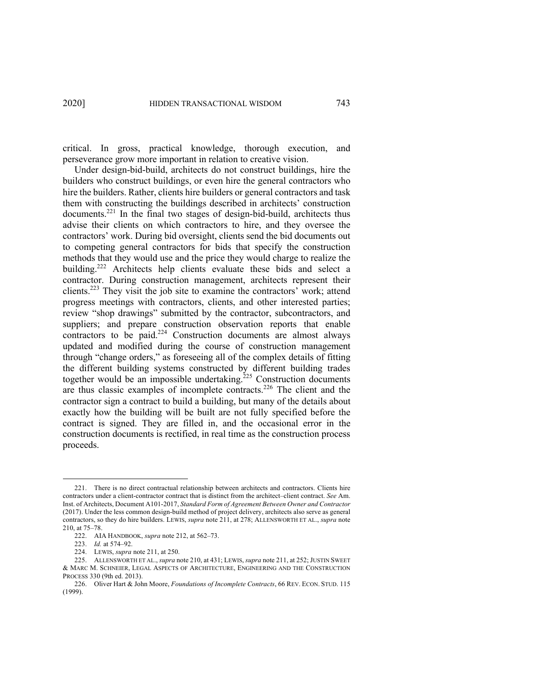critical. In gross, practical knowledge, thorough execution, and perseverance grow more important in relation to creative vision.

Under design-bid-build, architects do not construct buildings, hire the builders who construct buildings, or even hire the general contractors who hire the builders. Rather, clients hire builders or general contractors and task them with constructing the buildings described in architects' construction documents.221 In the final two stages of design-bid-build, architects thus advise their clients on which contractors to hire, and they oversee the contractors' work. During bid oversight, clients send the bid documents out to competing general contractors for bids that specify the construction methods that they would use and the price they would charge to realize the building.<sup>222</sup> Architects help clients evaluate these bids and select a contractor. During construction management, architects represent their clients.<sup>223</sup> They visit the job site to examine the contractors' work; attend progress meetings with contractors, clients, and other interested parties; review "shop drawings" submitted by the contractor, subcontractors, and suppliers; and prepare construction observation reports that enable contractors to be paid.<sup>224</sup> Construction documents are almost always updated and modified during the course of construction management through "change orders," as foreseeing all of the complex details of fitting the different building systems constructed by different building trades together would be an impossible undertaking.<sup>225</sup> Construction documents are thus classic examples of incomplete contracts.<sup>226</sup> The client and the contractor sign a contract to build a building, but many of the details about exactly how the building will be built are not fully specified before the contract is signed. They are filled in, and the occasional error in the construction documents is rectified, in real time as the construction process proceeds.

<sup>221.</sup> There is no direct contractual relationship between architects and contractors. Clients hire contractors under a client-contractor contract that is distinct from the architect–client contract. *See* Am. Inst. of Architects, Document A101-2017, *Standard Form of Agreement Between Owner and Contractor* (2017). Under the less common design-build method of project delivery, architects also serve as general contractors, so they do hire builders. LEWIS, *supra* note 211, at 278; ALLENSWORTH ET AL., *supra* note 210, at 75–78.

<sup>222.</sup> AIA HANDBOOK, *supra* note 212, at 562–73.

<sup>223.</sup> *Id.* at 574–92.

<sup>224.</sup> LEWIS, *supra* note 211, at 250.

<sup>225.</sup> ALLENSWORTH ET AL., *supra* note 210, at 431; LEWIS, *supra* note 211, at 252; JUSTIN SWEET & MARC M. SCHNEIER, LEGAL ASPECTS OF ARCHITECTURE, ENGINEERING AND THE CONSTRUCTION PROCESS 330 (9th ed. 2013).

<sup>226.</sup> Oliver Hart & John Moore, *Foundations of Incomplete Contracts*, 66 REV. ECON. STUD. 115 (1999).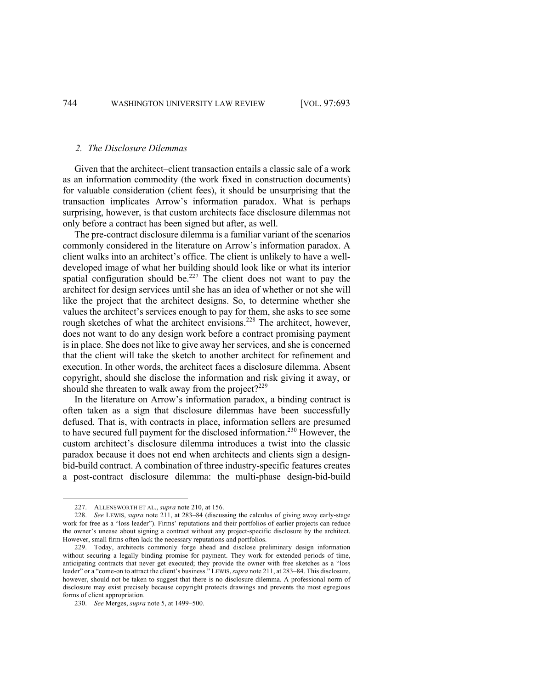# *2. The Disclosure Dilemmas*

Given that the architect–client transaction entails a classic sale of a work as an information commodity (the work fixed in construction documents) for valuable consideration (client fees), it should be unsurprising that the transaction implicates Arrow's information paradox. What is perhaps surprising, however, is that custom architects face disclosure dilemmas not only before a contract has been signed but after, as well.

The pre-contract disclosure dilemma is a familiar variant of the scenarios commonly considered in the literature on Arrow's information paradox. A client walks into an architect's office. The client is unlikely to have a welldeveloped image of what her building should look like or what its interior spatial configuration should be.<sup>227</sup> The client does not want to pay the architect for design services until she has an idea of whether or not she will like the project that the architect designs. So, to determine whether she values the architect's services enough to pay for them, she asks to see some rough sketches of what the architect envisions.<sup>228</sup> The architect, however, does not want to do any design work before a contract promising payment is in place. She does not like to give away her services, and she is concerned that the client will take the sketch to another architect for refinement and execution. In other words, the architect faces a disclosure dilemma. Absent copyright, should she disclose the information and risk giving it away, or should she threaten to walk away from the project? $2^{229}$ 

In the literature on Arrow's information paradox, a binding contract is often taken as a sign that disclosure dilemmas have been successfully defused. That is, with contracts in place, information sellers are presumed to have secured full payment for the disclosed information.<sup>230</sup> However, the custom architect's disclosure dilemma introduces a twist into the classic paradox because it does not end when architects and clients sign a designbid-build contract. A combination of three industry-specific features creates a post-contract disclosure dilemma: the multi-phase design-bid-build

<sup>227.</sup> ALLENSWORTH ET AL., *supra* note 210, at 156.

<sup>228.</sup> *See* LEWIS, *supra* note 211, at 283–84 (discussing the calculus of giving away early-stage work for free as a "loss leader"). Firms' reputations and their portfolios of earlier projects can reduce the owner's unease about signing a contract without any project-specific disclosure by the architect. However, small firms often lack the necessary reputations and portfolios.

<sup>229.</sup> Today, architects commonly forge ahead and disclose preliminary design information without securing a legally binding promise for payment. They work for extended periods of time, anticipating contracts that never get executed; they provide the owner with free sketches as a "loss leader" or a "come-on to attract the client's business." LEWIS,*supra* note 211, at 283–84. This disclosure, however, should not be taken to suggest that there is no disclosure dilemma. A professional norm of disclosure may exist precisely because copyright protects drawings and prevents the most egregious forms of client appropriation.

<sup>230.</sup> *See* Merges, *supra* note 5, at 1499–500.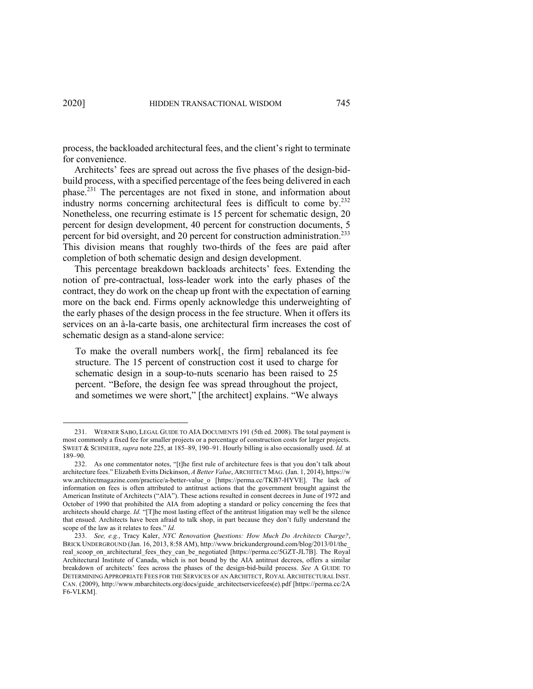process, the backloaded architectural fees, and the client's right to terminate for convenience.

Architects' fees are spread out across the five phases of the design-bidbuild process, with a specified percentage of the fees being delivered in each phase.<sup>231</sup> The percentages are not fixed in stone, and information about industry norms concerning architectural fees is difficult to come by.232 Nonetheless, one recurring estimate is 15 percent for schematic design, 20 percent for design development, 40 percent for construction documents, 5 percent for bid oversight, and 20 percent for construction administration.<sup>233</sup> This division means that roughly two-thirds of the fees are paid after completion of both schematic design and design development.

This percentage breakdown backloads architects' fees. Extending the notion of pre-contractual, loss-leader work into the early phases of the contract, they do work on the cheap up front with the expectation of earning more on the back end. Firms openly acknowledge this underweighting of the early phases of the design process in the fee structure. When it offers its services on an à-la-carte basis, one architectural firm increases the cost of schematic design as a stand-alone service:

To make the overall numbers work[, the firm] rebalanced its fee structure. The 15 percent of construction cost it used to charge for schematic design in a soup-to-nuts scenario has been raised to 25 percent. "Before, the design fee was spread throughout the project, and sometimes we were short," [the architect] explains. "We always

<sup>231.</sup> WERNER SABO, LEGAL GUIDE TO AIA DOCUMENTS 191 (5th ed. 2008). The total payment is most commonly a fixed fee for smaller projects or a percentage of construction costs for larger projects. SWEET & SCHNEIER, *supra* note 225, at 185–89, 190–91. Hourly billing is also occasionally used. *Id.* at 189–90.

<sup>232.</sup> As one commentator notes, "[t]he first rule of architecture fees is that you don't talk about architecture fees." Elizabeth Evitts Dickinson, *A Better Value*, ARCHITECT MAG. (Jan. 1, 2014), https://w ww.architectmagazine.com/practice/a-better-value\_o [https://perma.cc/TKB7-HYVE]. The lack of information on fees is often attributed to antitrust actions that the government brought against the American Institute of Architects ("AIA"). These actions resulted in consent decrees in June of 1972 and October of 1990 that prohibited the AIA from adopting a standard or policy concerning the fees that architects should charge. *Id.* "[T]he most lasting effect of the antitrust litigation may well be the silence that ensued. Architects have been afraid to talk shop, in part because they don't fully understand the scope of the law as it relates to fees." *Id.*

<sup>233.</sup> *See, e.g.*, Tracy Kaler, *NYC Renovation Questions: How Much Do Architects Charge?*, BRICK UNDERGROUND (Jan. 16, 2013, 8:58 AM), http://www.brickunderground.com/blog/2013/01/the\_ real\_scoop\_on\_architectural\_fees\_they\_can\_be\_negotiated [https://perma.cc/5GZT-JL7B]. The Royal Architectural Institute of Canada, which is not bound by the AIA antitrust decrees, offers a similar breakdown of architects' fees across the phases of the design-bid-build process. *See* A GUIDE TO DETERMINING APPROPRIATE FEES FOR THE SERVICES OF AN ARCHITECT, ROYAL ARCHITECTURAL INST. CAN. (2009), http://www.mbarchitects.org/docs/guide\_architectservicefees(e).pdf [https://perma.cc/2A F6-VLKM].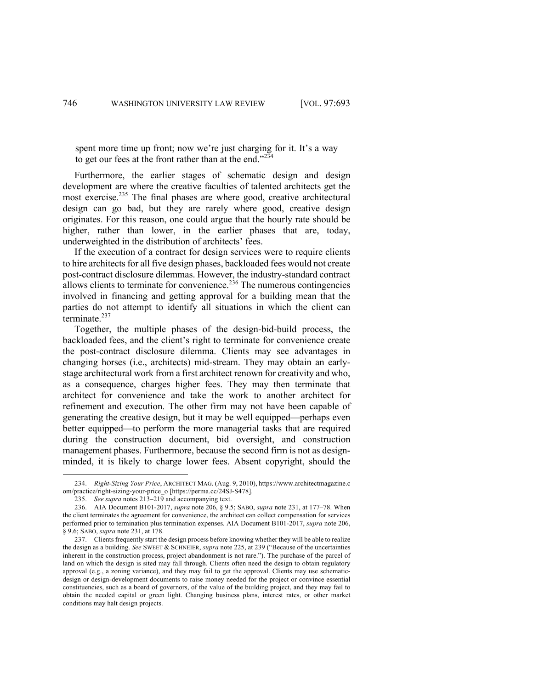spent more time up front; now we're just charging for it. It's a way to get our fees at the front rather than at the end." $234$ 

Furthermore, the earlier stages of schematic design and design development are where the creative faculties of talented architects get the most exercise.<sup>235</sup> The final phases are where good, creative architectural design can go bad, but they are rarely where good, creative design originates. For this reason, one could argue that the hourly rate should be higher, rather than lower, in the earlier phases that are, today, underweighted in the distribution of architects' fees.

If the execution of a contract for design services were to require clients to hire architects for all five design phases, backloaded fees would not create post-contract disclosure dilemmas. However, the industry-standard contract allows clients to terminate for convenience.<sup> $236$ </sup> The numerous contingencies involved in financing and getting approval for a building mean that the parties do not attempt to identify all situations in which the client can terminate.<sup>237</sup>

Together, the multiple phases of the design-bid-build process, the backloaded fees, and the client's right to terminate for convenience create the post-contract disclosure dilemma. Clients may see advantages in changing horses (i.e., architects) mid-stream. They may obtain an earlystage architectural work from a first architect renown for creativity and who, as a consequence, charges higher fees. They may then terminate that architect for convenience and take the work to another architect for refinement and execution. The other firm may not have been capable of generating the creative design, but it may be well equipped—perhaps even better equipped—to perform the more managerial tasks that are required during the construction document, bid oversight, and construction management phases. Furthermore, because the second firm is not as designminded, it is likely to charge lower fees. Absent copyright, should the

<sup>234.</sup> *Right-Sizing Your Price*, ARCHITECT MAG. (Aug. 9, 2010), https://www.architectmagazine.c om/practice/right-sizing-your-price\_o [https://perma.cc/24SJ-S478].

<sup>235.</sup> *See supra* notes 213–219 and accompanying text.

<sup>236.</sup> AIA Document B101-2017, *supra* note 206, § 9.5; SABO, *supra* note 231, at 177–78. When the client terminates the agreement for convenience, the architect can collect compensation for services performed prior to termination plus termination expenses. AIA Document B101-2017, *supra* note 206, § 9.6; SABO, *supra* note 231, at 178.

<sup>237.</sup> Clients frequently start the design process before knowing whether they will be able to realize the design as a building. *See* SWEET & SCHNEIER, *supra* note 225, at 239 ("Because of the uncertainties inherent in the construction process, project abandonment is not rare."). The purchase of the parcel of land on which the design is sited may fall through. Clients often need the design to obtain regulatory approval (e.g., a zoning variance), and they may fail to get the approval. Clients may use schematicdesign or design-development documents to raise money needed for the project or convince essential constituencies, such as a board of governors, of the value of the building project, and they may fail to obtain the needed capital or green light. Changing business plans, interest rates, or other market conditions may halt design projects.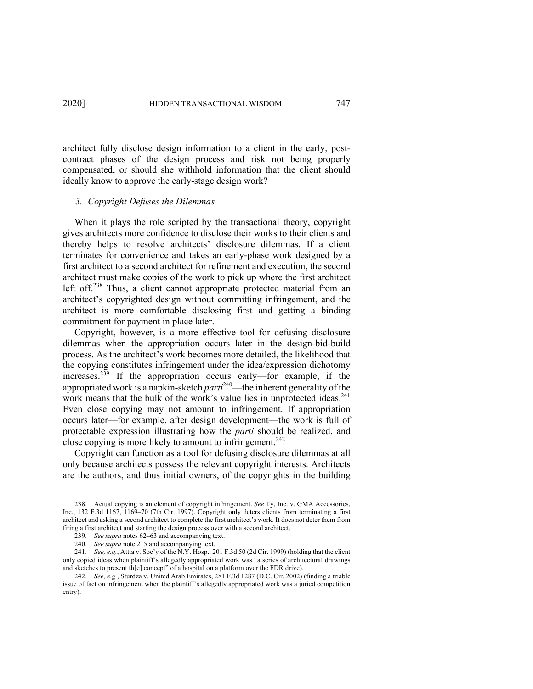architect fully disclose design information to a client in the early, postcontract phases of the design process and risk not being properly compensated, or should she withhold information that the client should ideally know to approve the early-stage design work?

### *3. Copyright Defuses the Dilemmas*

When it plays the role scripted by the transactional theory, copyright gives architects more confidence to disclose their works to their clients and thereby helps to resolve architects' disclosure dilemmas. If a client terminates for convenience and takes an early-phase work designed by a first architect to a second architect for refinement and execution, the second architect must make copies of the work to pick up where the first architect left off.<sup>238</sup> Thus, a client cannot appropriate protected material from an architect's copyrighted design without committing infringement, and the architect is more comfortable disclosing first and getting a binding commitment for payment in place later.

Copyright, however, is a more effective tool for defusing disclosure dilemmas when the appropriation occurs later in the design-bid-build process. As the architect's work becomes more detailed, the likelihood that the copying constitutes infringement under the idea/expression dichotomy increases.<sup>239</sup> If the appropriation occurs early—for example, if the appropriated work is a napkin-sketch *parti*<sup>240</sup>—the inherent generality of the work means that the bulk of the work's value lies in unprotected ideas.<sup>241</sup> Even close copying may not amount to infringement. If appropriation occurs later—for example, after design development—the work is full of protectable expression illustrating how the *parti* should be realized, and close copying is more likely to amount to infringement. 242

Copyright can function as a tool for defusing disclosure dilemmas at all only because architects possess the relevant copyright interests. Architects are the authors, and thus initial owners, of the copyrights in the building

<sup>238.</sup> Actual copying is an element of copyright infringement. *See* Ty, Inc. v. GMA Accessories, Inc., 132 F.3d 1167, 1169–70 (7th Cir. 1997). Copyright only deters clients from terminating a first architect and asking a second architect to complete the first architect's work. It does not deter them from firing a first architect and starting the design process over with a second architect.

<sup>239.</sup> *See supra* notes 62–63 and accompanying text.

<sup>240.</sup> *See supra* note 215 and accompanying text.

<sup>241.</sup> *See, e.g.*, Attia v. Soc'y of the N.Y. Hosp., 201 F.3d 50 (2d Cir. 1999) (holding that the client only copied ideas when plaintiff's allegedly appropriated work was "a series of architectural drawings and sketches to present th[e] concept" of a hospital on a platform over the FDR drive).

<sup>242.</sup> *See, e.g.*, Sturdza v. United Arab Emirates, 281 F.3d 1287 (D.C. Cir. 2002) (finding a triable issue of fact on infringement when the plaintiff's allegedly appropriated work was a juried competition entry).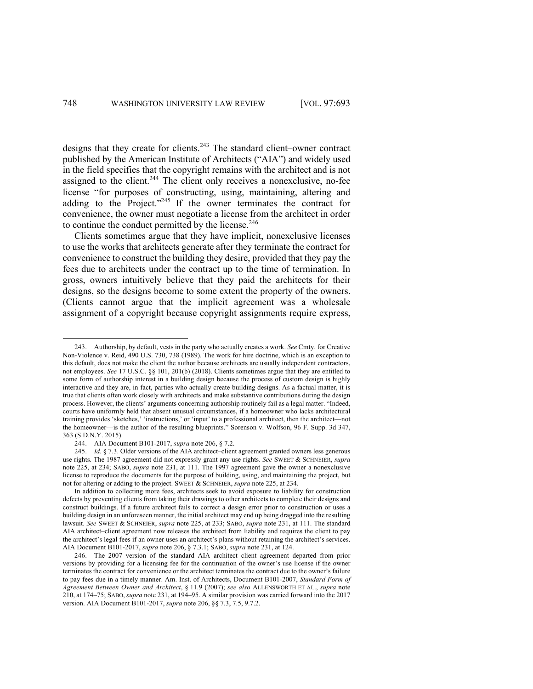designs that they create for clients.<sup>243</sup> The standard client–owner contract published by the American Institute of Architects ("AIA") and widely used in the field specifies that the copyright remains with the architect and is not assigned to the client.<sup>244</sup> The client only receives a nonexclusive, no-fee license "for purposes of constructing, using, maintaining, altering and adding to the Project."<sup>245</sup> If the owner terminates the contract for convenience, the owner must negotiate a license from the architect in order to continue the conduct permitted by the license. $246$ 

Clients sometimes argue that they have implicit, nonexclusive licenses to use the works that architects generate after they terminate the contract for convenience to construct the building they desire, provided that they pay the fees due to architects under the contract up to the time of termination. In gross, owners intuitively believe that they paid the architects for their designs, so the designs become to some extent the property of the owners. (Clients cannot argue that the implicit agreement was a wholesale assignment of a copyright because copyright assignments require express,

<sup>243.</sup> Authorship, by default, vests in the party who actually creates a work. *See* Cmty. for Creative Non-Violence v. Reid, 490 U.S. 730, 738 (1989). The work for hire doctrine, which is an exception to this default, does not make the client the author because architects are usually independent contractors, not employees. *See* 17 U.S.C. §§ 101, 201(b) (2018). Clients sometimes argue that they are entitled to some form of authorship interest in a building design because the process of custom design is highly interactive and they are, in fact, parties who actually create building designs. As a factual matter, it is true that clients often work closely with architects and make substantive contributions during the design process. However, the clients' arguments concerning authorship routinely fail as a legal matter. "Indeed, courts have uniformly held that absent unusual circumstances, if a homeowner who lacks architectural training provides 'sketches,' 'instructions,' or 'input' to a professional architect, then the architect—not the homeowner—is the author of the resulting blueprints." Sorenson v. Wolfson, 96 F. Supp. 3d 347, 363 (S.D.N.Y. 2015).

<sup>244.</sup> AIA Document B101-2017, *supra* note 206, § 7.2.

<sup>245.</sup> *Id.* § 7.3. Older versions of the AIA architect–client agreement granted owners less generous use rights. The 1987 agreement did not expressly grant any use rights. *See* SWEET & SCHNEIER, *supra*  note 225, at 234; SABO, *supra* note 231, at 111. The 1997 agreement gave the owner a nonexclusive license to reproduce the documents for the purpose of building, using, and maintaining the project, but not for altering or adding to the project. SWEET & SCHNEIER, *supra* note 225, at 234.

In addition to collecting more fees, architects seek to avoid exposure to liability for construction defects by preventing clients from taking their drawings to other architects to complete their designs and construct buildings. If a future architect fails to correct a design error prior to construction or uses a building design in an unforeseen manner, the initial architect may end up being dragged into the resulting lawsuit. *See* SWEET & SCHNEIER, *supra* note 225, at 233; SABO, *supra* note 231, at 111. The standard AIA architect–client agreement now releases the architect from liability and requires the client to pay the architect's legal fees if an owner uses an architect's plans without retaining the architect's services. AIA Document B101-2017, *supra* note 206, § 7.3.1; SABO, *supra* note 231, at 124.

<sup>246.</sup> The 2007 version of the standard AIA architect–client agreement departed from prior versions by providing for a licensing fee for the continuation of the owner's use license if the owner terminates the contract for convenience or the architect terminates the contract due to the owner's failure to pay fees due in a timely manner. Am. Inst. of Architects, Document B101-2007, *Standard Form of Agreement Between Owner and Architect*, § 11.9 (2007); *see also* ALLENSWORTH ET AL., *supra* note 210, at 174–75; SABO, *supra* note 231, at 194–95. A similar provision was carried forward into the 2017 version. AIA Document B101-2017, *supra* note 206, §§ 7.3, 7.5, 9.7.2.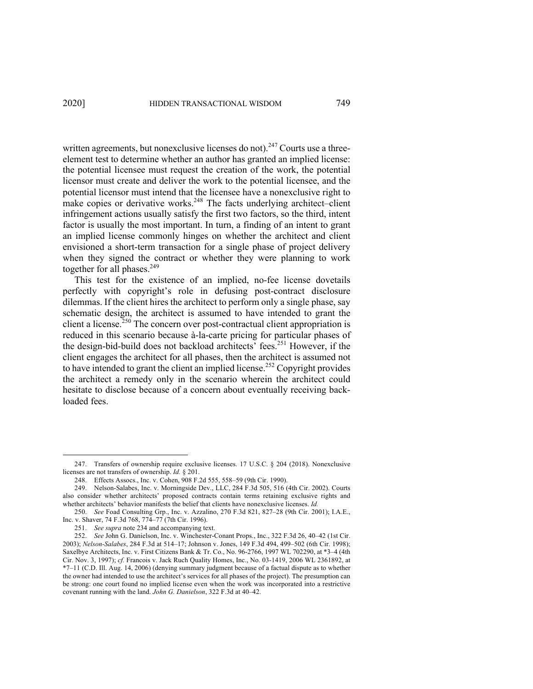written agreements, but nonexclusive licenses do not).<sup>247</sup> Courts use a threeelement test to determine whether an author has granted an implied license: the potential licensee must request the creation of the work, the potential licensor must create and deliver the work to the potential licensee, and the potential licensor must intend that the licensee have a nonexclusive right to make copies or derivative works.<sup>248</sup> The facts underlying architect–client infringement actions usually satisfy the first two factors, so the third, intent factor is usually the most important. In turn, a finding of an intent to grant an implied license commonly hinges on whether the architect and client envisioned a short-term transaction for a single phase of project delivery when they signed the contract or whether they were planning to work together for all phases.<sup>249</sup>

This test for the existence of an implied, no-fee license dovetails perfectly with copyright's role in defusing post-contract disclosure dilemmas. If the client hires the architect to perform only a single phase, say schematic design, the architect is assumed to have intended to grant the client a license.<sup>250</sup> The concern over post-contractual client appropriation is reduced in this scenario because à-la-carte pricing for particular phases of the design-bid-build does not backload architects' fees.251 However, if the client engages the architect for all phases, then the architect is assumed not to have intended to grant the client an implied license.<sup>252</sup> Copyright provides the architect a remedy only in the scenario wherein the architect could hesitate to disclose because of a concern about eventually receiving backloaded fees.

<sup>247.</sup> Transfers of ownership require exclusive licenses. 17 U.S.C. § 204 (2018). Nonexclusive licenses are not transfers of ownership. *Id.* § 201.

<sup>248.</sup> Effects Assocs., Inc. v. Cohen, 908 F.2d 555, 558–59 (9th Cir. 1990).

<sup>249.</sup> Nelson-Salabes, Inc. v. Morningside Dev., LLC, 284 F.3d 505, 516 (4th Cir. 2002). Courts also consider whether architects' proposed contracts contain terms retaining exclusive rights and whether architects' behavior manifests the belief that clients have nonexclusive licenses. *Id.*

<sup>250.</sup> *See* Foad Consulting Grp., Inc. v. Azzalino, 270 F.3d 821, 827–28 (9th Cir. 2001); I.A.E., Inc. v. Shaver, 74 F.3d 768, 774–77 (7th Cir. 1996).

<sup>251.</sup> *See supra* note 234 and accompanying text.

<sup>252.</sup> *See* John G. Danielson, Inc. v. Winchester-Conant Props., Inc., 322 F.3d 26, 40–42 (1st Cir. 2003); *Nelson-Salabes*, 284 F.3d at 514–17; Johnson v. Jones, 149 F.3d 494, 499–502 (6th Cir. 1998); Saxelbye Architects, Inc. v. First Citizens Bank & Tr. Co., No. 96-2766, 1997 WL 702290, at \*3–4 (4th Cir. Nov. 3, 1997); *cf.* Francois v. Jack Ruch Quality Homes, Inc., No. 03-1419, 2006 WL 2361892, at \*7–11 (C.D. Ill. Aug. 14, 2006) (denying summary judgment because of a factual dispute as to whether the owner had intended to use the architect's services for all phases of the project). The presumption can be strong: one court found no implied license even when the work was incorporated into a restrictive covenant running with the land. *John G. Danielson*, 322 F.3d at 40–42.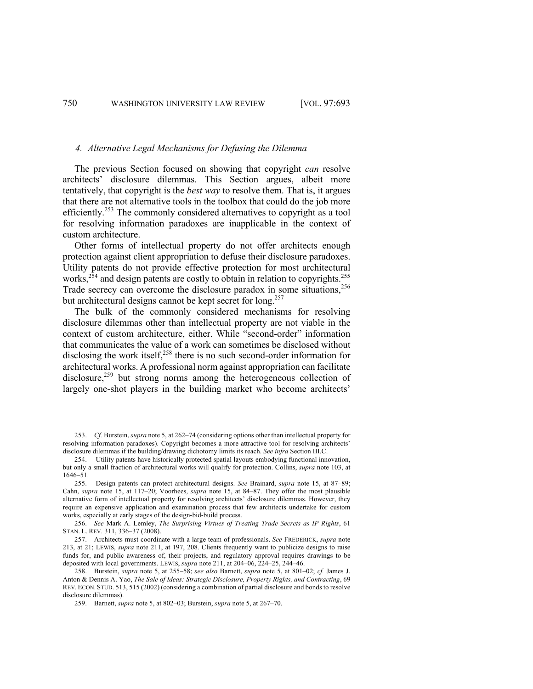#### *4. Alternative Legal Mechanisms for Defusing the Dilemma*

The previous Section focused on showing that copyright *can* resolve architects' disclosure dilemmas. This Section argues, albeit more tentatively, that copyright is the *best way* to resolve them. That is, it argues that there are not alternative tools in the toolbox that could do the job more efficiently.<sup>253</sup> The commonly considered alternatives to copyright as a tool for resolving information paradoxes are inapplicable in the context of custom architecture.

Other forms of intellectual property do not offer architects enough protection against client appropriation to defuse their disclosure paradoxes. Utility patents do not provide effective protection for most architectural works, $^{254}$  and design patents are costly to obtain in relation to copyrights.<sup>255</sup> Trade secrecy can overcome the disclosure paradox in some situations,  $256$ but architectural designs cannot be kept secret for long.<sup>257</sup>

The bulk of the commonly considered mechanisms for resolving disclosure dilemmas other than intellectual property are not viable in the context of custom architecture, either. While "second-order" information that communicates the value of a work can sometimes be disclosed without disclosing the work itself, $258$  there is no such second-order information for architectural works. A professional norm against appropriation can facilitate disclosure,<sup>259</sup> but strong norms among the heterogeneous collection of largely one-shot players in the building market who become architects'

<sup>253.</sup> *Cf.* Burstein, *supra* note 5, at 262–74 (considering options other than intellectual property for resolving information paradoxes). Copyright becomes a more attractive tool for resolving architects' disclosure dilemmas if the building/drawing dichotomy limits its reach. *See infra* Section III.C.

<sup>254.</sup> Utility patents have historically protected spatial layouts embodying functional innovation, but only a small fraction of architectural works will qualify for protection. Collins, *supra* note 103, at 1646–51.

<sup>255.</sup> Design patents can protect architectural designs. *See* Brainard, *supra* note 15, at 87–89; Cahn, *supra* note 15, at 117–20; Voorhees, *supra* note 15, at 84–87. They offer the most plausible alternative form of intellectual property for resolving architects' disclosure dilemmas. However, they require an expensive application and examination process that few architects undertake for custom works, especially at early stages of the design-bid-build process.

<sup>256.</sup> *See* Mark A. Lemley, *The Surprising Virtues of Treating Trade Secrets as IP Rights*, 61 STAN. L. REV. 311, 336–37 (2008).

<sup>257.</sup> Architects must coordinate with a large team of professionals. *See* FREDERICK, *supra* note 213, at 21; LEWIS, *supra* note 211, at 197, 208. Clients frequently want to publicize designs to raise funds for, and public awareness of, their projects, and regulatory approval requires drawings to be deposited with local governments. LEWIS, *supra* note 211, at 204–06, 224–25, 244–46.

<sup>258.</sup> Burstein, *supra* note 5, at 255–58; *see also* Barnett, *supra* note 5, at 801–02; *cf.* James J. Anton & Dennis A. Yao, *The Sale of Ideas: Strategic Disclosure, Property Rights, and Contracting*, 69 REV. ECON. STUD. 513, 515 (2002) (considering a combination of partial disclosure and bonds to resolve disclosure dilemmas).

<sup>259.</sup> Barnett, *supra* note 5, at 802–03; Burstein, *supra* note 5, at 267–70.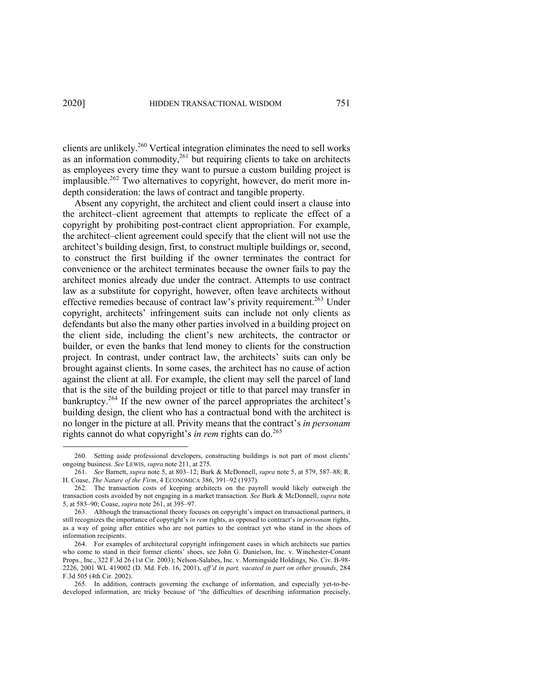clients are unlikely. <sup>260</sup> Vertical integration eliminates the need to sell works as an information commodity,<sup>261</sup> but requiring clients to take on architects as employees every time they want to pursue a custom building project is implausible.<sup>262</sup> Two alternatives to copyright, however, do merit more indepth consideration: the laws of contract and tangible property.

Absent any copyright, the architect and client could insert a clause into the architect–client agreement that attempts to replicate the effect of a copyright by prohibiting post-contract client appropriation. For example, the architect–client agreement could specify that the client will not use the architect's building design, first, to construct multiple buildings or, second, to construct the first building if the owner terminates the contract for convenience or the architect terminates because the owner fails to pay the architect monies already due under the contract. Attempts to use contract law as a substitute for copyright, however, often leave architects without effective remedies because of contract law's privity requirement.<sup>263</sup> Under copyright, architects' infringement suits can include not only clients as defendants but also the many other parties involved in a building project on the client side, including the client's new architects, the contractor or builder, or even the banks that lend money to clients for the construction project. In contrast, under contract law, the architects' suits can only be brought against clients. In some cases, the architect has no cause of action against the client at all. For example, the client may sell the parcel of land that is the site of the building project or title to that parcel may transfer in bankruptcy.<sup>264</sup> If the new owner of the parcel appropriates the architect's building design, the client who has a contractual bond with the architect is no longer in the picture at all. Privity means that the contract's *in personam*  rights cannot do what copyright's *in rem* rights can do.<sup>265</sup>

<sup>260.</sup> Setting aside professional developers, constructing buildings is not part of most clients' ongoing business. *See* LEWIS, *supra* note 211, at 275.

<sup>261.</sup> *See* Barnett, *supra* note 5, at 803–12; Burk & McDonnell, *supra* note 5, at 579, 587–88; R. H. Coase, *The Nature of the Firm*, 4 ECONOMICA 386, 391–92 (1937).

<sup>262.</sup> The transaction costs of keeping architects on the payroll would likely outweigh the transaction costs avoided by not engaging in a market transaction. *See* Burk & McDonnell, *supra* note 5, at 583–90; Coase, *supra* note 261, at 395–97.

<sup>263.</sup> Although the transactional theory focuses on copyright's impact on transactional partners, it still recognizes the importance of copyright's *in rem* rights, as opposed to contract's *in personam* rights, as a way of going after entities who are not parties to the contract yet who stand in the shoes of information recipients.

<sup>264.</sup> For examples of architectural copyright infringement cases in which architects sue parties who come to stand in their former clients' shoes, see John G. Danielson, Inc. v. Winchester-Conant Props., Inc., 322 F.3d 26 (1st Cir. 2003); Nelson-Salabes, Inc. v. Morningside Holdings, No. Civ. B-98- 2226, 2001 WL 419002 (D. Md. Feb. 16, 2001), *aff'd in part, vacated in part on other grounds*, 284 F.3d 505 (4th Cir. 2002).

<sup>265.</sup> In addition, contracts governing the exchange of information, and especially yet-to-bedeveloped information, are tricky because of "the difficulties of describing information precisely,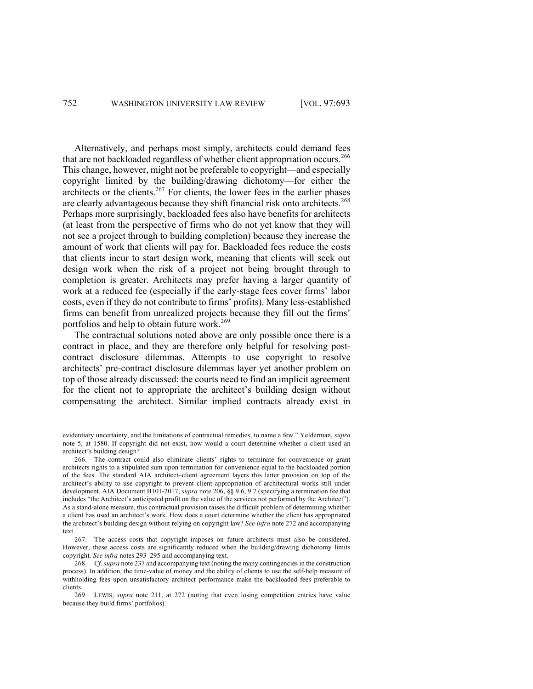Alternatively, and perhaps most simply, architects could demand fees that are not backloaded regardless of whether client appropriation occurs.<sup>266</sup> This change, however, might not be preferable to copyright—and especially copyright limited by the building/drawing dichotomy—for either the architects or the clients.<sup>267</sup> For clients, the lower fees in the earlier phases are clearly advantageous because they shift financial risk onto architects.<sup>268</sup> Perhaps more surprisingly, backloaded fees also have benefits for architects (at least from the perspective of firms who do not yet know that they will not see a project through to building completion) because they increase the amount of work that clients will pay for. Backloaded fees reduce the costs that clients incur to start design work, meaning that clients will seek out design work when the risk of a project not being brought through to completion is greater. Architects may prefer having a larger quantity of work at a reduced fee (especially if the early-stage fees cover firms' labor costs, even if they do not contribute to firms' profits). Many less-established firms can benefit from unrealized projects because they fill out the firms' portfolios and help to obtain future work.<sup>269</sup>

The contractual solutions noted above are only possible once there is a contract in place, and they are therefore only helpful for resolving postcontract disclosure dilemmas. Attempts to use copyright to resolve architects' pre-contract disclosure dilemmas layer yet another problem on top of those already discussed: the courts need to find an implicit agreement for the client not to appropriate the architect's building design without compensating the architect. Similar implied contracts already exist in

evidentiary uncertainty, and the limitations of contractual remedies, to name a few." Yelderman, *supra*  note 5, at 1580. If copyright did not exist, how would a court determine whether a client used an architect's building design?

<sup>266.</sup> The contract could also eliminate clients' rights to terminate for convenience or grant architects rights to a stipulated sum upon termination for convenience equal to the backloaded portion of the fees. The standard AIA architect–client agreement layers this latter provision on top of the architect's ability to use copyright to prevent client appropriation of architectural works still under development. AIA Document B101-2017, *supra* note 206, §§ 9.6, 9.7 (specifying a termination fee that includes "the Architect's anticipated profit on the value of the services not performed by the Architect"). As a stand-alone measure, this contractual provision raises the difficult problem of determining whether a client has used an architect's work. How does a court determine whether the client has appropriated the architect's building design without relying on copyright law? *See infra* note 272 and accompanying text.

<sup>267.</sup> The access costs that copyright imposes on future architects must also be considered. However, these access costs are significantly reduced when the building/drawing dichotomy limits copyright. *See infra* notes 293–295 and accompanying text.

<sup>268.</sup> *Cf. supra* note 237 and accompanying text (noting the many contingencies in the construction process). In addition, the time-value of money and the ability of clients to use the self-help measure of withholding fees upon unsatisfactory architect performance make the backloaded fees preferable to clients.

<sup>269.</sup> LEWIS, *supra* note 211, at 272 (noting that even losing competition entries have value because they build firms' portfolios).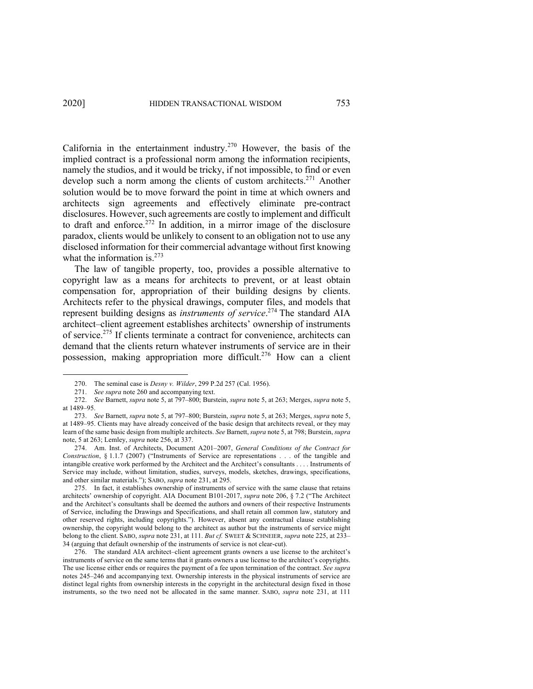California in the entertainment industry.<sup>270</sup> However, the basis of the implied contract is a professional norm among the information recipients, namely the studios, and it would be tricky, if not impossible, to find or even develop such a norm among the clients of custom architects.<sup>271</sup> Another solution would be to move forward the point in time at which owners and architects sign agreements and effectively eliminate pre-contract disclosures. However, such agreements are costly to implement and difficult to draft and enforce.<sup>272</sup> In addition, in a mirror image of the disclosure paradox, clients would be unlikely to consent to an obligation not to use any disclosed information for their commercial advantage without first knowing what the information is.<sup>273</sup>

The law of tangible property, too, provides a possible alternative to copyright law as a means for architects to prevent, or at least obtain compensation for, appropriation of their building designs by clients. Architects refer to the physical drawings, computer files, and models that represent building designs as *instruments of service*. <sup>274</sup> The standard AIA architect–client agreement establishes architects' ownership of instruments of service.275 If clients terminate a contract for convenience, architects can demand that the clients return whatever instruments of service are in their possession, making appropriation more difficult.<sup>276</sup> How can a client

274. Am. Inst. of Architects, Document A201–2007, *General Conditions of the Contract for Construction*, § 1.1.7 (2007) ("Instruments of Service are representations . . . of the tangible and intangible creative work performed by the Architect and the Architect's consultants . . . . Instruments of Service may include, without limitation, studies, surveys, models, sketches, drawings, specifications, and other similar materials."); SABO, *supra* note 231, at 295.

275. In fact, it establishes ownership of instruments of service with the same clause that retains architects' ownership of copyright. AIA Document B101-2017, *supra* note 206, § 7.2 ("The Architect and the Architect's consultants shall be deemed the authors and owners of their respective Instruments of Service, including the Drawings and Specifications, and shall retain all common law, statutory and other reserved rights, including copyrights."). However, absent any contractual clause establishing ownership, the copyright would belong to the architect as author but the instruments of service might belong to the client. SABO, *supra* note 231, at 111. *But cf.* SWEET & SCHNEIER, *supra* note 225, at 233– 34 (arguing that default ownership of the instruments of service is not clear-cut).

276. The standard AIA architect–client agreement grants owners a use license to the architect's instruments of service on the same terms that it grants owners a use license to the architect's copyrights. The use license either ends or requires the payment of a fee upon termination of the contract. *See supra*  notes 245–246 and accompanying text. Ownership interests in the physical instruments of service are distinct legal rights from ownership interests in the copyright in the architectural design fixed in those instruments, so the two need not be allocated in the same manner. SABO, *supra* note 231, at 111

<sup>270.</sup> The seminal case is *Desny v. Wilder*, 299 P.2d 257 (Cal. 1956).

<sup>271.</sup> *See supra* note 260 and accompanying text.

<sup>272.</sup> *See* Barnett, *supra* note 5, at 797–800; Burstein, *supra* note 5, at 263; Merges, *supra* note 5, at 1489–95.

<sup>273.</sup> *See* Barnett, *supra* note 5, at 797–800; Burstein, *supra* note 5, at 263; Merges, *supra* note 5, at 1489–95. Clients may have already conceived of the basic design that architects reveal, or they may learn of the same basic design from multiple architects. *See* Barnett, *supra* note 5, at 798; Burstein, *supra*  note, 5 at 263; Lemley, *supra* note 256, at 337.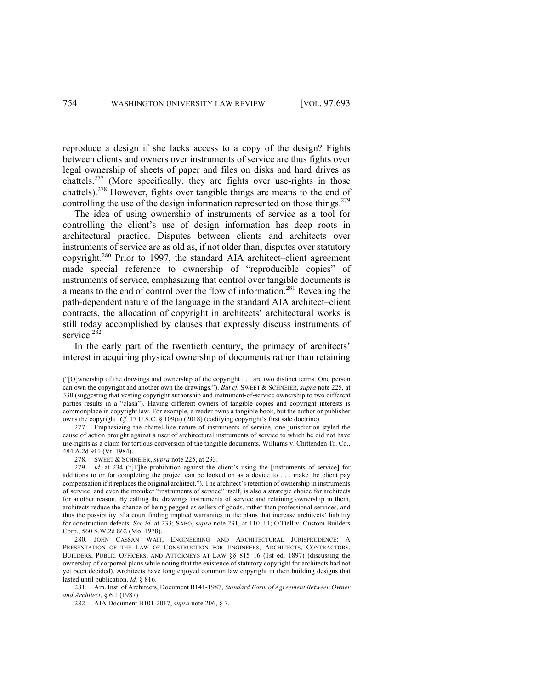reproduce a design if she lacks access to a copy of the design? Fights between clients and owners over instruments of service are thus fights over legal ownership of sheets of paper and files on disks and hard drives as chattels.277 (More specifically, they are fights over use-rights in those chattels). <sup>278</sup> However, fights over tangible things are means to the end of controlling the use of the design information represented on those things.<sup>279</sup>

The idea of using ownership of instruments of service as a tool for controlling the client's use of design information has deep roots in architectural practice. Disputes between clients and architects over instruments of service are as old as, if not older than, disputes over statutory copyright.280 Prior to 1997, the standard AIA architect–client agreement made special reference to ownership of "reproducible copies" of instruments of service, emphasizing that control over tangible documents is a means to the end of control over the flow of information.281 Revealing the path-dependent nature of the language in the standard AIA architect–client contracts, the allocation of copyright in architects' architectural works is still today accomplished by clauses that expressly discuss instruments of service.<sup>282</sup>

In the early part of the twentieth century, the primacy of architects' interest in acquiring physical ownership of documents rather than retaining

<sup>(&</sup>quot;[O]wnership of the drawings and ownership of the copyright . . . are two distinct terms. One person can own the copyright and another own the drawings."). *But cf.* SWEET & SCHNEIER, *supra* note 225, at 330 (suggesting that vesting copyright authorship and instrument-of-service ownership to two different parties results in a "clash"). Having different owners of tangible copies and copyright interests is commonplace in copyright law. For example, a reader owns a tangible book, but the author or publisher owns the copyright. *Cf.* 17 U.S.C. § 109(a) (2018) (codifying copyright's first sale doctrine).

<sup>277.</sup> Emphasizing the chattel-like nature of instruments of service, one jurisdiction styled the cause of action brought against a user of architectural instruments of service to which he did not have use-rights as a claim for tortious conversion of the tangible documents. Williams v. Chittenden Tr. Co., 484 A.2d 911 (Vt. 1984).

<sup>278.</sup> SWEET & SCHNEIER, *supra* note 225, at 233.

<sup>279.</sup> *Id.* at 234 ("[T]he prohibition against the client's using the [instruments of service] for additions to or for completing the project can be looked on as a device to . . . make the client pay compensation if it replaces the original architect."). The architect's retention of ownership in instruments of service, and even the moniker "instruments of service" itself, is also a strategic choice for architects for another reason. By calling the drawings instruments of service and retaining ownership in them, architects reduce the chance of being pegged as sellers of goods, rather than professional services, and thus the possibility of a court finding implied warranties in the plans that increase architects' liability for construction defects. *See id.* at 233; SABO, *supra* note 231, at 110–11; O'Dell v. Custom Builders Corp., 560 S.W.2d 862 (Mo. 1978).

<sup>280.</sup> JOHN CASSAN WAIT, ENGINEERING AND ARCHITECTURAL JURISPRUDENCE: A PRESENTATION OF THE LAW OF CONSTRUCTION FOR ENGINEERS, ARCHITECTS, CONTRACTORS, BUILDERS, PUBLIC OFFICERS, AND ATTORNEYS AT LAW §§ 815–16 (1st ed. 1897) (discussing the ownership of corporeal plans while noting that the existence of statutory copyright for architects had not yet been decided). Architects have long enjoyed common law copyright in their building designs that lasted until publication. *Id.* § 816.

<sup>281.</sup> Am. Inst. of Architects, Document B141-1987, *Standard Form of Agreement Between Owner and Architect*, § 6.1 (1987).

<sup>282.</sup> AIA Document B101-2017, *supra* note 206, § 7.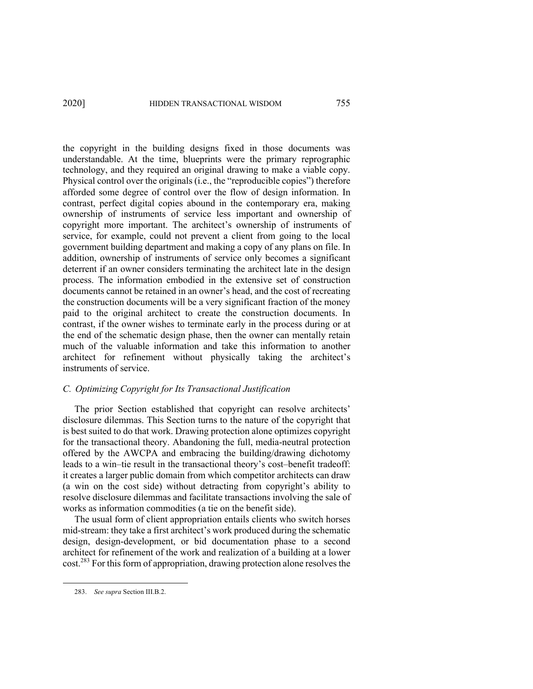the copyright in the building designs fixed in those documents was understandable. At the time, blueprints were the primary reprographic technology, and they required an original drawing to make a viable copy. Physical control over the originals (i.e., the "reproducible copies") therefore afforded some degree of control over the flow of design information. In contrast, perfect digital copies abound in the contemporary era, making ownership of instruments of service less important and ownership of copyright more important. The architect's ownership of instruments of service, for example, could not prevent a client from going to the local government building department and making a copy of any plans on file. In addition, ownership of instruments of service only becomes a significant deterrent if an owner considers terminating the architect late in the design process. The information embodied in the extensive set of construction documents cannot be retained in an owner's head, and the cost of recreating the construction documents will be a very significant fraction of the money paid to the original architect to create the construction documents. In contrast, if the owner wishes to terminate early in the process during or at the end of the schematic design phase, then the owner can mentally retain much of the valuable information and take this information to another architect for refinement without physically taking the architect's instruments of service.

# *C. Optimizing Copyright for Its Transactional Justification*

The prior Section established that copyright can resolve architects' disclosure dilemmas. This Section turns to the nature of the copyright that is best suited to do that work. Drawing protection alone optimizes copyright for the transactional theory. Abandoning the full, media-neutral protection offered by the AWCPA and embracing the building/drawing dichotomy leads to a win–tie result in the transactional theory's cost–benefit tradeoff: it creates a larger public domain from which competitor architects can draw (a win on the cost side) without detracting from copyright's ability to resolve disclosure dilemmas and facilitate transactions involving the sale of works as information commodities (a tie on the benefit side).

The usual form of client appropriation entails clients who switch horses mid-stream: they take a first architect's work produced during the schematic design, design-development, or bid documentation phase to a second architect for refinement of the work and realization of a building at a lower cost.283 For this form of appropriation, drawing protection alone resolves the

<sup>283.</sup> *See supra* Section III.B.2.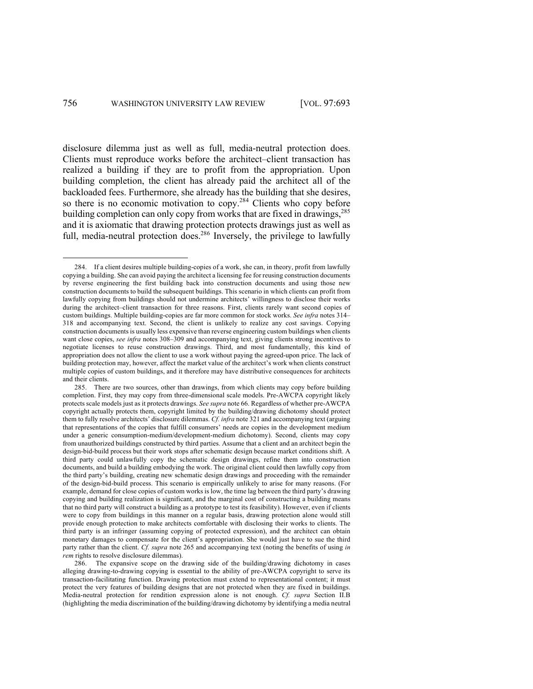disclosure dilemma just as well as full, media-neutral protection does. Clients must reproduce works before the architect–client transaction has realized a building if they are to profit from the appropriation. Upon building completion, the client has already paid the architect all of the backloaded fees. Furthermore, she already has the building that she desires, so there is no economic motivation to  $copy.^{284}$  Clients who copy before building completion can only copy from works that are fixed in drawings,<sup>285</sup> and it is axiomatic that drawing protection protects drawings just as well as full, media-neutral protection does.<sup>286</sup> Inversely, the privilege to lawfully

<sup>284.</sup> If a client desires multiple building-copies of a work, she can, in theory, profit from lawfully copying a building. She can avoid paying the architect a licensing fee for reusing construction documents by reverse engineering the first building back into construction documents and using those new construction documents to build the subsequent buildings. This scenario in which clients can profit from lawfully copying from buildings should not undermine architects' willingness to disclose their works during the architect–client transaction for three reasons. First, clients rarely want second copies of custom buildings. Multiple building-copies are far more common for stock works. *See infra* notes 314– 318 and accompanying text. Second, the client is unlikely to realize any cost savings. Copying construction documents is usually less expensive than reverse engineering custom buildings when clients want close copies, *see infra* notes 308–309 and accompanying text, giving clients strong incentives to negotiate licenses to reuse construction drawings. Third, and most fundamentally, this kind of appropriation does not allow the client to use a work without paying the agreed-upon price. The lack of building protection may, however, affect the market value of the architect's work when clients construct multiple copies of custom buildings, and it therefore may have distributive consequences for architects and their clients.

<sup>285.</sup> There are two sources, other than drawings, from which clients may copy before building completion. First, they may copy from three-dimensional scale models. Pre-AWCPA copyright likely protects scale models just as it protects drawings. *See supra* note 66. Regardless of whether pre-AWCPA copyright actually protects them, copyright limited by the building/drawing dichotomy should protect them to fully resolve architects' disclosure dilemmas. *Cf. infra* note 321 and accompanying text (arguing that representations of the copies that fulfill consumers' needs are copies in the development medium under a generic consumption-medium/development-medium dichotomy). Second, clients may copy from unauthorized buildings constructed by third parties. Assume that a client and an architect begin the design-bid-build process but their work stops after schematic design because market conditions shift. A third party could unlawfully copy the schematic design drawings, refine them into construction documents, and build a building embodying the work. The original client could then lawfully copy from the third party's building, creating new schematic design drawings and proceeding with the remainder of the design-bid-build process. This scenario is empirically unlikely to arise for many reasons. (For example, demand for close copies of custom works is low, the time lag between the third party's drawing copying and building realization is significant, and the marginal cost of constructing a building means that no third party will construct a building as a prototype to test its feasibility). However, even if clients were to copy from buildings in this manner on a regular basis, drawing protection alone would still provide enough protection to make architects comfortable with disclosing their works to clients. The third party is an infringer (assuming copying of protected expression), and the architect can obtain monetary damages to compensate for the client's appropriation. She would just have to sue the third party rather than the client. *Cf. supra* note 265 and accompanying text (noting the benefits of using *in rem* rights to resolve disclosure dilemmas).

<sup>286.</sup> The expansive scope on the drawing side of the building/drawing dichotomy in cases alleging drawing-to-drawing copying is essential to the ability of pre-AWCPA copyright to serve its transaction-facilitating function. Drawing protection must extend to representational content; it must protect the very features of building designs that are not protected when they are fixed in buildings. Media-neutral protection for rendition expression alone is not enough. *Cf. supra* Section II.B (highlighting the media discrimination of the building/drawing dichotomy by identifying a media neutral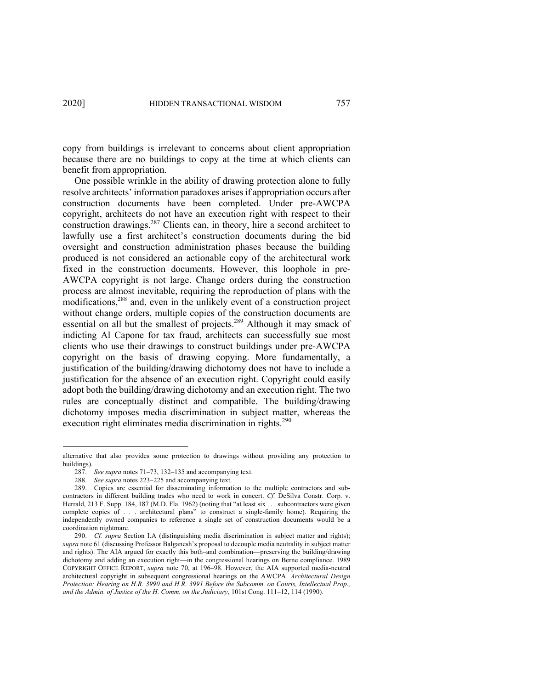copy from buildings is irrelevant to concerns about client appropriation because there are no buildings to copy at the time at which clients can benefit from appropriation.

One possible wrinkle in the ability of drawing protection alone to fully resolve architects' information paradoxes arises if appropriation occurs after construction documents have been completed. Under pre-AWCPA copyright, architects do not have an execution right with respect to their construction drawings. <sup>287</sup> Clients can, in theory, hire a second architect to lawfully use a first architect's construction documents during the bid oversight and construction administration phases because the building produced is not considered an actionable copy of the architectural work fixed in the construction documents. However, this loophole in pre-AWCPA copyright is not large. Change orders during the construction process are almost inevitable, requiring the reproduction of plans with the modifications, <sup>288</sup> and, even in the unlikely event of a construction project without change orders, multiple copies of the construction documents are essential on all but the smallest of projects.<sup>289</sup> Although it may smack of indicting Al Capone for tax fraud, architects can successfully sue most clients who use their drawings to construct buildings under pre-AWCPA copyright on the basis of drawing copying. More fundamentally, a justification of the building/drawing dichotomy does not have to include a justification for the absence of an execution right. Copyright could easily adopt both the building/drawing dichotomy and an execution right. The two rules are conceptually distinct and compatible. The building/drawing dichotomy imposes media discrimination in subject matter, whereas the execution right eliminates media discrimination in rights.<sup>290</sup>

alternative that also provides some protection to drawings without providing any protection to buildings).

<sup>287.</sup> *See supra* notes 71–73, 132–135 and accompanying text.

<sup>288.</sup> *See supra* notes 223–225 and accompanying text.

<sup>289.</sup> Copies are essential for disseminating information to the multiple contractors and subcontractors in different building trades who need to work in concert. *Cf.* DeSilva Constr. Corp. v. Herrald, 213 F. Supp. 184, 187 (M.D. Fla. 1962) (noting that "at least six . . . subcontractors were given complete copies of . . . architectural plans" to construct a single-family home). Requiring the independently owned companies to reference a single set of construction documents would be a coordination nightmare.

<sup>290.</sup> *Cf. supra* Section I.A (distinguishing media discrimination in subject matter and rights); *supra* note 61 (discussing Professor Balganesh's proposal to decouple media neutrality in subject matter and rights). The AIA argued for exactly this both–and combination—preserving the building/drawing dichotomy and adding an execution right—in the congressional hearings on Berne compliance. 1989 COPYRIGHT OFFICE REPORT, *supra* note 70, at 196–98. However, the AIA supported media-neutral architectural copyright in subsequent congressional hearings on the AWCPA. *Architectural Design Protection: Hearing on H.R. 3990 and H.R. 3991 Before the Subcomm. on Courts, Intellectual Prop., and the Admin. of Justice of the H. Comm. on the Judiciary*, 101st Cong. 111–12, 114 (1990).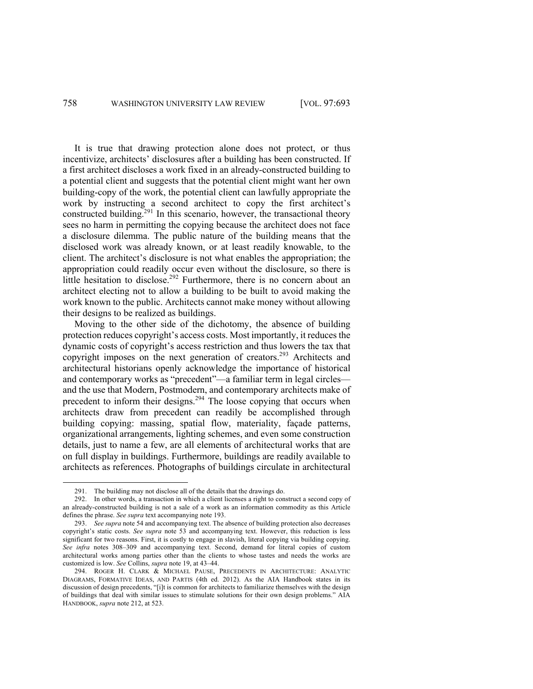It is true that drawing protection alone does not protect, or thus incentivize, architects' disclosures after a building has been constructed. If a first architect discloses a work fixed in an already-constructed building to a potential client and suggests that the potential client might want her own building-copy of the work, the potential client can lawfully appropriate the work by instructing a second architect to copy the first architect's constructed building.<sup>291</sup> In this scenario, however, the transactional theory sees no harm in permitting the copying because the architect does not face a disclosure dilemma. The public nature of the building means that the disclosed work was already known, or at least readily knowable, to the client. The architect's disclosure is not what enables the appropriation; the appropriation could readily occur even without the disclosure, so there is little hesitation to disclose.<sup>292</sup> Furthermore, there is no concern about an architect electing not to allow a building to be built to avoid making the work known to the public. Architects cannot make money without allowing their designs to be realized as buildings.

Moving to the other side of the dichotomy, the absence of building protection reduces copyright's access costs. Most importantly, it reduces the dynamic costs of copyright's access restriction and thus lowers the tax that copyright imposes on the next generation of creators.<sup>293</sup> Architects and architectural historians openly acknowledge the importance of historical and contemporary works as "precedent"—a familiar term in legal circles and the use that Modern, Postmodern, and contemporary architects make of precedent to inform their designs.<sup>294</sup> The loose copying that occurs when architects draw from precedent can readily be accomplished through building copying: massing, spatial flow, materiality, façade patterns, organizational arrangements, lighting schemes, and even some construction details, just to name a few, are all elements of architectural works that are on full display in buildings. Furthermore, buildings are readily available to architects as references. Photographs of buildings circulate in architectural

<sup>291.</sup> The building may not disclose all of the details that the drawings do.

<sup>292.</sup> In other words, a transaction in which a client licenses a right to construct a second copy of an already-constructed building is not a sale of a work as an information commodity as this Article defines the phrase. *See supra* text accompanying note 193.

<sup>293.</sup> *See supra* note 54 and accompanying text. The absence of building protection also decreases copyright's static costs. *See supra* note 53 and accompanying text. However, this reduction is less significant for two reasons. First, it is costly to engage in slavish, literal copying via building copying. *See infra* notes 308–309 and accompanying text. Second, demand for literal copies of custom architectural works among parties other than the clients to whose tastes and needs the works are customized is low. *See* Collins, *supra* note 19, at 43–44.

<sup>294.</sup> ROGER H. CLARK & MICHAEL PAUSE, PRECEDENTS IN ARCHITECTURE: ANALYTIC DIAGRAMS, FORMATIVE IDEAS, AND PARTIS (4th ed. 2012). As the AIA Handbook states in its discussion of design precedents, "[i]t is common for architects to familiarize themselves with the design of buildings that deal with similar issues to stimulate solutions for their own design problems." AIA HANDBOOK, *supra* note 212, at 523.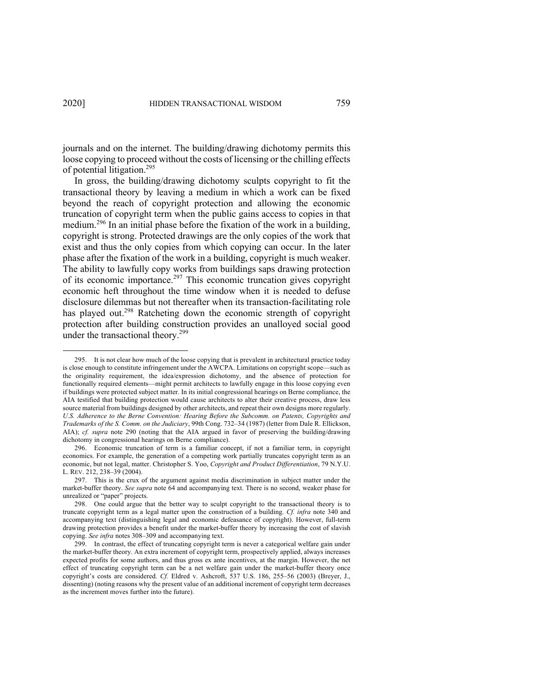journals and on the internet. The building/drawing dichotomy permits this loose copying to proceed without the costs of licensing or the chilling effects of potential litigation.<sup>295</sup>

In gross, the building/drawing dichotomy sculpts copyright to fit the transactional theory by leaving a medium in which a work can be fixed beyond the reach of copyright protection and allowing the economic truncation of copyright term when the public gains access to copies in that medium.<sup>296</sup> In an initial phase before the fixation of the work in a building, copyright is strong. Protected drawings are the only copies of the work that exist and thus the only copies from which copying can occur. In the later phase after the fixation of the work in a building, copyright is much weaker. The ability to lawfully copy works from buildings saps drawing protection of its economic importance.<sup>297</sup> This economic truncation gives copyright economic heft throughout the time window when it is needed to defuse disclosure dilemmas but not thereafter when its transaction-facilitating role has played out.<sup>298</sup> Ratcheting down the economic strength of copyright protection after building construction provides an unalloyed social good under the transactional theory.<sup>299</sup>

<sup>295.</sup> It is not clear how much of the loose copying that is prevalent in architectural practice today is close enough to constitute infringement under the AWCPA. Limitations on copyright scope—such as the originality requirement, the idea/expression dichotomy, and the absence of protection for functionally required elements—might permit architects to lawfully engage in this loose copying even if buildings were protected subject matter. In its initial congressional hearings on Berne compliance, the AIA testified that building protection would cause architects to alter their creative process, draw less source material from buildings designed by other architects, and repeat their own designs more regularly. *U.S. Adherence to the Berne Convention: Hearing Before the Subcomm. on Patents, Copyrights and Trademarks of the S. Comm. on the Judiciary*, 99th Cong. 732–34 (1987) (letter from Dale R. Ellickson, AIA); *cf. supra* note 290 (noting that the AIA argued in favor of preserving the building/drawing dichotomy in congressional hearings on Berne compliance).

<sup>296.</sup> Economic truncation of term is a familiar concept, if not a familiar term, in copyright economics. For example, the generation of a competing work partially truncates copyright term as an economic, but not legal, matter. Christopher S. Yoo, *Copyright and Product Differentiation*, 79 N.Y.U. L. REV. 212, 238–39 (2004).

<sup>297.</sup> This is the crux of the argument against media discrimination in subject matter under the market-buffer theory. *See supra* note 64 and accompanying text. There is no second, weaker phase for unrealized or "paper" projects.

<sup>298.</sup> One could argue that the better way to sculpt copyright to the transactional theory is to truncate copyright term as a legal matter upon the construction of a building. *Cf. infra* note 340 and accompanying text (distinguishing legal and economic defeasance of copyright). However, full-term drawing protection provides a benefit under the market-buffer theory by increasing the cost of slavish copying. *See infra* notes 308–309 and accompanying text.

<sup>299.</sup> In contrast, the effect of truncating copyright term is never a categorical welfare gain under the market-buffer theory. An extra increment of copyright term, prospectively applied, always increases expected profits for some authors, and thus gross ex ante incentives, at the margin. However, the net effect of truncating copyright term can be a net welfare gain under the market-buffer theory once copyright's costs are considered. *Cf.* Eldred v. Ashcroft, 537 U.S. 186, 255–56 (2003) (Breyer, J., dissenting) (noting reasons why the present value of an additional increment of copyright term decreases as the increment moves further into the future).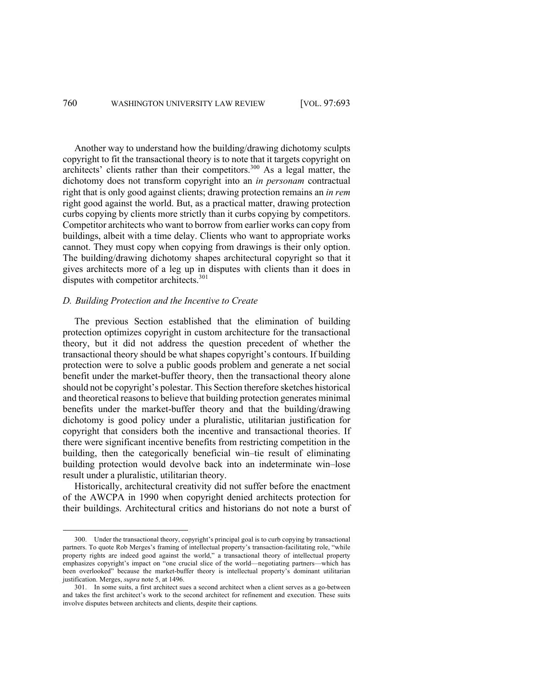Another way to understand how the building/drawing dichotomy sculpts copyright to fit the transactional theory is to note that it targets copyright on architects' clients rather than their competitors. <sup>300</sup> As a legal matter, the dichotomy does not transform copyright into an *in personam* contractual right that is only good against clients; drawing protection remains an *in rem*  right good against the world. But, as a practical matter, drawing protection curbs copying by clients more strictly than it curbs copying by competitors. Competitor architects who want to borrow from earlier works can copy from buildings, albeit with a time delay. Clients who want to appropriate works cannot. They must copy when copying from drawings is their only option. The building/drawing dichotomy shapes architectural copyright so that it gives architects more of a leg up in disputes with clients than it does in disputes with competitor architects.<sup>301</sup>

### *D. Building Protection and the Incentive to Create*

The previous Section established that the elimination of building protection optimizes copyright in custom architecture for the transactional theory, but it did not address the question precedent of whether the transactional theory should be what shapes copyright's contours. If building protection were to solve a public goods problem and generate a net social benefit under the market-buffer theory, then the transactional theory alone should not be copyright's polestar. This Section therefore sketches historical and theoretical reasons to believe that building protection generates minimal benefits under the market-buffer theory and that the building/drawing dichotomy is good policy under a pluralistic, utilitarian justification for copyright that considers both the incentive and transactional theories. If there were significant incentive benefits from restricting competition in the building, then the categorically beneficial win–tie result of eliminating building protection would devolve back into an indeterminate win–lose result under a pluralistic, utilitarian theory.

Historically, architectural creativity did not suffer before the enactment of the AWCPA in 1990 when copyright denied architects protection for their buildings. Architectural critics and historians do not note a burst of

<sup>300.</sup> Under the transactional theory, copyright's principal goal is to curb copying by transactional partners. To quote Rob Merges's framing of intellectual property's transaction-facilitating role, "while property rights are indeed good against the world," a transactional theory of intellectual property emphasizes copyright's impact on "one crucial slice of the world—negotiating partners—which has been overlooked" because the market-buffer theory is intellectual property's dominant utilitarian justification. Merges, *supra* note 5, at 1496.

<sup>301.</sup> In some suits, a first architect sues a second architect when a client serves as a go-between and takes the first architect's work to the second architect for refinement and execution. These suits involve disputes between architects and clients, despite their captions.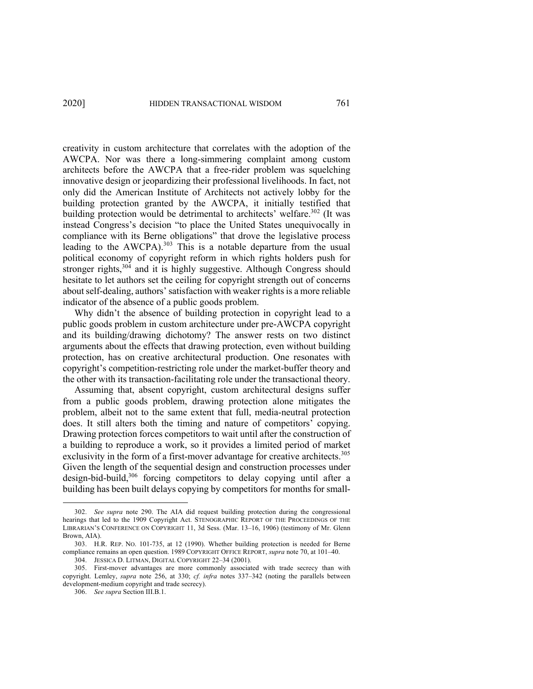creativity in custom architecture that correlates with the adoption of the AWCPA. Nor was there a long-simmering complaint among custom architects before the AWCPA that a free-rider problem was squelching innovative design or jeopardizing their professional livelihoods. In fact, not only did the American Institute of Architects not actively lobby for the building protection granted by the AWCPA, it initially testified that building protection would be detrimental to architects' welfare.<sup>302</sup> (It was instead Congress's decision "to place the United States unequivocally in compliance with its Berne obligations" that drove the legislative process leading to the AWCPA).<sup>303</sup> This is a notable departure from the usual political economy of copyright reform in which rights holders push for stronger rights, $304$  and it is highly suggestive. Although Congress should hesitate to let authors set the ceiling for copyright strength out of concerns about self-dealing, authors' satisfaction with weaker rights is a more reliable indicator of the absence of a public goods problem.

Why didn't the absence of building protection in copyright lead to a public goods problem in custom architecture under pre-AWCPA copyright and its building/drawing dichotomy? The answer rests on two distinct arguments about the effects that drawing protection, even without building protection, has on creative architectural production. One resonates with copyright's competition-restricting role under the market-buffer theory and the other with its transaction-facilitating role under the transactional theory.

Assuming that, absent copyright, custom architectural designs suffer from a public goods problem, drawing protection alone mitigates the problem, albeit not to the same extent that full, media-neutral protection does. It still alters both the timing and nature of competitors' copying. Drawing protection forces competitors to wait until after the construction of a building to reproduce a work, so it provides a limited period of market exclusivity in the form of a first-mover advantage for creative architects.<sup>305</sup> Given the length of the sequential design and construction processes under design-bid-build,<sup>306</sup> forcing competitors to delay copying until after a building has been built delays copying by competitors for months for small-

<sup>302.</sup> *See supra* note 290. The AIA did request building protection during the congressional hearings that led to the 1909 Copyright Act. STENOGRAPHIC REPORT OF THE PROCEEDINGS OF THE LIBRARIAN'S CONFERENCE ON COPYRIGHT 11, 3d Sess. (Mar. 13–16, 1906) (testimony of Mr. Glenn Brown, AIA).

<sup>303.</sup> H.R. REP. NO. 101-735, at 12 (1990). Whether building protection is needed for Berne compliance remains an open question. 1989 COPYRIGHT OFFICE REPORT, *supra* note 70, at 101–40.

<sup>304.</sup> JESSICA D. LITMAN, DIGITAL COPYRIGHT 22–34 (2001).

<sup>305.</sup> First-mover advantages are more commonly associated with trade secrecy than with copyright. Lemley, *supra* note 256, at 330; *cf. infra* notes 337–342 (noting the parallels between development-medium copyright and trade secrecy).

<sup>306.</sup> *See supra* Section III.B.1.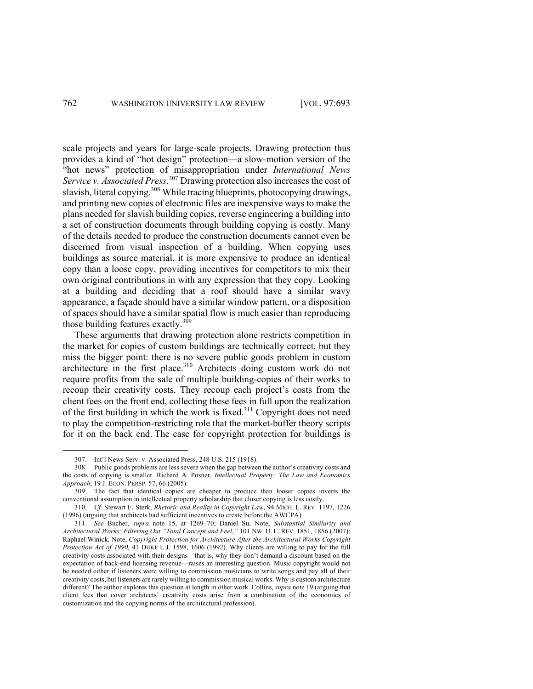scale projects and years for large-scale projects. Drawing protection thus provides a kind of "hot design" protection—a slow-motion version of the "hot news" protection of misappropriation under *International News Service v. Associated Press*. <sup>307</sup> Drawing protection also increases the cost of slavish, literal copying.<sup>308</sup> While tracing blueprints, photocopying drawings, and printing new copies of electronic files are inexpensive ways to make the plans needed for slavish building copies, reverse engineering a building into a set of construction documents through building copying is costly. Many of the details needed to produce the construction documents cannot even be discerned from visual inspection of a building. When copying uses buildings as source material, it is more expensive to produce an identical copy than a loose copy, providing incentives for competitors to mix their own original contributions in with any expression that they copy. Looking at a building and deciding that a roof should have a similar wavy appearance, a façade should have a similar window pattern, or a disposition of spaces should have a similar spatial flow is much easier than reproducing those building features exactly.<sup>309</sup>

These arguments that drawing protection alone restricts competition in the market for copies of custom buildings are technically correct, but they miss the bigger point: there is no severe public goods problem in custom architecture in the first place.<sup>310</sup> Architects doing custom work do not require profits from the sale of multiple building-copies of their works to recoup their creativity costs. They recoup each project's costs from the client fees on the front end, collecting these fees in full upon the realization of the first building in which the work is fixed.<sup>311</sup> Copyright does not need to play the competition-restricting role that the market-buffer theory scripts for it on the back end. The case for copyright protection for buildings is

<sup>307.</sup> Int'l News Serv. v. Associated Press, 248 U.S. 215 (1918).

<sup>308.</sup> Public goods problems are less severe when the gap between the author's creativity costs and the costs of copying is smaller. Richard A. Posner, *Intellectual Property: The Law and Economics Approach*, 19 J. ECON. PERSP. 57, 66 (2005).

<sup>309.</sup> The fact that identical copies are cheaper to produce than looser copies inverts the conventional assumption in intellectual property scholarship that closer copying is less costly.

<sup>310.</sup> *Cf.* Stewart E. Sterk, *Rhetoric and Reality in Copyright Law*, 94 MICH. L. REV. 1197, 1226 (1996) (arguing that architects had sufficient incentives to create before the AWCPA).

<sup>311.</sup> *See* Bucher, *supra* note 15, at 1269–70; Daniel Su, Note, *Substantial Similarity and Architectural Works: Filtering Out "Total Concept and Feel*,*"* 101 NW. U. L. REV. 1851, 1856 (2007); Raphael Winick, Note, *Copyright Protection for Architecture After the Architectural Works Copyright Protection Act of 1990*, 41 DUKE L.J. 1598, 1606 (1992). Why clients are willing to pay for the full creativity costs associated with their designs—that is, why they don't demand a discount based on the expectation of back-end licensing revenue—raises an interesting question. Music copyright would not be needed either if listeners were willing to commission musicians to write songs and pay all of their creativity costs, but listeners are rarely willing to commission musical works. Why is custom architecture different? The author explores this question at length in other work. Collins, *supra* note 19 (arguing that client fees that cover architects' creativity costs arise from a combination of the economics of customization and the copying norms of the architectural profession).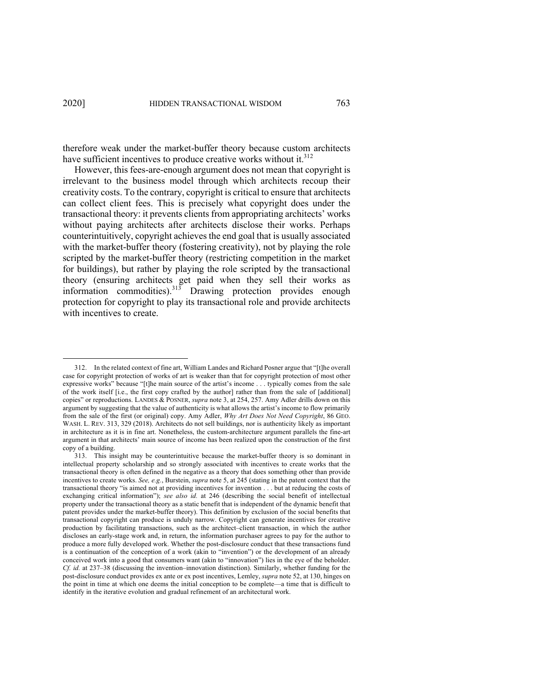therefore weak under the market-buffer theory because custom architects have sufficient incentives to produce creative works without it.<sup>312</sup>

However, this fees-are-enough argument does not mean that copyright is irrelevant to the business model through which architects recoup their creativity costs. To the contrary, copyright is critical to ensure that architects can collect client fees. This is precisely what copyright does under the transactional theory: it prevents clients from appropriating architects' works without paying architects after architects disclose their works. Perhaps counterintuitively, copyright achieves the end goal that is usually associated with the market-buffer theory (fostering creativity), not by playing the role scripted by the market-buffer theory (restricting competition in the market for buildings), but rather by playing the role scripted by the transactional theory (ensuring architects get paid when they sell their works as information commodities). $313$  Drawing protection provides enough protection for copyright to play its transactional role and provide architects with incentives to create.

<sup>312.</sup> In the related context of fine art, William Landes and Richard Posner argue that "[t]he overall case for copyright protection of works of art is weaker than that for copyright protection of most other expressive works" because "[t]he main source of the artist's income . . . typically comes from the sale of the work itself [i.e., the first copy crafted by the author] rather than from the sale of [additional] copies" or reproductions. LANDES & POSNER, *supra* note 3, at 254, 257. Amy Adler drills down on this argument by suggesting that the value of authenticity is what allows the artist's income to flow primarily from the sale of the first (or original) copy. Amy Adler, *Why Art Does Not Need Copyright*, 86 GEO. WASH. L. REV. 313, 329 (2018). Architects do not sell buildings, nor is authenticity likely as important in architecture as it is in fine art. Nonetheless, the custom-architecture argument parallels the fine-art argument in that architects' main source of income has been realized upon the construction of the first copy of a building.

<sup>313.</sup> This insight may be counterintuitive because the market-buffer theory is so dominant in intellectual property scholarship and so strongly associated with incentives to create works that the transactional theory is often defined in the negative as a theory that does something other than provide incentives to create works. *See, e.g.*, Burstein, *supra* note 5, at 245 (stating in the patent context that the transactional theory "is aimed not at providing incentives for invention . . . but at reducing the costs of exchanging critical information"); *see also id.* at 246 (describing the social benefit of intellectual property under the transactional theory as a static benefit that is independent of the dynamic benefit that patent provides under the market-buffer theory). This definition by exclusion of the social benefits that transactional copyright can produce is unduly narrow. Copyright can generate incentives for creative production by facilitating transactions, such as the architect–client transaction, in which the author discloses an early-stage work and, in return, the information purchaser agrees to pay for the author to produce a more fully developed work. Whether the post-disclosure conduct that these transactions fund is a continuation of the conception of a work (akin to "invention") or the development of an already conceived work into a good that consumers want (akin to "innovation") lies in the eye of the beholder. *Cf. id.* at 237–38 (discussing the invention–innovation distinction). Similarly, whether funding for the post-disclosure conduct provides ex ante or ex post incentives, Lemley, *supra* note 52, at 130, hinges on the point in time at which one deems the initial conception to be complete—a time that is difficult to identify in the iterative evolution and gradual refinement of an architectural work.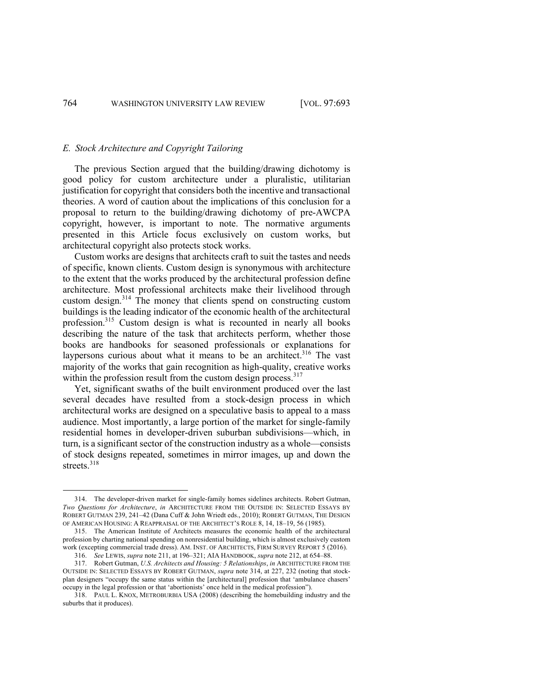### *E. Stock Architecture and Copyright Tailoring*

The previous Section argued that the building/drawing dichotomy is good policy for custom architecture under a pluralistic, utilitarian justification for copyright that considers both the incentive and transactional theories. A word of caution about the implications of this conclusion for a proposal to return to the building/drawing dichotomy of pre-AWCPA copyright, however, is important to note. The normative arguments presented in this Article focus exclusively on custom works, but architectural copyright also protects stock works.

Custom works are designs that architects craft to suit the tastes and needs of specific, known clients. Custom design is synonymous with architecture to the extent that the works produced by the architectural profession define architecture. Most professional architects make their livelihood through custom design.<sup>314</sup> The money that clients spend on constructing custom buildings is the leading indicator of the economic health of the architectural profession. <sup>315</sup> Custom design is what is recounted in nearly all books describing the nature of the task that architects perform, whether those books are handbooks for seasoned professionals or explanations for laypersons curious about what it means to be an architect.<sup>316</sup> The vast majority of the works that gain recognition as high-quality, creative works within the profession result from the custom design process.<sup>317</sup>

Yet, significant swaths of the built environment produced over the last several decades have resulted from a stock-design process in which architectural works are designed on a speculative basis to appeal to a mass audience. Most importantly, a large portion of the market for single-family residential homes in developer-driven suburban subdivisions—which, in turn, is a significant sector of the construction industry as a whole—consists of stock designs repeated, sometimes in mirror images, up and down the streets.<sup>318</sup>

<sup>314.</sup> The developer-driven market for single-family homes sidelines architects. Robert Gutman, *Two Questions for Architecture*, *in* ARCHITECTURE FROM THE OUTSIDE IN: SELECTED ESSAYS BY ROBERT GUTMAN 239, 241–42 (Dana Cuff & John Wriedt eds., 2010); ROBERT GUTMAN, THE DESIGN OF AMERICAN HOUSING: A REAPPRAISAL OF THE ARCHITECT'S ROLE 8, 14, 18–19, 56 (1985).

<sup>315.</sup> The American Institute of Architects measures the economic health of the architectural profession by charting national spending on nonresidential building, which is almost exclusively custom work (excepting commercial trade dress). AM. INST. OF ARCHITECTS, FIRM SURVEY REPORT 5 (2016). 316. *See* LEWIS, *supra* note 211, at 196–321; AIA HANDBOOK, *supra* note 212, at 654–88.

<sup>317.</sup> Robert Gutman, *U.S. Architects and Housing: 5 Relationships*, *in* ARCHITECTURE FROM THE OUTSIDE IN: SELECTED ESSAYS BY ROBERT GUTMAN, *supra* note 314, at 227, 232 (noting that stockplan designers "occupy the same status within the [architectural] profession that 'ambulance chasers' occupy in the legal profession or that 'abortionists' once held in the medical profession").

<sup>318.</sup> PAUL L. KNOX, METROBURBIA USA (2008) (describing the homebuilding industry and the suburbs that it produces).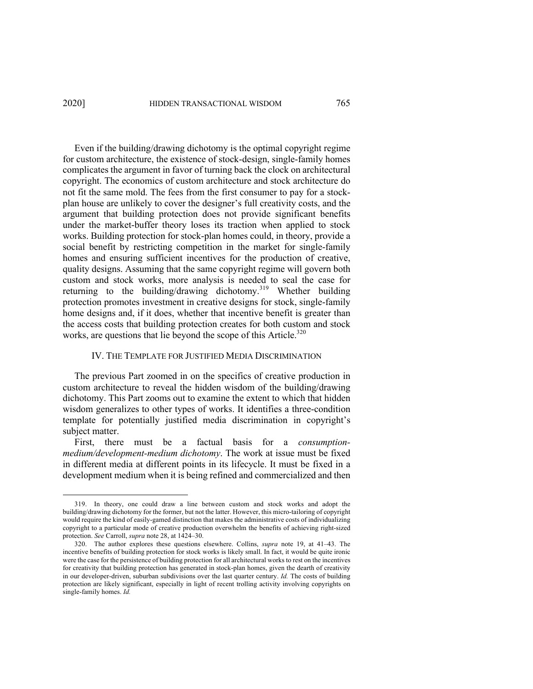## 2020] HIDDEN TRANSACTIONAL WISDOM 765

Even if the building/drawing dichotomy is the optimal copyright regime for custom architecture, the existence of stock-design, single-family homes complicates the argument in favor of turning back the clock on architectural copyright. The economics of custom architecture and stock architecture do not fit the same mold. The fees from the first consumer to pay for a stockplan house are unlikely to cover the designer's full creativity costs, and the argument that building protection does not provide significant benefits under the market-buffer theory loses its traction when applied to stock works. Building protection for stock-plan homes could, in theory, provide a social benefit by restricting competition in the market for single-family homes and ensuring sufficient incentives for the production of creative, quality designs. Assuming that the same copyright regime will govern both custom and stock works, more analysis is needed to seal the case for returning to the building/drawing dichotomy.<sup>319</sup> Whether building protection promotes investment in creative designs for stock, single-family home designs and, if it does, whether that incentive benefit is greater than the access costs that building protection creates for both custom and stock works, are questions that lie beyond the scope of this Article.<sup>320</sup>

## IV. THE TEMPLATE FOR JUSTIFIED MEDIA DISCRIMINATION

The previous Part zoomed in on the specifics of creative production in custom architecture to reveal the hidden wisdom of the building/drawing dichotomy. This Part zooms out to examine the extent to which that hidden wisdom generalizes to other types of works. It identifies a three-condition template for potentially justified media discrimination in copyright's subject matter.

First, there must be a factual basis for a *consumptionmedium/development-medium dichotomy*. The work at issue must be fixed in different media at different points in its lifecycle. It must be fixed in a development medium when it is being refined and commercialized and then

<sup>319.</sup> In theory, one could draw a line between custom and stock works and adopt the building/drawing dichotomy for the former, but not the latter. However, this micro-tailoring of copyright would require the kind of easily-gamed distinction that makes the administrative costs of individualizing copyright to a particular mode of creative production overwhelm the benefits of achieving right-sized protection. *See* Carroll, *supra* note 28, at 1424–30.

<sup>320.</sup> The author explores these questions elsewhere. Collins, *supra* note 19, at 41–43. The incentive benefits of building protection for stock works is likely small. In fact, it would be quite ironic were the case for the persistence of building protection for all architectural works to rest on the incentives for creativity that building protection has generated in stock-plan homes, given the dearth of creativity in our developer-driven, suburban subdivisions over the last quarter century. *Id.* The costs of building protection are likely significant, especially in light of recent trolling activity involving copyrights on single-family homes. *Id.*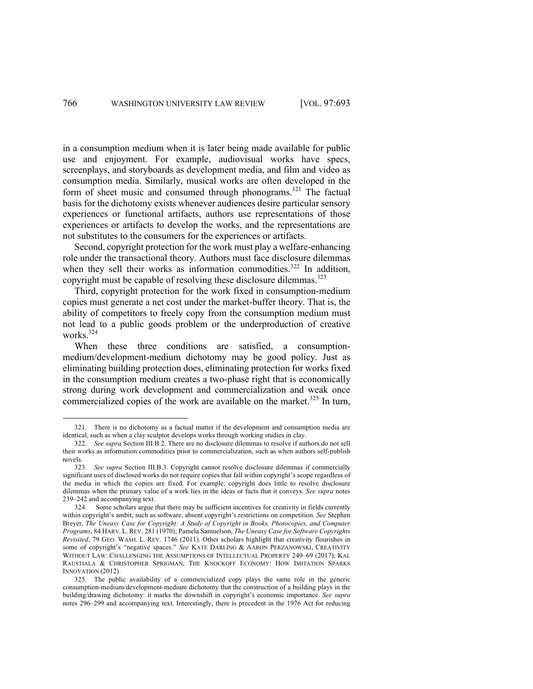in a consumption medium when it is later being made available for public use and enjoyment. For example, audiovisual works have specs, screenplays, and storyboards as development media, and film and video as consumption media. Similarly, musical works are often developed in the form of sheet music and consumed through phonograms.<sup>321</sup> The factual basis for the dichotomy exists whenever audiences desire particular sensory experiences or functional artifacts, authors use representations of those experiences or artifacts to develop the works, and the representations are not substitutes to the consumers for the experiences or artifacts.

Second, copyright protection for the work must play a welfare-enhancing role under the transactional theory. Authors must face disclosure dilemmas when they sell their works as information commodities.<sup>322</sup> In addition, copyright must be capable of resolving these disclosure dilemmas.<sup>323</sup>

Third, copyright protection for the work fixed in consumption-medium copies must generate a net cost under the market-buffer theory. That is, the ability of competitors to freely copy from the consumption medium must not lead to a public goods problem or the underproduction of creative works.324

When these three conditions are satisfied, a consumptionmedium/development-medium dichotomy may be good policy. Just as eliminating building protection does, eliminating protection for works fixed in the consumption medium creates a two-phase right that is economically strong during work development and commercialization and weak once commercialized copies of the work are available on the market.<sup>325</sup> In turn,

<sup>321.</sup> There is no dichotomy as a factual matter if the development and consumption media are identical, such as when a clay sculptor develops works through working studies in clay.

<sup>322.</sup> *See supra* Section III.B.2. There are no disclosure dilemmas to resolve if authors do not sell their works as information commodities prior to commercialization, such as when authors self-publish novels.

<sup>323.</sup> *See supra* Section III.B.3. Copyright cannot resolve disclosure dilemmas if commercially significant uses of disclosed works do not require copies that fall within copyright's scope regardless of the media in which the copies are fixed. For example, copyright does little to resolve disclosure dilemmas when the primary value of a work lies in the ideas or facts that it conveys. *See supra* notes 239–242 and accompanying text.

<sup>324.</sup> Some scholars argue that there may be sufficient incentives for creativity in fields currently within copyright's ambit, such as software, absent copyright's restrictions on competition. *See* Stephen Breyer, *The Uneasy Case for Copyright: A Study of Copyright in Books, Photocopies, and Computer Programs*, 84 HARV. L. REV. 281 (1970); Pamela Samuelson, *The Uneasy Case for Software Copyrights Revisited*, 79 GEO. WASH. L. REV. 1746 (2011). Other scholars highlight that creativity flourishes in some of copyright's "negative spaces." *See* KATE DARLING & AARON PERZANOWSKI, CREATIVITY WITHOUT LAW: CHALLENGING THE ASSUMPTIONS OF INTELLECTUAL PROPERTY 249–69 (2017); KAL RAUSTIALA & CHRISTOPHER SPRIGMAN, THE KNOCKOFF ECONOMY: HOW IMITATION SPARKS INNOVATION (2012).

<sup>325.</sup> The public availability of a commercialized copy plays the same role in the generic consumption-medium/development-medium dichotomy that the construction of a building plays in the building/drawing dichotomy: it marks the downshift in copyright's economic importance. *See supra*  notes 296–299 and accompanying text. Interestingly, there is precedent in the 1976 Act for reducing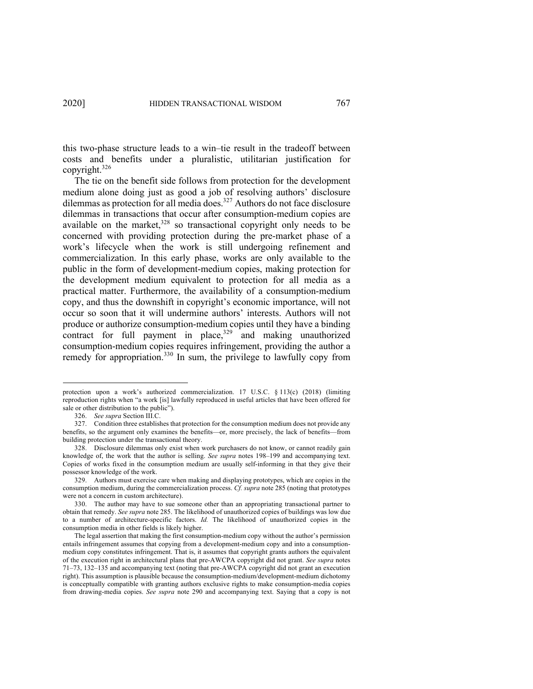this two-phase structure leads to a win–tie result in the tradeoff between costs and benefits under a pluralistic, utilitarian justification for copyright. 326

The tie on the benefit side follows from protection for the development medium alone doing just as good a job of resolving authors' disclosure dilemmas as protection for all media does. <sup>327</sup> Authors do not face disclosure dilemmas in transactions that occur after consumption-medium copies are available on the market, $328$  so transactional copyright only needs to be concerned with providing protection during the pre-market phase of a work's lifecycle when the work is still undergoing refinement and commercialization. In this early phase, works are only available to the public in the form of development-medium copies, making protection for the development medium equivalent to protection for all media as a practical matter. Furthermore, the availability of a consumption-medium copy, and thus the downshift in copyright's economic importance, will not occur so soon that it will undermine authors' interests. Authors will not produce or authorize consumption-medium copies until they have a binding contract for full payment in place,<sup>329</sup> and making unauthorized consumption-medium copies requires infringement, providing the author a remedy for appropriation.<sup>330</sup> In sum, the privilege to lawfully copy from

protection upon a work's authorized commercialization. 17 U.S.C. § 113(c) (2018) (limiting reproduction rights when "a work [is] lawfully reproduced in useful articles that have been offered for sale or other distribution to the public").

<sup>326.</sup> *See supra* Section III.C.

<sup>327.</sup> Condition three establishes that protection for the consumption medium does not provide any benefits, so the argument only examines the benefits—or, more precisely, the lack of benefits—from building protection under the transactional theory.

<sup>328.</sup> Disclosure dilemmas only exist when work purchasers do not know, or cannot readily gain knowledge of, the work that the author is selling. *See supra* notes 198–199 and accompanying text. Copies of works fixed in the consumption medium are usually self-informing in that they give their possessor knowledge of the work.

<sup>329.</sup> Authors must exercise care when making and displaying prototypes, which are copies in the consumption medium, during the commercialization process. *Cf. supra* note 285 (noting that prototypes were not a concern in custom architecture).

<sup>330.</sup> The author may have to sue someone other than an appropriating transactional partner to obtain that remedy. *See supra* note 285. The likelihood of unauthorized copies of buildings was low due to a number of architecture-specific factors. *Id.* The likelihood of unauthorized copies in the consumption media in other fields is likely higher.

The legal assertion that making the first consumption-medium copy without the author's permission entails infringement assumes that copying from a development-medium copy and into a consumptionmedium copy constitutes infringement. That is, it assumes that copyright grants authors the equivalent of the execution right in architectural plans that pre-AWCPA copyright did not grant. *See supra* notes 71–73, 132–135 and accompanying text (noting that pre-AWCPA copyright did not grant an execution right). This assumption is plausible because the consumption-medium/development-medium dichotomy is conceptually compatible with granting authors exclusive rights to make consumption-media copies from drawing-media copies. *See supra* note 290 and accompanying text. Saying that a copy is not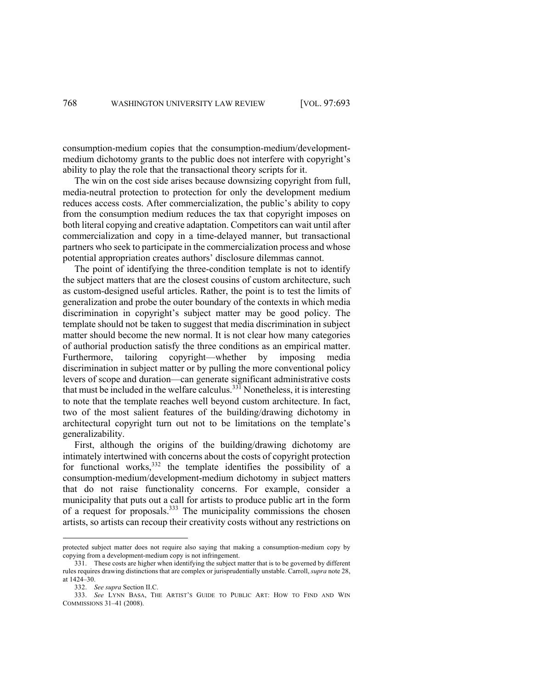consumption-medium copies that the consumption-medium/developmentmedium dichotomy grants to the public does not interfere with copyright's ability to play the role that the transactional theory scripts for it.

The win on the cost side arises because downsizing copyright from full, media-neutral protection to protection for only the development medium reduces access costs. After commercialization, the public's ability to copy from the consumption medium reduces the tax that copyright imposes on both literal copying and creative adaptation. Competitors can wait until after commercialization and copy in a time-delayed manner, but transactional partners who seek to participate in the commercialization process and whose potential appropriation creates authors' disclosure dilemmas cannot.

The point of identifying the three-condition template is not to identify the subject matters that are the closest cousins of custom architecture, such as custom-designed useful articles. Rather, the point is to test the limits of generalization and probe the outer boundary of the contexts in which media discrimination in copyright's subject matter may be good policy. The template should not be taken to suggest that media discrimination in subject matter should become the new normal. It is not clear how many categories of authorial production satisfy the three conditions as an empirical matter. Furthermore, tailoring copyright—whether by imposing media discrimination in subject matter or by pulling the more conventional policy levers of scope and duration—can generate significant administrative costs that must be included in the welfare calculus.<sup>331</sup> Nonetheless, it is interesting to note that the template reaches well beyond custom architecture. In fact, two of the most salient features of the building/drawing dichotomy in architectural copyright turn out not to be limitations on the template's generalizability.

First, although the origins of the building/drawing dichotomy are intimately intertwined with concerns about the costs of copyright protection for functional works,  $332$  the template identifies the possibility of a consumption-medium/development-medium dichotomy in subject matters that do not raise functionality concerns. For example, consider a municipality that puts out a call for artists to produce public art in the form of a request for proposals.<sup>333</sup> The municipality commissions the chosen artists, so artists can recoup their creativity costs without any restrictions on

protected subject matter does not require also saying that making a consumption-medium copy by copying from a development-medium copy is not infringement.

<sup>331.</sup> These costs are higher when identifying the subject matter that is to be governed by different rules requires drawing distinctions that are complex or jurisprudentially unstable. Carroll, *supra* note 28, at 1424–30.

<sup>332.</sup> *See supra* Section II.C.

<sup>333.</sup> *See* LYNN BASA, THE ARTIST'S GUIDE TO PUBLIC ART: HOW TO FIND AND WIN COMMISSIONS 31–41 (2008).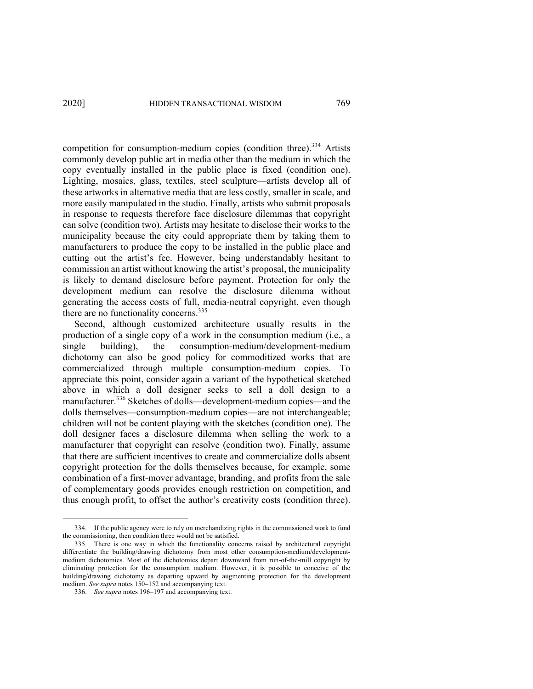competition for consumption-medium copies (condition three).<sup>334</sup> Artists commonly develop public art in media other than the medium in which the copy eventually installed in the public place is fixed (condition one). Lighting, mosaics, glass, textiles, steel sculpture—artists develop all of these artworks in alternative media that are less costly, smaller in scale, and more easily manipulated in the studio. Finally, artists who submit proposals in response to requests therefore face disclosure dilemmas that copyright can solve (condition two). Artists may hesitate to disclose their works to the municipality because the city could appropriate them by taking them to manufacturers to produce the copy to be installed in the public place and cutting out the artist's fee. However, being understandably hesitant to commission an artist without knowing the artist's proposal, the municipality is likely to demand disclosure before payment. Protection for only the development medium can resolve the disclosure dilemma without generating the access costs of full, media-neutral copyright, even though there are no functionality concerns.<sup>335</sup>

Second, although customized architecture usually results in the production of a single copy of a work in the consumption medium (i.e., a single building), the consumption-medium/development-medium dichotomy can also be good policy for commoditized works that are commercialized through multiple consumption-medium copies. To appreciate this point, consider again a variant of the hypothetical sketched above in which a doll designer seeks to sell a doll design to a manufacturer.<sup>336</sup> Sketches of dolls—development-medium copies—and the dolls themselves—consumption-medium copies—are not interchangeable; children will not be content playing with the sketches (condition one). The doll designer faces a disclosure dilemma when selling the work to a manufacturer that copyright can resolve (condition two). Finally, assume that there are sufficient incentives to create and commercialize dolls absent copyright protection for the dolls themselves because, for example, some combination of a first-mover advantage, branding, and profits from the sale of complementary goods provides enough restriction on competition, and thus enough profit, to offset the author's creativity costs (condition three).

<sup>334.</sup> If the public agency were to rely on merchandizing rights in the commissioned work to fund the commissioning, then condition three would not be satisfied.

<sup>335.</sup> There is one way in which the functionality concerns raised by architectural copyright differentiate the building/drawing dichotomy from most other consumption-medium/developmentmedium dichotomies. Most of the dichotomies depart downward from run-of-the-mill copyright by eliminating protection for the consumption medium. However, it is possible to conceive of the building/drawing dichotomy as departing upward by augmenting protection for the development medium. *See supra* notes 150–152 and accompanying text.

<sup>336.</sup> *See supra* notes 196–197 and accompanying text.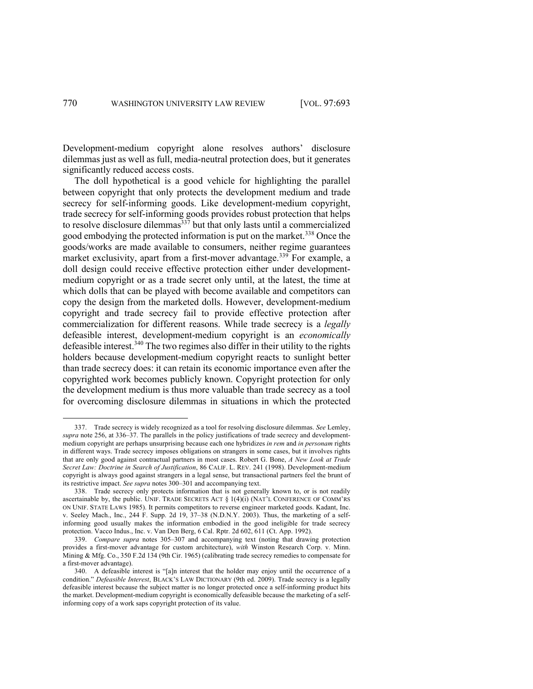Development-medium copyright alone resolves authors' disclosure dilemmas just as well as full, media-neutral protection does, but it generates significantly reduced access costs.

The doll hypothetical is a good vehicle for highlighting the parallel between copyright that only protects the development medium and trade secrecy for self-informing goods. Like development-medium copyright, trade secrecy for self-informing goods provides robust protection that helps to resolve disclosure dilemmas<sup>337</sup> but that only lasts until a commercialized good embodying the protected information is put on the market.<sup>338</sup> Once the goods/works are made available to consumers, neither regime guarantees market exclusivity, apart from a first-mover advantage.<sup>339</sup> For example, a doll design could receive effective protection either under developmentmedium copyright or as a trade secret only until, at the latest, the time at which dolls that can be played with become available and competitors can copy the design from the marketed dolls. However, development-medium copyright and trade secrecy fail to provide effective protection after commercialization for different reasons. While trade secrecy is a *legally* defeasible interest, development-medium copyright is an *economically*  defeasible interest.<sup>340</sup> The two regimes also differ in their utility to the rights holders because development-medium copyright reacts to sunlight better than trade secrecy does: it can retain its economic importance even after the copyrighted work becomes publicly known. Copyright protection for only the development medium is thus more valuable than trade secrecy as a tool for overcoming disclosure dilemmas in situations in which the protected

<sup>337.</sup> Trade secrecy is widely recognized as a tool for resolving disclosure dilemmas. *See* Lemley, *supra* note 256, at 336–37. The parallels in the policy justifications of trade secrecy and developmentmedium copyright are perhaps unsurprising because each one hybridizes *in rem* and *in personam* rights in different ways. Trade secrecy imposes obligations on strangers in some cases, but it involves rights that are only good against contractual partners in most cases. Robert G. Bone, *A New Look at Trade Secret Law: Doctrine in Search of Justification*, 86 CALIF. L. REV. 241 (1998). Development-medium copyright is always good against strangers in a legal sense, but transactional partners feel the brunt of its restrictive impact. *See supra* notes 300–301 and accompanying text.

<sup>338.</sup> Trade secrecy only protects information that is not generally known to, or is not readily ascertainable by, the public. UNIF. TRADE SECRETS ACT  $\S$  1(4)(i) (NAT'L CONFERENCE OF COMM'RS ON UNIF. STATE LAWS 1985). It permits competitors to reverse engineer marketed goods. Kadant, Inc. v. Seeley Mach., Inc., 244 F. Supp. 2d 19, 37–38 (N.D.N.Y. 2003). Thus, the marketing of a selfinforming good usually makes the information embodied in the good ineligible for trade secrecy protection. Vacco Indus., Inc. v. Van Den Berg, 6 Cal. Rptr. 2d 602, 611 (Ct. App. 1992).

<sup>339.</sup> *Compare supra* notes 305–307 and accompanying text (noting that drawing protection provides a first-mover advantage for custom architecture), *with* Winston Research Corp. v. Minn. Mining & Mfg. Co., 350 F.2d 134 (9th Cir. 1965) (calibrating trade secrecy remedies to compensate for a first-mover advantage).

<sup>340.</sup> A defeasible interest is "[a]n interest that the holder may enjoy until the occurrence of a condition." *Defeasible Interest*, BLACK'S LAW DICTIONARY (9th ed. 2009). Trade secrecy is a legally defeasible interest because the subject matter is no longer protected once a self-informing product hits the market. Development-medium copyright is economically defeasible because the marketing of a selfinforming copy of a work saps copyright protection of its value.